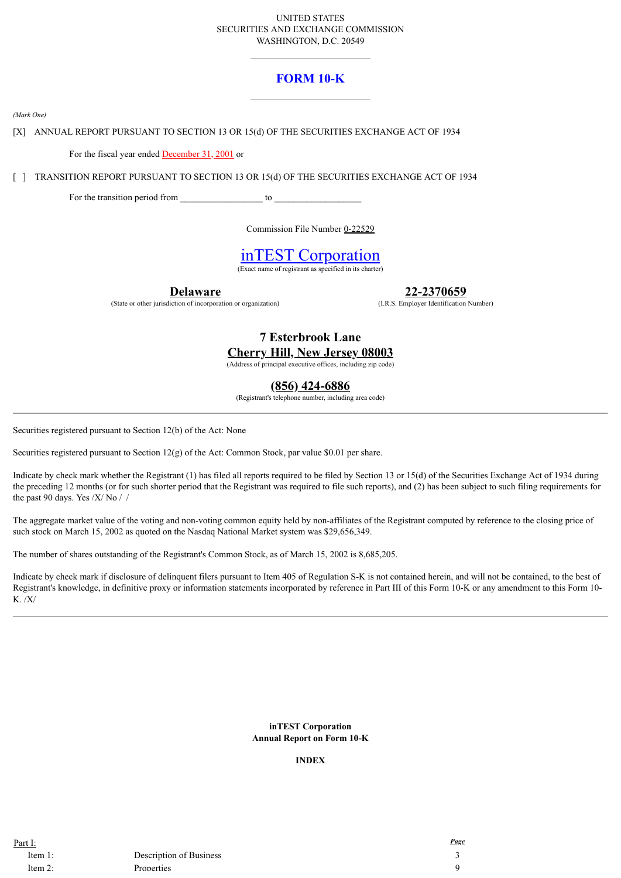## UNITED STATES SECURITIES AND EXCHANGE COMMISSION WASHINGTON, D.C. 20549

# **FORM 10-K**

*(Mark One)*

[X] ANNUAL REPORT PURSUANT TO SECTION 13 OR 15(d) OF THE SECURITIES EXCHANGE ACT OF 1934

For the fiscal year ended **December 31, 2001** or

[ ] TRANSITION REPORT PURSUANT TO SECTION 13 OR 15(d) OF THE SECURITIES EXCHANGE ACT OF 1934

For the transition period from \_\_\_\_\_\_\_\_\_\_\_\_\_\_\_\_\_\_ to \_\_\_\_\_\_\_\_\_\_\_\_\_\_\_\_\_\_\_

Commission File Number 0-22529

# inTEST Corporation

 $\overline{\text{of resistant as specified in its charter}}$ 

**Delaware**

(State or other jurisdiction of incorporation or organization)

**22-2370659**

(I.R.S. Employer Identification Number)

# **7 Esterbrook Lane Cherry Hill, New Jersey 08003**

(Address of principal executive offices, including zip code)

**(856) 424-6886**

(Registrant's telephone number, including area code)

Securities registered pursuant to Section 12(b) of the Act: None

Securities registered pursuant to Section 12(g) of the Act: Common Stock, par value \$0.01 per share.

Indicate by check mark whether the Registrant (1) has filed all reports required to be filed by Section 13 or 15(d) of the Securities Exchange Act of 1934 during the preceding 12 months (or for such shorter period that the Registrant was required to file such reports), and (2) has been subject to such filing requirements for the past 90 days. Yes /X/ No //

The aggregate market value of the voting and non-voting common equity held by non-affiliates of the Registrant computed by reference to the closing price of such stock on March 15, 2002 as quoted on the Nasdaq National Market system was \$29,656,349.

The number of shares outstanding of the Registrant's Common Stock, as of March 15, 2002 is 8,685,205.

Indicate by check mark if disclosure of delinquent filers pursuant to Item 405 of Regulation S-K is not contained herein, and will not be contained, to the best of Registrant's knowledge, in definitive proxy or information statements incorporated by reference in Part III of this Form 10-K or any amendment to this Form 10- K. /X/

> **inTEST Corporation Annual Report on Form 10-K**

## **INDEX**

Part I: *Page*

Item 1: Description of Business 3 Item 2: Properties 9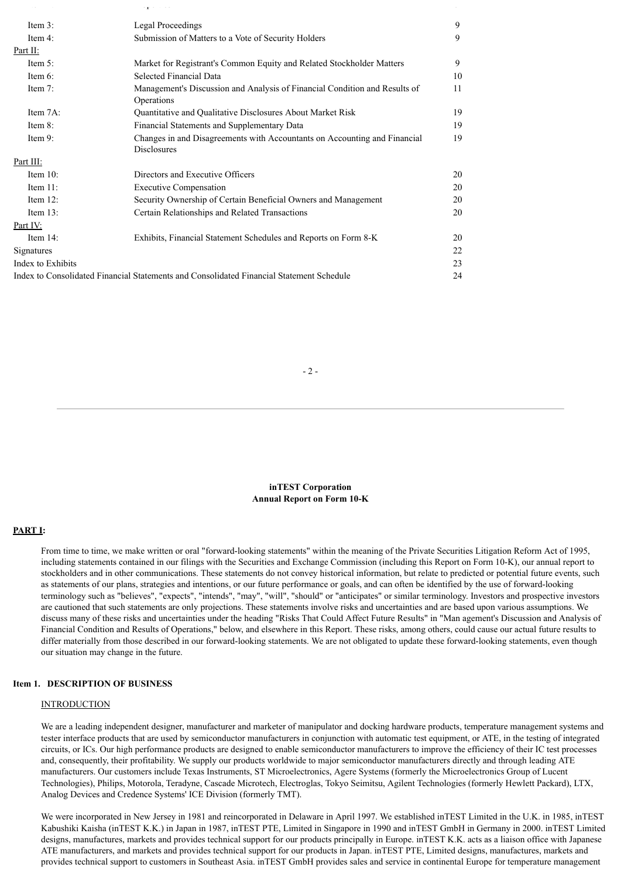|                   | epe e ee                                                                                        |    |
|-------------------|-------------------------------------------------------------------------------------------------|----|
| Item $3$ :        | <b>Legal Proceedings</b>                                                                        | 9  |
| Item 4:           | Submission of Matters to a Vote of Security Holders                                             | 9  |
| Part II:          |                                                                                                 |    |
| Item $5$ :        | Market for Registrant's Common Equity and Related Stockholder Matters                           | 9  |
| Item $6$ :        | Selected Financial Data                                                                         | 10 |
| Item 7:           | Management's Discussion and Analysis of Financial Condition and Results of<br>Operations        | 11 |
| Item 7A:          | Quantitative and Qualitative Disclosures About Market Risk                                      | 19 |
| Item $8$ :        | Financial Statements and Supplementary Data                                                     | 19 |
| Item 9:           | Changes in and Disagreements with Accountants on Accounting and Financial<br><b>Disclosures</b> | 19 |
| Part III:         |                                                                                                 |    |
| Item $10$ :       | Directors and Executive Officers                                                                | 20 |
| Item $11$ :       | <b>Executive Compensation</b>                                                                   | 20 |
| Item $12$ :       | Security Ownership of Certain Beneficial Owners and Management                                  | 20 |
| Item $13$ :       | Certain Relationships and Related Transactions                                                  | 20 |
| Part IV:          |                                                                                                 |    |
| Item $14$ :       | Exhibits, Financial Statement Schedules and Reports on Form 8-K                                 | 20 |
| Signatures        |                                                                                                 | 22 |
| Index to Exhibits |                                                                                                 | 23 |
|                   | Index to Consolidated Financial Statements and Consolidated Financial Statement Schedule        | 24 |

## $-2-$

**inTEST Corporation Annual Report on Form 10-K**

## **PART I:**

From time to time, we make written or oral "forward-looking statements" within the meaning of the Private Securities Litigation Reform Act of 1995, including statements contained in our filings with the Securities and Exchange Commission (including this Report on Form 10-K), our annual report to stockholders and in other communications. These statements do not convey historical information, but relate to predicted or potential future events, such as statements of our plans, strategies and intentions, or our future performance or goals, and can often be identified by the use of forward-looking terminology such as "believes", "expects", "intends", "may", "will", "should" or "anticipates" or similar terminology. Investors and prospective investors are cautioned that such statements are only projections. These statements involve risks and uncertainties and are based upon various assumptions. We discuss many of these risks and uncertainties under the heading "Risks That Could Affect Future Results" in "Man agement's Discussion and Analysis of Financial Condition and Results of Operations," below, and elsewhere in this Report. These risks, among others, could cause our actual future results to differ materially from those described in our forward-looking statements. We are not obligated to update these forward-looking statements, even though our situation may change in the future.

## **Item 1. DESCRIPTION OF BUSINESS**

### INTRODUCTION

We are a leading independent designer, manufacturer and marketer of manipulator and docking hardware products, temperature management systems and tester interface products that are used by semiconductor manufacturers in conjunction with automatic test equipment, or ATE, in the testing of integrated circuits, or ICs. Our high performance products are designed to enable semiconductor manufacturers to improve the efficiency of their IC test processes and, consequently, their profitability. We supply our products worldwide to major semiconductor manufacturers directly and through leading ATE manufacturers. Our customers include Texas Instruments, ST Microelectronics, Agere Systems (formerly the Microelectronics Group of Lucent Technologies), Philips, Motorola, Teradyne, Cascade Microtech, Electroglas, Tokyo Seimitsu, Agilent Technologies (formerly Hewlett Packard), LTX, Analog Devices and Credence Systems' ICE Division (formerly TMT).

We were incorporated in New Jersey in 1981 and reincorporated in Delaware in April 1997. We established inTEST Limited in the U.K. in 1985, inTEST Kabushiki Kaisha (inTEST K.K.) in Japan in 1987, inTEST PTE, Limited in Singapore in 1990 and inTEST GmbH in Germany in 2000. inTEST Limited designs, manufactures, markets and provides technical support for our products principally in Europe. inTEST K.K. acts as a liaison office with Japanese ATE manufacturers, and markets and provides technical support for our products in Japan. inTEST PTE, Limited designs, manufactures, markets and provides technical support to customers in Southeast Asia. inTEST GmbH provides sales and service in continental Europe for temperature management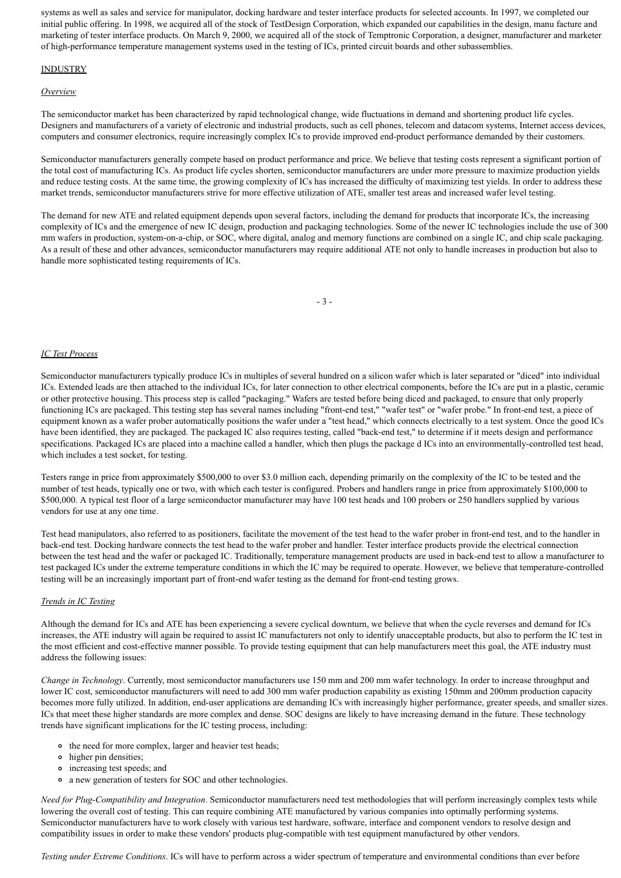systems as well as sales and service for manipulator, docking hardware and tester interface products for selected accounts. In 1997, we completed our initial public offering. In 1998, we acquired all of the stock of TestDesign Corporation, which expanded our capabilities in the design, manu facture and marketing of tester interface products. On March 9, 2000, we acquired all of the stock of Temptronic Corporation, a designer, manufacturer and marketer of high-performance temperature management systems used in the testing of ICs, printed circuit boards and other subassemblies.

## **INDUSTRY**

### *Overview*

The semiconductor market has been characterized by rapid technological change, wide fluctuations in demand and shortening product life cycles. Designers and manufacturers of a variety of electronic and industrial products, such as cell phones, telecom and datacom systems, Internet access devices, computers and consumer electronics, require increasingly complex ICs to provide improved end-product performance demanded by their customers.

Semiconductor manufacturers generally compete based on product performance and price. We believe that testing costs represent a significant portion of the total cost of manufacturing ICs. As product life cycles shorten, semiconductor manufacturers are under more pressure to maximize production yields and reduce testing costs. At the same time, the growing complexity of ICs has increased the difficulty of maximizing test yields. In order to address these market trends, semiconductor manufacturers strive for more effective utilization of ATE, smaller test areas and increased wafer level testing.

The demand for new ATE and related equipment depends upon several factors, including the demand for products that incorporate ICs, the increasing complexity of ICs and the emergence of new IC design, production and packaging technologies. Some of the newer IC technologies include the use of 300 mm wafers in production, system-on-a-chip, or SOC, where digital, analog and memory functions are combined on a single IC, and chip scale packaging. As a result of these and other advances, semiconductor manufacturers may require additional ATE not only to handle increases in production but also to handle more sophisticated testing requirements of ICs.

- 3 -

## *IC Test Process*

Semiconductor manufacturers typically produce ICs in multiples of several hundred on a silicon wafer which is later separated or "diced" into individual ICs. Extended leads are then attached to the individual ICs, for later connection to other electrical components, before the ICs are put in a plastic, ceramic or other protective housing. This process step is called "packaging." Wafers are tested before being diced and packaged, to ensure that only properly functioning ICs are packaged. This testing step has several names including "front-end test," "wafer test" or "wafer probe." In front-end test, a piece of equipment known as a wafer prober automatically positions the wafer under a "test head," which connects electrically to a test system. Once the good ICs have been identified, they are packaged. The packaged IC also requires testing, called "back-end test," to determine if it meets design and performance specifications. Packaged ICs are placed into a machine called a handler, which then plugs the package d ICs into an environmentally-controlled test head, which includes a test socket, for testing.

Testers range in price from approximately \$500,000 to over \$3.0 million each, depending primarily on the complexity of the IC to be tested and the number of test heads, typically one or two, with which each tester is configured. Probers and handlers range in price from approximately \$100,000 to \$500,000. A typical test floor of a large semiconductor manufacturer may have 100 test heads and 100 probers or 250 handlers supplied by various vendors for use at any one time.

Test head manipulators, also referred to as positioners, facilitate the movement of the test head to the wafer prober in front-end test, and to the handler in back-end test. Docking hardware connects the test head to the wafer prober and handler. Tester interface products provide the electrical connection between the test head and the wafer or packaged IC. Traditionally, temperature management products are used in back-end test to allow a manufacturer to test packaged ICs under the extreme temperature conditions in which the IC may be required to operate. However, we believe that temperature-controlled testing will be an increasingly important part of front-end wafer testing as the demand for front-end testing grows.

### *Trends in IC Testing*

Although the demand for ICs and ATE has been experiencing a severe cyclical downturn, we believe that when the cycle reverses and demand for ICs increases, the ATE industry will again be required to assist IC manufacturers not only to identify unacceptable products, but also to perform the IC test in the most efficient and cost-effective manner possible. To provide testing equipment that can help manufacturers meet this goal, the ATE industry must address the following issues:

*Change in Technology*. Currently, most semiconductor manufacturers use 150 mm and 200 mm wafer technology. In order to increase throughput and lower IC cost, semiconductor manufacturers will need to add 300 mm wafer production capability as existing 150mm and 200mm production capacity becomes more fully utilized. In addition, end-user applications are demanding ICs with increasingly higher performance, greater speeds, and smaller sizes. ICs that meet these higher standards are more complex and dense. SOC designs are likely to have increasing demand in the future. These technology trends have significant implications for the IC testing process, including:

- the need for more complex, larger and heavier test heads;
- higher pin densities;
- increasing test speeds; and
- a new generation of testers for SOC and other technologies.

*Need for Plug-Compatibility and Integration*. Semiconductor manufacturers need test methodologies that will perform increasingly complex tests while lowering the overall cost of testing. This can require combining ATE manufactured by various companies into optimally performing systems. Semiconductor manufacturers have to work closely with various test hardware, software, interface and component vendors to resolve design and compatibility issues in order to make these vendors' products plug-compatible with test equipment manufactured by other vendors.

*Testing under Extreme Conditions*. ICs will have to perform across a wider spectrum of temperature and environmental conditions than ever before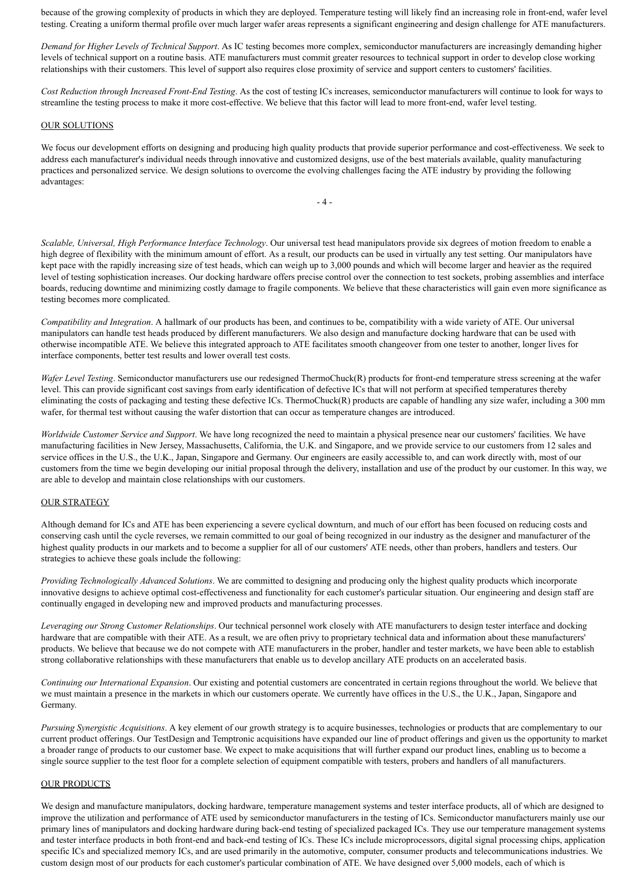because of the growing complexity of products in which they are deployed. Temperature testing will likely find an increasing role in front-end, wafer level testing. Creating a uniform thermal profile over much larger wafer areas represents a significant engineering and design challenge for ATE manufacturers.

*Demand for Higher Levels of Technical Support*. As IC testing becomes more complex, semiconductor manufacturers are increasingly demanding higher levels of technical support on a routine basis. ATE manufacturers must commit greater resources to technical support in order to develop close working relationships with their customers. This level of support also requires close proximity of service and support centers to customers' facilities.

*Cost Reduction through Increased Front-End Testing*. As the cost of testing ICs increases, semiconductor manufacturers will continue to look for ways to streamline the testing process to make it more cost-effective. We believe that this factor will lead to more front-end, wafer level testing.

#### OUR SOLUTIONS

We focus our development efforts on designing and producing high quality products that provide superior performance and cost-effectiveness. We seek to address each manufacturer's individual needs through innovative and customized designs, use of the best materials available, quality manufacturing practices and personalized service. We design solutions to overcome the evolving challenges facing the ATE industry by providing the following advantages:

 $- 4 -$ 

*Scalable, Universal, High Performance Interface Technology*. Our universal test head manipulators provide six degrees of motion freedom to enable a high degree of flexibility with the minimum amount of effort. As a result, our products can be used in virtually any test setting. Our manipulators have kept pace with the rapidly increasing size of test heads, which can weigh up to 3,000 pounds and which will become larger and heavier as the required level of testing sophistication increases. Our docking hardware offers precise control over the connection to test sockets, probing assemblies and interface boards, reducing downtime and minimizing costly damage to fragile components. We believe that these characteristics will gain even more significance as testing becomes more complicated.

*Compatibility and Integration*. A hallmark of our products has been, and continues to be, compatibility with a wide variety of ATE. Our universal manipulators can handle test heads produced by different manufacturers. We also design and manufacture docking hardware that can be used with otherwise incompatible ATE. We believe this integrated approach to ATE facilitates smooth changeover from one tester to another, longer lives for interface components, better test results and lower overall test costs.

*Wafer Level Testing*. Semiconductor manufacturers use our redesigned ThermoChuck(R) products for front-end temperature stress screening at the wafer level. This can provide significant cost savings from early identification of defective ICs that will not perform at specified temperatures thereby eliminating the costs of packaging and testing these defective ICs. ThermoChuck(R) products are capable of handling any size wafer, including a 300 mm wafer, for thermal test without causing the wafer distortion that can occur as temperature changes are introduced.

*Worldwide Customer Service and Support*. We have long recognized the need to maintain a physical presence near our customers' facilities. We have manufacturing facilities in New Jersey, Massachusetts, California, the U.K. and Singapore, and we provide service to our customers from 12 sales and service offices in the U.S., the U.K., Japan, Singapore and Germany. Our engineers are easily accessible to, and can work directly with, most of our customers from the time we begin developing our initial proposal through the delivery, installation and use of the product by our customer. In this way, we are able to develop and maintain close relationships with our customers.

### OUR STRATEGY

Although demand for ICs and ATE has been experiencing a severe cyclical downturn, and much of our effort has been focused on reducing costs and conserving cash until the cycle reverses, we remain committed to our goal of being recognized in our industry as the designer and manufacturer of the highest quality products in our markets and to become a supplier for all of our customers' ATE needs, other than probers, handlers and testers. Our strategies to achieve these goals include the following:

*Providing Technologically Advanced Solutions*. We are committed to designing and producing only the highest quality products which incorporate innovative designs to achieve optimal cost-effectiveness and functionality for each customer's particular situation. Our engineering and design staff are continually engaged in developing new and improved products and manufacturing processes.

*Leveraging our Strong Customer Relationships*. Our technical personnel work closely with ATE manufacturers to design tester interface and docking hardware that are compatible with their ATE. As a result, we are often privy to proprietary technical data and information about these manufacturers' products. We believe that because we do not compete with ATE manufacturers in the prober, handler and tester markets, we have been able to establish strong collaborative relationships with these manufacturers that enable us to develop ancillary ATE products on an accelerated basis.

*Continuing our International Expansion*. Our existing and potential customers are concentrated in certain regions throughout the world. We believe that we must maintain a presence in the markets in which our customers operate. We currently have offices in the U.S., the U.K., Japan, Singapore and Germany.

*Pursuing Synergistic Acquisitions*. A key element of our growth strategy is to acquire businesses, technologies or products that are complementary to our current product offerings. Our TestDesign and Temptronic acquisitions have expanded our line of product offerings and given us the opportunity to market a broader range of products to our customer base. We expect to make acquisitions that will further expand our product lines, enabling us to become a single source supplier to the test floor for a complete selection of equipment compatible with testers, probers and handlers of all manufacturers.

## OUR PRODUCTS

We design and manufacture manipulators, docking hardware, temperature management systems and tester interface products, all of which are designed to improve the utilization and performance of ATE used by semiconductor manufacturers in the testing of ICs. Semiconductor manufacturers mainly use our primary lines of manipulators and docking hardware during back-end testing of specialized packaged ICs. They use our temperature management systems and tester interface products in both front-end and back-end testing of ICs. These ICs include microprocessors, digital signal processing chips, application specific ICs and specialized memory ICs, and are used primarily in the automotive, computer, consumer products and telecommunications industries. We custom design most of our products for each customer's particular combination of ATE. We have designed over 5,000 models, each of which is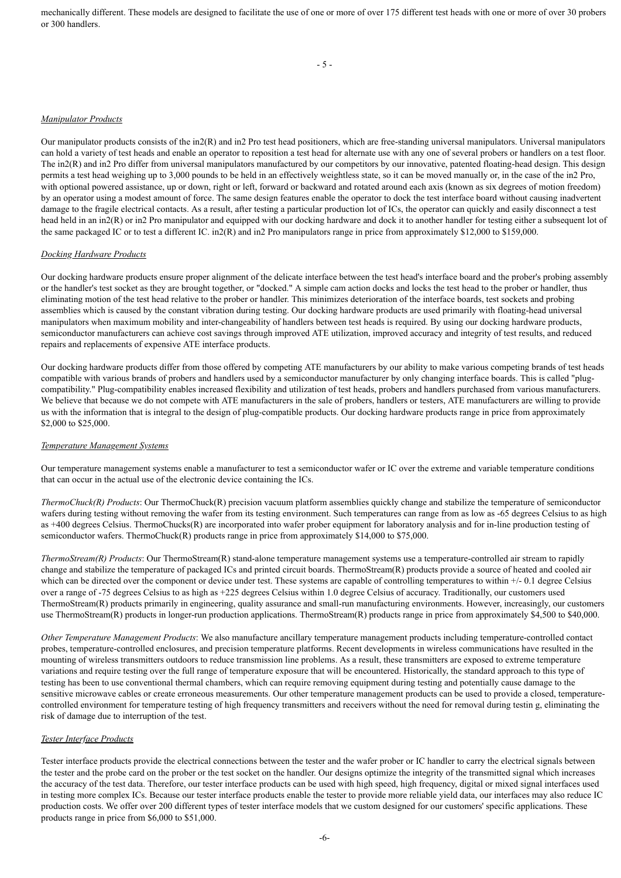mechanically different. These models are designed to facilitate the use of one or more of over 175 different test heads with one or more of over 30 probers or 300 handlers.

## *Manipulator Products*

Our manipulator products consists of the in $2(R)$  and in2 Pro test head positioners, which are free-standing universal manipulators. Universal manipulators can hold a variety of test heads and enable an operator to reposition a test head for alternate use with any one of several probers or handlers on a test floor. The in2(R) and in2 Pro differ from universal manipulators manufactured by our competitors by our innovative, patented floating-head design. This design permits a test head weighing up to 3,000 pounds to be held in an effectively weightless state, so it can be moved manually or, in the case of the in2 Pro, with optional powered assistance, up or down, right or left, forward or backward and rotated around each axis (known as six degrees of motion freedom) by an operator using a modest amount of force. The same design features enable the operator to dock the test interface board without causing inadvertent damage to the fragile electrical contacts. As a result, after testing a particular production lot of ICs, the operator can quickly and easily disconnect a test head held in an in2(R) or in2 Pro manipulator and equipped with our docking hardware and dock it to another handler for testing either a subsequent lot of the same packaged IC or to test a different IC. in2(R) and in2 Pro manipulators range in price from approximately \$12,000 to \$159,000.

## *Docking Hardware Products*

Our docking hardware products ensure proper alignment of the delicate interface between the test head's interface board and the prober's probing assembly or the handler's test socket as they are brought together, or "docked." A simple cam action docks and locks the test head to the prober or handler, thus eliminating motion of the test head relative to the prober or handler. This minimizes deterioration of the interface boards, test sockets and probing assemblies which is caused by the constant vibration during testing. Our docking hardware products are used primarily with floating-head universal manipulators when maximum mobility and inter-changeability of handlers between test heads is required. By using our docking hardware products, semiconductor manufacturers can achieve cost savings through improved ATE utilization, improved accuracy and integrity of test results, and reduced repairs and replacements of expensive ATE interface products.

Our docking hardware products differ from those offered by competing ATE manufacturers by our ability to make various competing brands of test heads compatible with various brands of probers and handlers used by a semiconductor manufacturer by only changing interface boards. This is called "plugcompatibility." Plug-compatibility enables increased flexibility and utilization of test heads, probers and handlers purchased from various manufacturers. We believe that because we do not compete with ATE manufacturers in the sale of probers, handlers or testers, ATE manufacturers are willing to provide us with the information that is integral to the design of plug-compatible products. Our docking hardware products range in price from approximately \$2,000 to \$25,000.

### *Temperature Management Systems*

Our temperature management systems enable a manufacturer to test a semiconductor wafer or IC over the extreme and variable temperature conditions that can occur in the actual use of the electronic device containing the ICs.

*ThermoChuck(R) Products*: Our ThermoChuck(R) precision vacuum platform assemblies quickly change and stabilize the temperature of semiconductor wafers during testing without removing the wafer from its testing environment. Such temperatures can range from as low as -65 degrees Celsius to as high as +400 degrees Celsius. ThermoChucks(R) are incorporated into wafer prober equipment for laboratory analysis and for in-line production testing of semiconductor wafers. ThermoChuck(R) products range in price from approximately \$14,000 to \$75,000.

*ThermoStream(R) Products*: Our ThermoStream(R) stand-alone temperature management systems use a temperature-controlled air stream to rapidly change and stabilize the temperature of packaged ICs and printed circuit boards. ThermoStream(R) products provide a source of heated and cooled air which can be directed over the component or device under test. These systems are capable of controlling temperatures to within  $+/-0.1$  degree Celsius over a range of -75 degrees Celsius to as high as +225 degrees Celsius within 1.0 degree Celsius of accuracy. Traditionally, our customers used ThermoStream(R) products primarily in engineering, quality assurance and small-run manufacturing environments. However, increasingly, our customers use ThermoStream(R) products in longer-run production applications. ThermoStream(R) products range in price from approximately \$4,500 to \$40,000.

*Other Temperature Management Products*: We also manufacture ancillary temperature management products including temperature-controlled contact probes, temperature-controlled enclosures, and precision temperature platforms. Recent developments in wireless communications have resulted in the mounting of wireless transmitters outdoors to reduce transmission line problems. As a result, these transmitters are exposed to extreme temperature variations and require testing over the full range of temperature exposure that will be encountered. Historically, the standard approach to this type of testing has been to use conventional thermal chambers, which can require removing equipment during testing and potentially cause damage to the sensitive microwave cables or create erroneous measurements. Our other temperature management products can be used to provide a closed, temperaturecontrolled environment for temperature testing of high frequency transmitters and receivers without the need for removal during testin g, eliminating the risk of damage due to interruption of the test.

## *Tester Interface Products*

Tester interface products provide the electrical connections between the tester and the wafer prober or IC handler to carry the electrical signals between the tester and the probe card on the prober or the test socket on the handler. Our designs optimize the integrity of the transmitted signal which increases the accuracy of the test data. Therefore, our tester interface products can be used with high speed, high frequency, digital or mixed signal interfaces used in testing more complex ICs. Because our tester interface products enable the tester to provide more reliable yield data, our interfaces may also reduce IC production costs. We offer over 200 different types of tester interface models that we custom designed for our customers' specific applications. These products range in price from \$6,000 to \$51,000.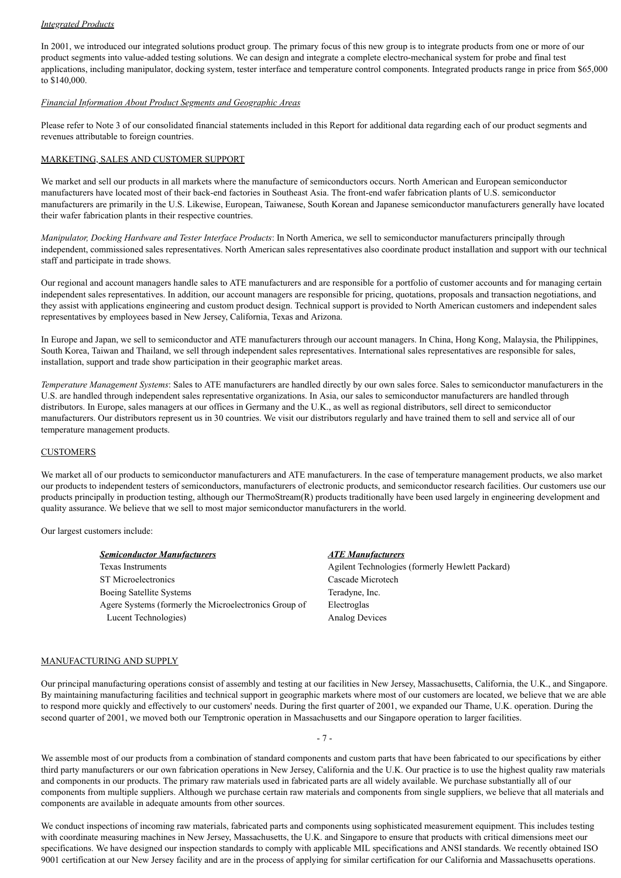## *Integrated Products*

In 2001, we introduced our integrated solutions product group. The primary focus of this new group is to integrate products from one or more of our product segments into value-added testing solutions. We can design and integrate a complete electro-mechanical system for probe and final test applications, including manipulator, docking system, tester interface and temperature control components. Integrated products range in price from \$65,000 to \$140,000.

## *Financial Information About Product Segments and Geographic Areas*

Please refer to Note 3 of our consolidated financial statements included in this Report for additional data regarding each of our product segments and revenues attributable to foreign countries.

## MARKETING, SALES AND CUSTOMER SUPPORT

We market and sell our products in all markets where the manufacture of semiconductors occurs. North American and European semiconductor manufacturers have located most of their back-end factories in Southeast Asia. The front-end wafer fabrication plants of U.S. semiconductor manufacturers are primarily in the U.S. Likewise, European, Taiwanese, South Korean and Japanese semiconductor manufacturers generally have located their wafer fabrication plants in their respective countries.

*Manipulator, Docking Hardware and Tester Interface Products*: In North America, we sell to semiconductor manufacturers principally through independent, commissioned sales representatives. North American sales representatives also coordinate product installation and support with our technical staff and participate in trade shows.

Our regional and account managers handle sales to ATE manufacturers and are responsible for a portfolio of customer accounts and for managing certain independent sales representatives. In addition, our account managers are responsible for pricing, quotations, proposals and transaction negotiations, and they assist with applications engineering and custom product design. Technical support is provided to North American customers and independent sales representatives by employees based in New Jersey, California, Texas and Arizona.

In Europe and Japan, we sell to semiconductor and ATE manufacturers through our account managers. In China, Hong Kong, Malaysia, the Philippines, South Korea, Taiwan and Thailand, we sell through independent sales representatives. International sales representatives are responsible for sales, installation, support and trade show participation in their geographic market areas.

*Temperature Management Systems*: Sales to ATE manufacturers are handled directly by our own sales force. Sales to semiconductor manufacturers in the U.S. are handled through independent sales representative organizations. In Asia, our sales to semiconductor manufacturers are handled through distributors. In Europe, sales managers at our offices in Germany and the U.K., as well as regional distributors, sell direct to semiconductor manufacturers. Our distributors represent us in 30 countries. We visit our distributors regularly and have trained them to sell and service all of our temperature management products.

### **CUSTOMERS**

We market all of our products to semiconductor manufacturers and ATE manufacturers. In the case of temperature management products, we also market our products to independent testers of semiconductors, manufacturers of electronic products, and semiconductor research facilities. Our customers use our products principally in production testing, although our ThermoStream(R) products traditionally have been used largely in engineering development and quality assurance. We believe that we sell to most major semiconductor manufacturers in the world.

Our largest customers include:

| <b>Semiconductor Manufacturers</b>                    | <b>ATE Manufacturers</b>                        |
|-------------------------------------------------------|-------------------------------------------------|
| <b>Texas Instruments</b>                              | Agilent Technologies (formerly Hewlett Packard) |
| <b>ST</b> Microelectronics                            | Cascade Microtech                               |
| Boeing Satellite Systems                              | Teradyne, Inc.                                  |
| Agere Systems (formerly the Microelectronics Group of | Electroglas                                     |
| Lucent Technologies)                                  | Analog Devices                                  |

### MANUFACTURING AND SUPPLY

Our principal manufacturing operations consist of assembly and testing at our facilities in New Jersey, Massachusetts, California, the U.K., and Singapore. By maintaining manufacturing facilities and technical support in geographic markets where most of our customers are located, we believe that we are able to respond more quickly and effectively to our customers' needs. During the first quarter of 2001, we expanded our Thame, U.K. operation. During the second quarter of 2001, we moved both our Temptronic operation in Massachusetts and our Singapore operation to larger facilities.

- 7 -

We assemble most of our products from a combination of standard components and custom parts that have been fabricated to our specifications by either third party manufacturers or our own fabrication operations in New Jersey, California and the U.K. Our practice is to use the highest quality raw materials and components in our products. The primary raw materials used in fabricated parts are all widely available. We purchase substantially all of our components from multiple suppliers. Although we purchase certain raw materials and components from single suppliers, we believe that all materials and components are available in adequate amounts from other sources.

We conduct inspections of incoming raw materials, fabricated parts and components using sophisticated measurement equipment. This includes testing with coordinate measuring machines in New Jersey, Massachusetts, the U.K. and Singapore to ensure that products with critical dimensions meet our specifications. We have designed our inspection standards to comply with applicable MIL specifications and ANSI standards. We recently obtained ISO 9001 certification at our New Jersey facility and are in the process of applying for similar certification for our California and Massachusetts operations.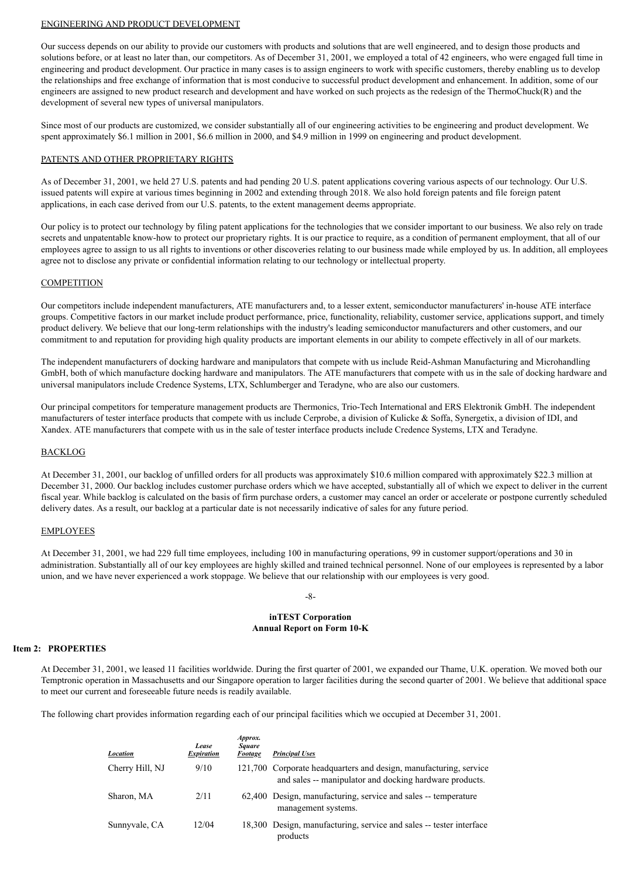## ENGINEERING AND PRODUCT DEVELOPMENT

Our success depends on our ability to provide our customers with products and solutions that are well engineered, and to design those products and solutions before, or at least no later than, our competitors. As of December 31, 2001, we employed a total of 42 engineers, who were engaged full time in engineering and product development. Our practice in many cases is to assign engineers to work with specific customers, thereby enabling us to develop the relationships and free exchange of information that is most conducive to successful product development and enhancement. In addition, some of our engineers are assigned to new product research and development and have worked on such projects as the redesign of the ThermoChuck(R) and the development of several new types of universal manipulators.

Since most of our products are customized, we consider substantially all of our engineering activities to be engineering and product development. We spent approximately \$6.1 million in 2001, \$6.6 million in 2000, and \$4.9 million in 1999 on engineering and product development.

### PATENTS AND OTHER PROPRIETARY RIGHTS

As of December 31, 2001, we held 27 U.S. patents and had pending 20 U.S. patent applications covering various aspects of our technology. Our U.S. issued patents will expire at various times beginning in 2002 and extending through 2018. We also hold foreign patents and file foreign patent applications, in each case derived from our U.S. patents, to the extent management deems appropriate.

Our policy is to protect our technology by filing patent applications for the technologies that we consider important to our business. We also rely on trade secrets and unpatentable know-how to protect our proprietary rights. It is our practice to require, as a condition of permanent employment, that all of our employees agree to assign to us all rights to inventions or other discoveries relating to our business made while employed by us. In addition, all employees agree not to disclose any private or confidential information relating to our technology or intellectual property.

## **COMPETITION**

Our competitors include independent manufacturers, ATE manufacturers and, to a lesser extent, semiconductor manufacturers' in-house ATE interface groups. Competitive factors in our market include product performance, price, functionality, reliability, customer service, applications support, and timely product delivery. We believe that our long-term relationships with the industry's leading semiconductor manufacturers and other customers, and our commitment to and reputation for providing high quality products are important elements in our ability to compete effectively in all of our markets.

The independent manufacturers of docking hardware and manipulators that compete with us include Reid-Ashman Manufacturing and Microhandling GmbH, both of which manufacture docking hardware and manipulators. The ATE manufacturers that compete with us in the sale of docking hardware and universal manipulators include Credence Systems, LTX, Schlumberger and Teradyne, who are also our customers.

Our principal competitors for temperature management products are Thermonics, Trio-Tech International and ERS Elektronik GmbH. The independent manufacturers of tester interface products that compete with us include Cerprobe, a division of Kulicke & Soffa, Synergetix, a division of IDI, and Xandex. ATE manufacturers that compete with us in the sale of tester interface products include Credence Systems, LTX and Teradyne.

## **BACKLOG**

At December 31, 2001, our backlog of unfilled orders for all products was approximately \$10.6 million compared with approximately \$22.3 million at December 31, 2000. Our backlog includes customer purchase orders which we have accepted, substantially all of which we expect to deliver in the current fiscal year. While backlog is calculated on the basis of firm purchase orders, a customer may cancel an order or accelerate or postpone currently scheduled delivery dates. As a result, our backlog at a particular date is not necessarily indicative of sales for any future period.

### **EMPLOYEES**

At December 31, 2001, we had 229 full time employees, including 100 in manufacturing operations, 99 in customer support/operations and 30 in administration. Substantially all of our key employees are highly skilled and trained technical personnel. None of our employees is represented by a labor union, and we have never experienced a work stoppage. We believe that our relationship with our employees is very good.

### -8-

## **inTEST Corporation Annual Report on Form 10-K**

## **Item 2: PROPERTIES**

At December 31, 2001, we leased 11 facilities worldwide. During the first quarter of 2001, we expanded our Thame, U.K. operation. We moved both our Temptronic operation in Massachusetts and our Singapore operation to larger facilities during the second quarter of 2001. We believe that additional space to meet our current and foreseeable future needs is readily available.

The following chart provides information regarding each of our principal facilities which we occupied at December 31, 2001.

| Location        | Lease<br><b>Expiration</b> | Approx.<br><b>Square</b><br><b>Footage</b> | <b>Principal Uses</b>                                                                                                        |
|-----------------|----------------------------|--------------------------------------------|------------------------------------------------------------------------------------------------------------------------------|
| Cherry Hill, NJ | 9/10                       |                                            | 121,700 Corporate headquarters and design, manufacturing, service<br>and sales -- manipulator and docking hardware products. |
| Sharon, MA      | 2/11                       |                                            | 62,400 Design, manufacturing, service and sales -- temperature<br>management systems.                                        |
| Sunnyvale, CA   | 12/04                      |                                            | 18,300 Design, manufacturing, service and sales -- tester interface<br>products                                              |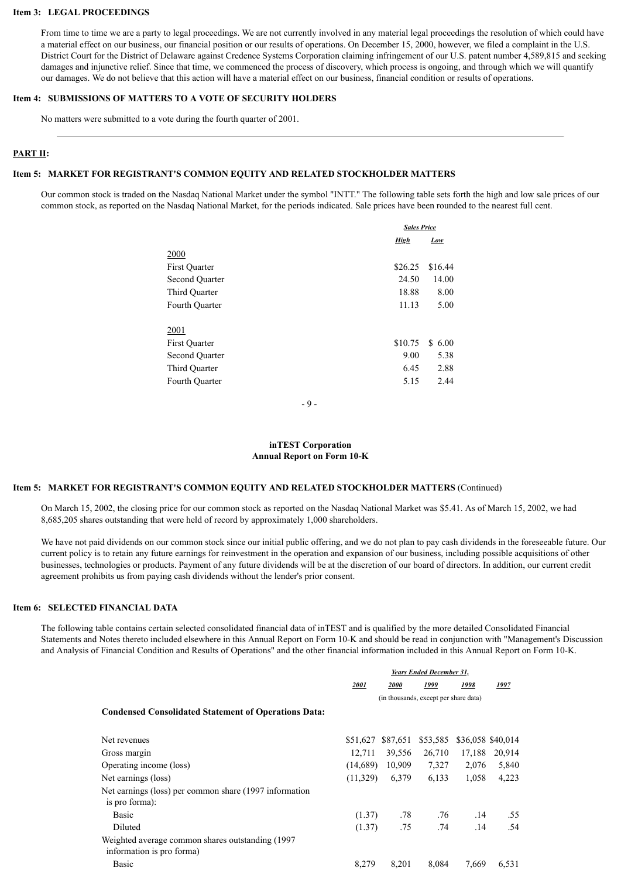### **Item 3: LEGAL PROCEEDINGS**

From time to time we are a party to legal proceedings. We are not currently involved in any material legal proceedings the resolution of which could have a material effect on our business, our financial position or our results of operations. On December 15, 2000, however, we filed a complaint in the U.S. District Court for the District of Delaware against Credence Systems Corporation claiming infringement of our U.S. patent number 4,589,815 and seeking damages and injunctive relief. Since that time, we commenced the process of discovery, which process is ongoing, and through which we will quantify our damages. We do not believe that this action will have a material effect on our business, financial condition or results of operations.

## **Item 4: SUBMISSIONS OF MATTERS TO A VOTE OF SECURITY HOLDERS**

No matters were submitted to a vote during the fourth quarter of 2001.

## **PART II:**

## **Item 5: MARKET FOR REGISTRANT'S COMMON EQUITY AND RELATED STOCKHOLDER MATTERS**

Our common stock is traded on the Nasdaq National Market under the symbol "INTT." The following table sets forth the high and low sale prices of our common stock, as reported on the Nasdaq National Market, for the periods indicated. Sale prices have been rounded to the nearest full cent.

|                       | <b>Sales Price</b> |         |  |
|-----------------------|--------------------|---------|--|
|                       | <b>High</b>        | Low     |  |
| 2000                  |                    |         |  |
| First Quarter         | \$26.25            | \$16.44 |  |
| Second Quarter        | 24.50              | 14.00   |  |
| Third Quarter         | 18.88              | 8.00    |  |
| Fourth Quarter        | 11.13              | 5.00    |  |
| 2001                  |                    |         |  |
| First Quarter         | \$10.75            | \$6.00  |  |
| <b>Second Ouarter</b> | 9.00               | 5.38    |  |
| Third Quarter         | 6.45               | 2.88    |  |
| Fourth Quarter        | 5.15               | 2.44    |  |
|                       |                    |         |  |

- 9 -

## **inTEST Corporation Annual Report on Form 10-K**

## **Item 5: MARKET FOR REGISTRANT'S COMMON EQUITY AND RELATED STOCKHOLDER MATTERS** (Continued)

On March 15, 2002, the closing price for our common stock as reported on the Nasdaq National Market was \$5.41. As of March 15, 2002, we had 8,685,205 shares outstanding that were held of record by approximately 1,000 shareholders.

We have not paid dividends on our common stock since our initial public offering, and we do not plan to pay cash dividends in the foreseeable future. Our current policy is to retain any future earnings for reinvestment in the operation and expansion of our business, including possible acquisitions of other businesses, technologies or products. Payment of any future dividends will be at the discretion of our board of directors. In addition, our current credit agreement prohibits us from paying cash dividends without the lender's prior consent.

### **Item 6: SELECTED FINANCIAL DATA**

The following table contains certain selected consolidated financial data of inTEST and is qualified by the more detailed Consolidated Financial Statements and Notes thereto included elsewhere in this Annual Report on Form 10-K and should be read in conjunction with "Management's Discussion and Analysis of Financial Condition and Results of Operations" and the other financial information included in this Annual Report on Form 10-K.

*Years Ended December 31,*

|                                                                                | 2001     | <i>2000</i> | 1999                                  | 1998   | 1997              |
|--------------------------------------------------------------------------------|----------|-------------|---------------------------------------|--------|-------------------|
|                                                                                |          |             | (in thousands, except per share data) |        |                   |
| <b>Condensed Consolidated Statement of Operations Data:</b>                    |          |             |                                       |        |                   |
| Net revenues                                                                   | \$51,627 | \$87,651    | \$53,585                              |        | \$36,058 \$40,014 |
| Gross margin                                                                   | 12,711   | 39,556      | 26,710                                | 17,188 | 20,914            |
| Operating income (loss)                                                        | (14,689) | 10,909      | 7,327                                 | 2,076  | 5,840             |
| Net earnings (loss)                                                            | (11,329) | 6,379       | 6,133                                 | 1,058  | 4,223             |
| Net earnings (loss) per common share (1997 information<br>is pro forma):       |          |             |                                       |        |                   |
| <b>Basic</b>                                                                   | (1.37)   | .78         | .76                                   | .14    | .55               |
| Diluted                                                                        | (1.37)   | .75         | .74                                   | .14    | .54               |
| Weighted average common shares outstanding (1997)<br>information is pro forma) |          |             |                                       |        |                   |
| <b>Basic</b>                                                                   | 8,279    | 8,201       | 8,084                                 | 7.669  | 6,531             |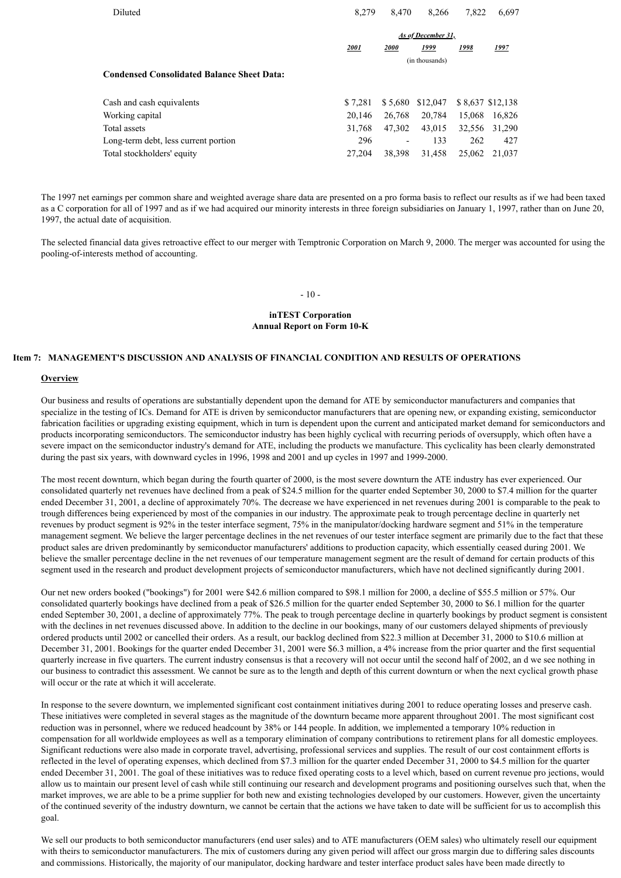| Diluted                                           | 8.279   | 8.470                    | 8.266              | 7.822  | 6,697            |
|---------------------------------------------------|---------|--------------------------|--------------------|--------|------------------|
|                                                   |         |                          | As of December 31, |        |                  |
|                                                   | 2001    | 2000                     | 1999               | 1998   | <u> 1997</u>     |
|                                                   |         |                          | (in thousands)     |        |                  |
| <b>Condensed Consolidated Balance Sheet Data:</b> |         |                          |                    |        |                  |
| Cash and cash equivalents                         | \$7.281 | \$5.680                  | \$12,047           |        | \$8,637 \$12,138 |
| Working capital                                   | 20,146  | 26,768                   | 20,784             | 15.068 | 16,826           |
| Total assets                                      | 31,768  | 47.302                   | 43.015             | 32.556 | 31,290           |
| Long-term debt, less current portion              | 296     | $\overline{\phantom{0}}$ | 133                | 262    | 427              |
| Total stockholders' equity                        | 27,204  | 38.398                   | 31.458             | 25,062 | 21,037           |

The 1997 net earnings per common share and weighted average share data are presented on a pro forma basis to reflect our results as if we had been taxed as a C corporation for all of 1997 and as if we had acquired our minority interests in three foreign subsidiaries on January 1, 1997, rather than on June 20, 1997, the actual date of acquisition.

The selected financial data gives retroactive effect to our merger with Temptronic Corporation on March 9, 2000. The merger was accounted for using the pooling-of-interests method of accounting.

### $-10-$

### **inTEST Corporation Annual Report on Form 10-K**

### **Item 7: MANAGEMENT'S DISCUSSION AND ANALYSIS OF FINANCIAL CONDITION AND RESULTS OF OPERATIONS**

#### **Overview**

Our business and results of operations are substantially dependent upon the demand for ATE by semiconductor manufacturers and companies that specialize in the testing of ICs. Demand for ATE is driven by semiconductor manufacturers that are opening new, or expanding existing, semiconductor fabrication facilities or upgrading existing equipment, which in turn is dependent upon the current and anticipated market demand for semiconductors and products incorporating semiconductors. The semiconductor industry has been highly cyclical with recurring periods of oversupply, which often have a severe impact on the semiconductor industry's demand for ATE, including the products we manufacture. This cyclicality has been clearly demonstrated during the past six years, with downward cycles in 1996, 1998 and 2001 and up cycles in 1997 and 1999-2000.

The most recent downturn, which began during the fourth quarter of 2000, is the most severe downturn the ATE industry has ever experienced. Our consolidated quarterly net revenues have declined from a peak of \$24.5 million for the quarter ended September 30, 2000 to \$7.4 million for the quarter ended December 31, 2001, a decline of approximately 70%. The decrease we have experienced in net revenues during 2001 is comparable to the peak to trough differences being experienced by most of the companies in our industry. The approximate peak to trough percentage decline in quarterly net revenues by product segment is 92% in the tester interface segment, 75% in the manipulator/docking hardware segment and 51% in the temperature management segment. We believe the larger percentage declines in the net revenues of our tester interface segment are primarily due to the fact that these product sales are driven predominantly by semiconductor manufacturers' additions to production capacity, which essentially ceased during 2001. We believe the smaller percentage decline in the net revenues of our temperature management segment are the result of demand for certain products of this segment used in the research and product development projects of semiconductor manufacturers, which have not declined significantly during 2001.

Our net new orders booked ("bookings") for 2001 were \$42.6 million compared to \$98.1 million for 2000, a decline of \$55.5 million or 57%. Our consolidated quarterly bookings have declined from a peak of \$26.5 million for the quarter ended September 30, 2000 to \$6.1 million for the quarter ended September 30, 2001, a decline of approximately 77%. The peak to trough percentage decline in quarterly bookings by product segment is consistent with the declines in net revenues discussed above. In addition to the decline in our bookings, many of our customers delayed shipments of previously ordered products until 2002 or cancelled their orders. As a result, our backlog declined from \$22.3 million at December 31, 2000 to \$10.6 million at December 31, 2001. Bookings for the quarter ended December 31, 2001 were \$6.3 million, a 4% increase from the prior quarter and the first sequential quarterly increase in five quarters. The current industry consensus is that a recovery will not occur until the second half of 2002, an d we see nothing in our business to contradict this assessment. We cannot be sure as to the length and depth of this current downturn or when the next cyclical growth phase will occur or the rate at which it will accelerate.

In response to the severe downturn, we implemented significant cost containment initiatives during 2001 to reduce operating losses and preserve cash. These initiatives were completed in several stages as the magnitude of the downturn became more apparent throughout 2001. The most significant cost reduction was in personnel, where we reduced headcount by 38% or 144 people. In addition, we implemented a temporary 10% reduction in compensation for all worldwide employees as well as a temporary elimination of company contributions to retirement plans for all domestic employees. Significant reductions were also made in corporate travel, advertising, professional services and supplies. The result of our cost containment efforts is reflected in the level of operating expenses, which declined from \$7.3 million for the quarter ended December 31, 2000 to \$4.5 million for the quarter ended December 31, 2001. The goal of these initiatives was to reduce fixed operating costs to a level which, based on current revenue pro jections, would allow us to maintain our present level of cash while still continuing our research and development programs and positioning ourselves such that, when the market improves, we are able to be a prime supplier for both new and existing technologies developed by our customers. However, given the uncertainty of the continued severity of the industry downturn, we cannot be certain that the actions we have taken to date will be sufficient for us to accomplish this goal.

We sell our products to both semiconductor manufacturers (end user sales) and to ATE manufacturers (OEM sales) who ultimately resell our equipment with theirs to semiconductor manufacturers. The mix of customers during any given period will affect our gross margin due to differing sales discounts and commissions. Historically, the majority of our manipulator, docking hardware and tester interface product sales have been made directly to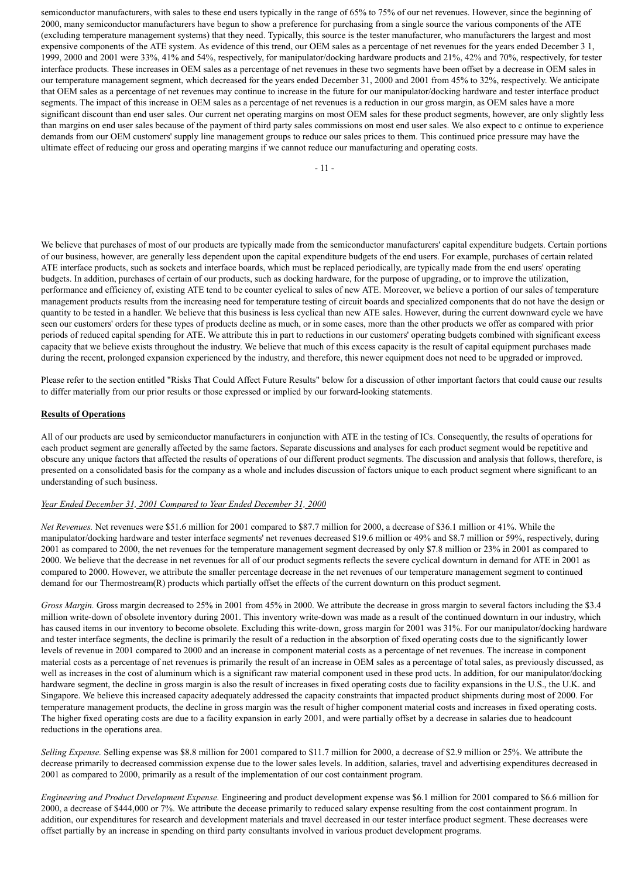semiconductor manufacturers, with sales to these end users typically in the range of 65% to 75% of our net revenues. However, since the beginning of 2000, many semiconductor manufacturers have begun to show a preference for purchasing from a single source the various components of the ATE (excluding temperature management systems) that they need. Typically, this source is the tester manufacturer, who manufacturers the largest and most expensive components of the ATE system. As evidence of this trend, our OEM sales as a percentage of net revenues for the years ended December 3 1, 1999, 2000 and 2001 were 33%, 41% and 54%, respectively, for manipulator/docking hardware products and 21%, 42% and 70%, respectively, for tester interface products. These increases in OEM sales as a percentage of net revenues in these two segments have been offset by a decrease in OEM sales in our temperature management segment, which decreased for the years ended December 31, 2000 and 2001 from 45% to 32%, respectively. We anticipate that OEM sales as a percentage of net revenues may continue to increase in the future for our manipulator/docking hardware and tester interface product segments. The impact of this increase in OEM sales as a percentage of net revenues is a reduction in our gross margin, as OEM sales have a more significant discount than end user sales. Our current net operating margins on most OEM sales for these product segments, however, are only slightly less than margins on end user sales because of the payment of third party sales commissions on most end user sales. We also expect to c ontinue to experience demands from our OEM customers' supply line management groups to reduce our sales prices to them. This continued price pressure may have the ultimate effect of reducing our gross and operating margins if we cannot reduce our manufacturing and operating costs.

We believe that purchases of most of our products are typically made from the semiconductor manufacturers' capital expenditure budgets. Certain portions of our business, however, are generally less dependent upon the capital expenditure budgets of the end users. For example, purchases of certain related ATE interface products, such as sockets and interface boards, which must be replaced periodically, are typically made from the end users' operating budgets. In addition, purchases of certain of our products, such as docking hardware, for the purpose of upgrading, or to improve the utilization, performance and efficiency of, existing ATE tend to be counter cyclical to sales of new ATE. Moreover, we believe a portion of our sales of temperature management products results from the increasing need for temperature testing of circuit boards and specialized components that do not have the design or quantity to be tested in a handler. We believe that this business is less cyclical than new ATE sales. However, during the current downward cycle we have seen our customers' orders for these types of products decline as much, or in some cases, more than the other products we offer as compared with prior periods of reduced capital spending for ATE. We attribute this in part to reductions in our customers' operating budgets combined with significant excess capacity that we believe exists throughout the industry. We believe that much of this excess capacity is the result of capital equipment purchases made during the recent, prolonged expansion experienced by the industry, and therefore, this newer equipment does not need to be upgraded or improved.

Please refer to the section entitled "Risks That Could Affect Future Results" below for a discussion of other important factors that could cause our results to differ materially from our prior results or those expressed or implied by our forward-looking statements.

## **Results of Operations**

All of our products are used by semiconductor manufacturers in conjunction with ATE in the testing of ICs. Consequently, the results of operations for each product segment are generally affected by the same factors. Separate discussions and analyses for each product segment would be repetitive and obscure any unique factors that affected the results of operations of our different product segments. The discussion and analysis that follows, therefore, is presented on a consolidated basis for the company as a whole and includes discussion of factors unique to each product segment where significant to an understanding of such business.

## *Year Ended December 31, 2001 Compared to Year Ended December 31, 2000*

*Net Revenues.* Net revenues were \$51.6 million for 2001 compared to \$87.7 million for 2000, a decrease of \$36.1 million or 41%. While the manipulator/docking hardware and tester interface segments' net revenues decreased \$19.6 million or 49% and \$8.7 million or 59%, respectively, during 2001 as compared to 2000, the net revenues for the temperature management segment decreased by only \$7.8 million or 23% in 2001 as compared to 2000. We believe that the decrease in net revenues for all of our product segments reflects the severe cyclical downturn in demand for ATE in 2001 as compared to 2000. However, we attribute the smaller percentage decrease in the net revenues of our temperature management segment to continued demand for our Thermostream(R) products which partially offset the effects of the current downturn on this product segment.

*Gross Margin.* Gross margin decreased to 25% in 2001 from 45% in 2000. We attribute the decrease in gross margin to several factors including the \$3.4 million write-down of obsolete inventory during 2001. This inventory write-down was made as a result of the continued downturn in our industry, which has caused items in our inventory to become obsolete. Excluding this write-down, gross margin for 2001 was 31%. For our manipulator/docking hardware and tester interface segments, the decline is primarily the result of a reduction in the absorption of fixed operating costs due to the significantly lower levels of revenue in 2001 compared to 2000 and an increase in component material costs as a percentage of net revenues. The increase in component material costs as a percentage of net revenues is primarily the result of an increase in OEM sales as a percentage of total sales, as previously discussed, as well as increases in the cost of aluminum which is a significant raw material component used in these prod ucts. In addition, for our manipulator/docking hardware segment, the decline in gross margin is also the result of increases in fixed operating costs due to facility expansions in the U.S., the U.K. and Singapore. We believe this increased capacity adequately addressed the capacity constraints that impacted product shipments during most of 2000. For temperature management products, the decline in gross margin was the result of higher component material costs and increases in fixed operating costs. The higher fixed operating costs are due to a facility expansion in early 2001, and were partially offset by a decrease in salaries due to headcount reductions in the operations area.

*Selling Expense.* Selling expense was \$8.8 million for 2001 compared to \$11.7 million for 2000, a decrease of \$2.9 million or 25%. We attribute the decrease primarily to decreased commission expense due to the lower sales levels. In addition, salaries, travel and advertising expenditures decreased in 2001 as compared to 2000, primarily as a result of the implementation of our cost containment program.

*Engineering and Product Development Expense.* Engineering and product development expense was \$6.1 million for 2001 compared to \$6.6 million for 2000, a decrease of \$444,000 or 7%. We attribute the decease primarily to reduced salary expense resulting from the cost containment program. In addition, our expenditures for research and development materials and travel decreased in our tester interface product segment. These decreases were offset partially by an increase in spending on third party consultants involved in various product development programs.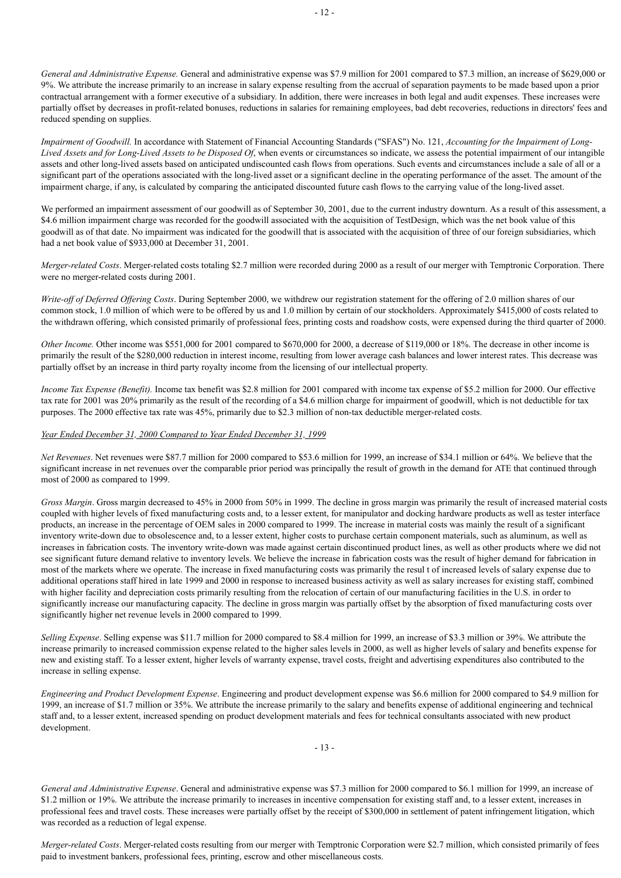*General and Administrative Expense.* General and administrative expense was \$7.9 million for 2001 compared to \$7.3 million, an increase of \$629,000 or 9%. We attribute the increase primarily to an increase in salary expense resulting from the accrual of separation payments to be made based upon a prior contractual arrangement with a former executive of a subsidiary. In addition, there were increases in both legal and audit expenses. These increases were partially offset by decreases in profit-related bonuses, reductions in salaries for remaining employees, bad debt recoveries, reductions in directors' fees and reduced spending on supplies.

*Impairment of Goodwill.* In accordance with Statement of Financial Accounting Standards ("SFAS") No. 121, *Accounting for the Impairment of Long-Lived Assets and for Long-Lived Assets to be Disposed Of*, when events or circumstances so indicate, we assess the potential impairment of our intangible assets and other long-lived assets based on anticipated undiscounted cash flows from operations. Such events and circumstances include a sale of all or a significant part of the operations associated with the long-lived asset or a significant decline in the operating performance of the asset. The amount of the impairment charge, if any, is calculated by comparing the anticipated discounted future cash flows to the carrying value of the long-lived asset.

We performed an impairment assessment of our goodwill as of September 30, 2001, due to the current industry downturn. As a result of this assessment, a \$4.6 million impairment charge was recorded for the goodwill associated with the acquisition of TestDesign, which was the net book value of this goodwill as of that date. No impairment was indicated for the goodwill that is associated with the acquisition of three of our foreign subsidiaries, which had a net book value of \$933,000 at December 31, 2001.

*Merger-related Costs*. Merger-related costs totaling \$2.7 million were recorded during 2000 as a result of our merger with Temptronic Corporation. There were no merger-related costs during 2001.

*Write-off of Deferred Offering Costs*. During September 2000, we withdrew our registration statement for the offering of 2.0 million shares of our common stock, 1.0 million of which were to be offered by us and 1.0 million by certain of our stockholders. Approximately \$415,000 of costs related to the withdrawn offering, which consisted primarily of professional fees, printing costs and roadshow costs, were expensed during the third quarter of 2000.

*Other Income.* Other income was \$551,000 for 2001 compared to \$670,000 for 2000, a decrease of \$119,000 or 18%. The decrease in other income is primarily the result of the \$280,000 reduction in interest income, resulting from lower average cash balances and lower interest rates. This decrease was partially offset by an increase in third party royalty income from the licensing of our intellectual property.

*Income Tax Expense (Benefit).* Income tax benefit was \$2.8 million for 2001 compared with income tax expense of \$5.2 million for 2000. Our effective tax rate for 2001 was 20% primarily as the result of the recording of a \$4.6 million charge for impairment of goodwill, which is not deductible for tax purposes. The 2000 effective tax rate was 45%, primarily due to \$2.3 million of non-tax deductible merger-related costs.

## *Year Ended December 31, 2000 Compared to Year Ended December 31, 1999*

*Net Revenues*. Net revenues were \$87.7 million for 2000 compared to \$53.6 million for 1999, an increase of \$34.1 million or 64%. We believe that the significant increase in net revenues over the comparable prior period was principally the result of growth in the demand for ATE that continued through most of 2000 as compared to 1999.

*Gross Margin*. Gross margin decreased to 45% in 2000 from 50% in 1999. The decline in gross margin was primarily the result of increased material costs coupled with higher levels of fixed manufacturing costs and, to a lesser extent, for manipulator and docking hardware products as well as tester interface products, an increase in the percentage of OEM sales in 2000 compared to 1999. The increase in material costs was mainly the result of a significant inventory write-down due to obsolescence and, to a lesser extent, higher costs to purchase certain component materials, such as aluminum, as well as increases in fabrication costs. The inventory write-down was made against certain discontinued product lines, as well as other products where we did not see significant future demand relative to inventory levels. We believe the increase in fabrication costs was the result of higher demand for fabrication in most of the markets where we operate. The increase in fixed manufacturing costs was primarily the resul t of increased levels of salary expense due to additional operations staff hired in late 1999 and 2000 in response to increased business activity as well as salary increases for existing staff, combined with higher facility and depreciation costs primarily resulting from the relocation of certain of our manufacturing facilities in the U.S. in order to significantly increase our manufacturing capacity. The decline in gross margin was partially offset by the absorption of fixed manufacturing costs over significantly higher net revenue levels in 2000 compared to 1999.

*Selling Expense*. Selling expense was \$11.7 million for 2000 compared to \$8.4 million for 1999, an increase of \$3.3 million or 39%. We attribute the increase primarily to increased commission expense related to the higher sales levels in 2000, as well as higher levels of salary and benefits expense for new and existing staff. To a lesser extent, higher levels of warranty expense, travel costs, freight and advertising expenditures also contributed to the increase in selling expense.

*Engineering and Product Development Expense*. Engineering and product development expense was \$6.6 million for 2000 compared to \$4.9 million for 1999, an increase of \$1.7 million or 35%. We attribute the increase primarily to the salary and benefits expense of additional engineering and technical staff and, to a lesser extent, increased spending on product development materials and fees for technical consultants associated with new product development.

 $-13 -$ 

*General and Administrative Expense*. General and administrative expense was \$7.3 million for 2000 compared to \$6.1 million for 1999, an increase of \$1.2 million or 19%. We attribute the increase primarily to increases in incentive compensation for existing staff and, to a lesser extent, increases in professional fees and travel costs. These increases were partially offset by the receipt of \$300,000 in settlement of patent infringement litigation, which was recorded as a reduction of legal expense.

*Merger-related Costs*. Merger-related costs resulting from our merger with Temptronic Corporation were \$2.7 million, which consisted primarily of fees paid to investment bankers, professional fees, printing, escrow and other miscellaneous costs.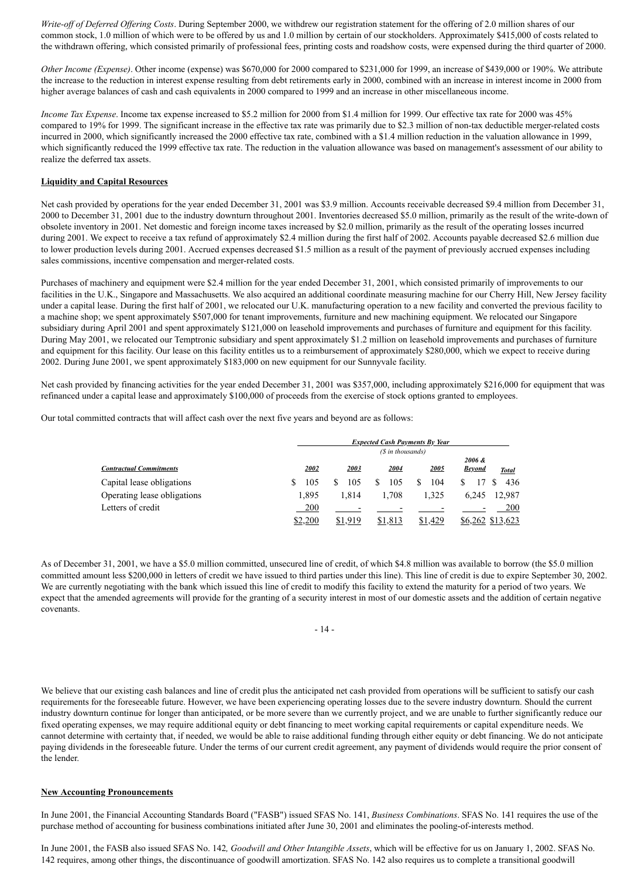*Write-off of Deferred Offering Costs*. During September 2000, we withdrew our registration statement for the offering of 2.0 million shares of our common stock, 1.0 million of which were to be offered by us and 1.0 million by certain of our stockholders. Approximately \$415,000 of costs related to the withdrawn offering, which consisted primarily of professional fees, printing costs and roadshow costs, were expensed during the third quarter of 2000.

*Other Income (Expense)*. Other income (expense) was \$670,000 for 2000 compared to \$231,000 for 1999, an increase of \$439,000 or 190%. We attribute the increase to the reduction in interest expense resulting from debt retirements early in 2000, combined with an increase in interest income in 2000 from higher average balances of cash and cash equivalents in 2000 compared to 1999 and an increase in other miscellaneous income.

*Income Tax Expense*. Income tax expense increased to \$5.2 million for 2000 from \$1.4 million for 1999. Our effective tax rate for 2000 was 45% compared to 19% for 1999. The significant increase in the effective tax rate was primarily due to \$2.3 million of non-tax deductible merger-related costs incurred in 2000, which significantly increased the 2000 effective tax rate, combined with a \$1.4 million reduction in the valuation allowance in 1999, which significantly reduced the 1999 effective tax rate. The reduction in the valuation allowance was based on management's assessment of our ability to realize the deferred tax assets.

## **Liquidity and Capital Resources**

Net cash provided by operations for the year ended December 31, 2001 was \$3.9 million. Accounts receivable decreased \$9.4 million from December 31, 2000 to December 31, 2001 due to the industry downturn throughout 2001. Inventories decreased \$5.0 million, primarily as the result of the write-down of obsolete inventory in 2001. Net domestic and foreign income taxes increased by \$2.0 million, primarily as the result of the operating losses incurred during 2001. We expect to receive a tax refund of approximately \$2.4 million during the first half of 2002. Accounts payable decreased \$2.6 million due to lower production levels during 2001. Accrued expenses decreased \$1.5 million as a result of the payment of previously accrued expenses including sales commissions, incentive compensation and merger-related costs.

Purchases of machinery and equipment were \$2.4 million for the year ended December 31, 2001, which consisted primarily of improvements to our facilities in the U.K., Singapore and Massachusetts. We also acquired an additional coordinate measuring machine for our Cherry Hill, New Jersey facility under a capital lease. During the first half of 2001, we relocated our U.K. manufacturing operation to a new facility and converted the previous facility to a machine shop; we spent approximately \$507,000 for tenant improvements, furniture and new machining equipment. We relocated our Singapore subsidiary during April 2001 and spent approximately \$121,000 on leasehold improvements and purchases of furniture and equipment for this facility. During May 2001, we relocated our Temptronic subsidiary and spent approximately \$1.2 million on leasehold improvements and purchases of furniture and equipment for this facility. Our lease on this facility entitles us to a reimbursement of approximately \$280,000, which we expect to receive during 2002. During June 2001, we spent approximately \$183,000 on new equipment for our Sunnyvale facility.

Net cash provided by financing activities for the year ended December 31, 2001 was \$357,000, including approximately \$216,000 for equipment that was refinanced under a capital lease and approximately \$100,000 of proceeds from the exercise of stock options granted to employees.

Our total committed contracts that will affect cash over the next five years and beyond are as follows:

|                                |          |         |                   | <b>Expected Cash Payments By Year</b> |                         |                  |
|--------------------------------|----------|---------|-------------------|---------------------------------------|-------------------------|------------------|
|                                |          |         | (\$ in thousands) |                                       |                         |                  |
| <b>Contractual Commitments</b> | 2002     | 2003    | 2004              | 2005                                  | 2006 &<br><b>Beyond</b> | <b>Total</b>     |
| Capital lease obligations      | 105<br>S | 105     | 105               | 104                                   | S                       | 436              |
| Operating lease obligations    | 1.895    | 1.814   | 1.708             | 1.325                                 | 6.245                   | 12.987           |
| Letters of credit              | 200      |         |                   |                                       |                         | 200              |
|                                | \$2,200  | \$1,919 | .813              | \$1,429                               |                         | \$6,262 \$13,623 |

As of December 31, 2001, we have a \$5.0 million committed, unsecured line of credit, of which \$4.8 million was available to borrow (the \$5.0 million committed amount less \$200,000 in letters of credit we have issued to third parties under this line). This line of credit is due to expire September 30, 2002. We are currently negotiating with the bank which issued this line of credit to modify this facility to extend the maturity for a period of two years. We expect that the amended agreements will provide for the granting of a security interest in most of our domestic assets and the addition of certain negative covenants.

- 14 -

We believe that our existing cash balances and line of credit plus the anticipated net cash provided from operations will be sufficient to satisfy our cash requirements for the foreseeable future. However, we have been experiencing operating losses due to the severe industry downturn. Should the current industry downturn continue for longer than anticipated, or be more severe than we currently project, and we are unable to further significantly reduce our fixed operating expenses, we may require additional equity or debt financing to meet working capital requirements or capital expenditure needs. We cannot determine with certainty that, if needed, we would be able to raise additional funding through either equity or debt financing. We do not anticipate paying dividends in the foreseeable future. Under the terms of our current credit agreement, any payment of dividends would require the prior consent of the lender.

### **New Accounting Pronouncements**

In June 2001, the Financial Accounting Standards Board ("FASB") issued SFAS No. 141, *Business Combinations*. SFAS No. 141 requires the use of the purchase method of accounting for business combinations initiated after June 30, 2001 and eliminates the pooling-of-interests method.

In June 2001, the FASB also issued SFAS No. 142*, Goodwill and Other Intangible Assets*, which will be effective for us on January 1, 2002. SFAS No. 142 requires, among other things, the discontinuance of goodwill amortization. SFAS No. 142 also requires us to complete a transitional goodwill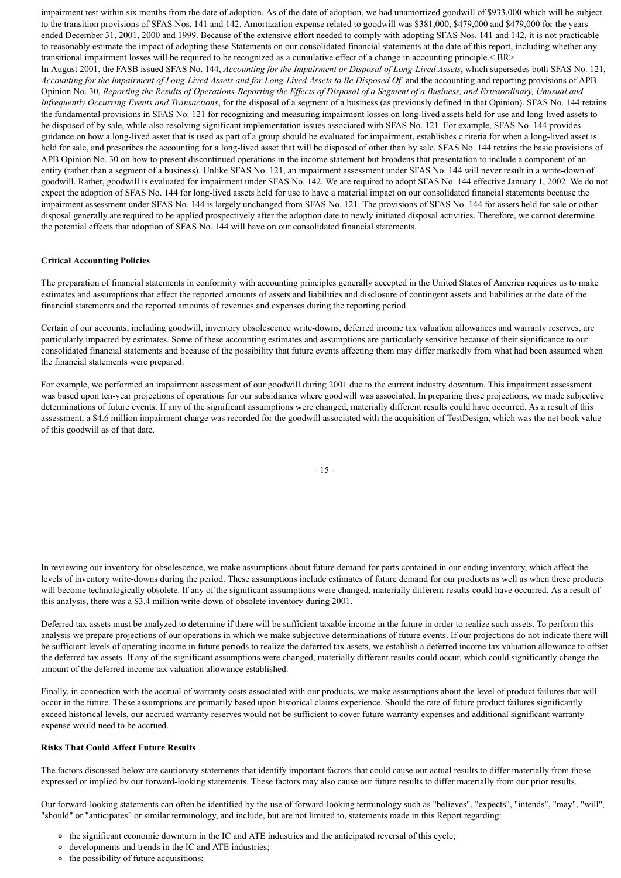impairment test within six months from the date of adoption. As of the date of adoption, we had unamortized goodwill of \$933,000 which will be subject to the transition provisions of SFAS Nos. 141 and 142. Amortization expense related to goodwill was \$381,000, \$479,000 and \$479,000 for the years ended December 31, 2001, 2000 and 1999. Because of the extensive effort needed to comply with adopting SFAS Nos. 141 and 142, it is not practicable to reasonably estimate the impact of adopting these Statements on our consolidated financial statements at the date of this report, including whether any transitional impairment losses will be required to be recognized as a cumulative effect of a change in accounting principle.< BR> In August 2001, the FASB issued SFAS No. 144, *Accounting for the Impairment or Disposal of Long-Lived Assets*, which supersedes both SFAS No. 121, *Accounting for the Impairment of Long-Lived Assets and for Long-Lived Assets to Be Disposed Of,* and the accounting and reporting provisions of APB Opinion No. 30, *Reporting the Results of Operations-Reporting the Effects of Disposal of a Segment of a Business, and Extraordinary, Unusual and Infrequently Occurring Events and Transactions*, for the disposal of a segment of a business (as previously defined in that Opinion). SFAS No. 144 retains the fundamental provisions in SFAS No. 121 for recognizing and measuring impairment losses on long-lived assets held for use and long-lived assets to be disposed of by sale, while also resolving significant implementation issues associated with SFAS No. 121. For example, SFAS No. 144 provides guidance on how a long-lived asset that is used as part of a group should be evaluated for impairment, establishes c riteria for when a long-lived asset is held for sale, and prescribes the accounting for a long-lived asset that will be disposed of other than by sale. SFAS No. 144 retains the basic provisions of APB Opinion No. 30 on how to present discontinued operations in the income statement but broadens that presentation to include a component of an entity (rather than a segment of a business). Unlike SFAS No. 121, an impairment assessment under SFAS No. 144 will never result in a write-down of goodwill. Rather, goodwill is evaluated for impairment under SFAS No. 142. We are required to adopt SFAS No. 144 effective January 1, 2002. We do not expect the adoption of SFAS No. 144 for long-lived assets held for use to have a material impact on our consolidated financial statements because the impairment assessment under SFAS No. 144 is largely unchanged from SFAS No. 121. The provisions of SFAS No. 144 for assets held for sale or other disposal generally are required to be applied prospectively after the adoption date to newly initiated disposal activities. Therefore, we cannot determine the potential effects that adoption of SFAS No. 144 will have on our consolidated financial statements.

## **Critical Accounting Policies**

The preparation of financial statements in conformity with accounting principles generally accepted in the United States of America requires us to make estimates and assumptions that effect the reported amounts of assets and liabilities and disclosure of contingent assets and liabilities at the date of the financial statements and the reported amounts of revenues and expenses during the reporting period.

Certain of our accounts, including goodwill, inventory obsolescence write-downs, deferred income tax valuation allowances and warranty reserves, are particularly impacted by estimates. Some of these accounting estimates and assumptions are particularly sensitive because of their significance to our consolidated financial statements and because of the possibility that future events affecting them may differ markedly from what had been assumed when the financial statements were prepared.

For example, we performed an impairment assessment of our goodwill during 2001 due to the current industry downturn. This impairment assessment was based upon ten-year projections of operations for our subsidiaries where goodwill was associated. In preparing these projections, we made subjective determinations of future events. If any of the significant assumptions were changed, materially different results could have occurred. As a result of this assessment, a \$4.6 million impairment charge was recorded for the goodwill associated with the acquisition of TestDesign, which was the net book value of this goodwill as of that date.

- 15 -

In reviewing our inventory for obsolescence, we make assumptions about future demand for parts contained in our ending inventory, which affect the levels of inventory write-downs during the period. These assumptions include estimates of future demand for our products as well as when these products will become technologically obsolete. If any of the significant assumptions were changed, materially different results could have occurred. As a result of this analysis, there was a \$3.4 million write-down of obsolete inventory during 2001.

Deferred tax assets must be analyzed to determine if there will be sufficient taxable income in the future in order to realize such assets. To perform this analysis we prepare projections of our operations in which we make subjective determinations of future events. If our projections do not indicate there will be sufficient levels of operating income in future periods to realize the deferred tax assets, we establish a deferred income tax valuation allowance to offset the deferred tax assets. If any of the significant assumptions were changed, materially different results could occur, which could significantly change the amount of the deferred income tax valuation allowance established.

Finally, in connection with the accrual of warranty costs associated with our products, we make assumptions about the level of product failures that will occur in the future. These assumptions are primarily based upon historical claims experience. Should the rate of future product failures significantly exceed historical levels, our accrued warranty reserves would not be sufficient to cover future warranty expenses and additional significant warranty expense would need to be accrued.

### **Risks That Could Affect Future Results**

The factors discussed below are cautionary statements that identify important factors that could cause our actual results to differ materially from those expressed or implied by our forward-looking statements. These factors may also cause our future results to differ materially from our prior results.

Our forward-looking statements can often be identified by the use of forward-looking terminology such as "believes", "expects", "intends", "may", "will", "should" or "anticipates" or similar terminology, and include, but are not limited to, statements made in this Report regarding:

- the significant economic downturn in the IC and ATE industries and the anticipated reversal of this cycle;
- developments and trends in the IC and ATE industries;
- the possibility of future acquisitions;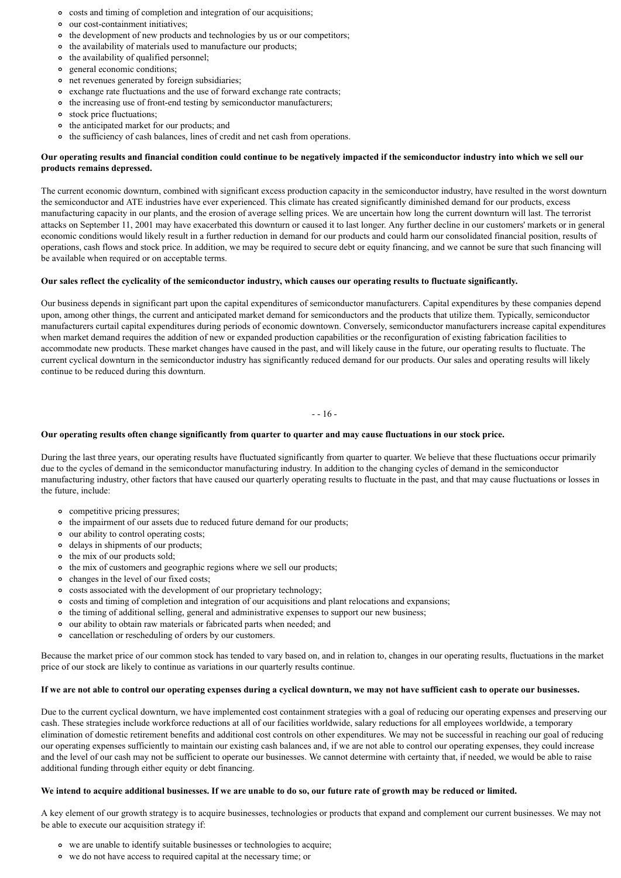- costs and timing of completion and integration of our acquisitions;
- our cost-containment initiatives;
- the development of new products and technologies by us or our competitors;
- $\circ$  the availability of materials used to manufacture our products;
- the availability of qualified personnel;
- general economic conditions;  $\circ$
- net revenues generated by foreign subsidiaries;
- exchange rate fluctuations and the use of forward exchange rate contracts;
- the increasing use of front-end testing by semiconductor manufacturers;
- stock price fluctuations;
- the anticipated market for our products; and
- o the sufficiency of cash balances, lines of credit and net cash from operations.

## **Our operating results and financial condition could continue to be negatively impacted if the semiconductor industry into which we sell our products remains depressed.**

The current economic downturn, combined with significant excess production capacity in the semiconductor industry, have resulted in the worst downturn the semiconductor and ATE industries have ever experienced. This climate has created significantly diminished demand for our products, excess manufacturing capacity in our plants, and the erosion of average selling prices. We are uncertain how long the current downturn will last. The terrorist attacks on September 11, 2001 may have exacerbated this downturn or caused it to last longer. Any further decline in our customers' markets or in general economic conditions would likely result in a further reduction in demand for our products and could harm our consolidated financial position, results of operations, cash flows and stock price. In addition, we may be required to secure debt or equity financing, and we cannot be sure that such financing will be available when required or on acceptable terms.

## **Our sales reflect the cyclicality of the semiconductor industry, which causes our operating results to fluctuate significantly.**

Our business depends in significant part upon the capital expenditures of semiconductor manufacturers. Capital expenditures by these companies depend upon, among other things, the current and anticipated market demand for semiconductors and the products that utilize them. Typically, semiconductor manufacturers curtail capital expenditures during periods of economic downtown. Conversely, semiconductor manufacturers increase capital expenditures when market demand requires the addition of new or expanded production capabilities or the reconfiguration of existing fabrication facilities to accommodate new products. These market changes have caused in the past, and will likely cause in the future, our operating results to fluctuate. The current cyclical downturn in the semiconductor industry has significantly reduced demand for our products. Our sales and operating results will likely continue to be reduced during this downturn.

- - 16 -

## **Our operating results often change significantly from quarter to quarter and may cause fluctuations in our stock price.**

During the last three years, our operating results have fluctuated significantly from quarter to quarter. We believe that these fluctuations occur primarily due to the cycles of demand in the semiconductor manufacturing industry. In addition to the changing cycles of demand in the semiconductor manufacturing industry, other factors that have caused our quarterly operating results to fluctuate in the past, and that may cause fluctuations or losses in the future, include:

- competitive pricing pressures;
- the impairment of our assets due to reduced future demand for our products;
- our ability to control operating costs;
- delays in shipments of our products;
- the mix of our products sold;
- the mix of customers and geographic regions where we sell our products;
- changes in the level of our fixed costs;
- costs associated with the development of our proprietary technology;
- costs and timing of completion and integration of our acquisitions and plant relocations and expansions;
- the timing of additional selling, general and administrative expenses to support our new business;
- our ability to obtain raw materials or fabricated parts when needed; and
- cancellation or rescheduling of orders by our customers.

Because the market price of our common stock has tended to vary based on, and in relation to, changes in our operating results, fluctuations in the market price of our stock are likely to continue as variations in our quarterly results continue.

## **If we are not able to control our operating expenses during a cyclical downturn, we may not have sufficient cash to operate our businesses.**

Due to the current cyclical downturn, we have implemented cost containment strategies with a goal of reducing our operating expenses and preserving our cash. These strategies include workforce reductions at all of our facilities worldwide, salary reductions for all employees worldwide, a temporary elimination of domestic retirement benefits and additional cost controls on other expenditures. We may not be successful in reaching our goal of reducing our operating expenses sufficiently to maintain our existing cash balances and, if we are not able to control our operating expenses, they could increase and the level of our cash may not be sufficient to operate our businesses. We cannot determine with certainty that, if needed, we would be able to raise additional funding through either equity or debt financing.

### **We intend to acquire additional businesses. If we are unable to do so, our future rate of growth may be reduced or limited.**

A key element of our growth strategy is to acquire businesses, technologies or products that expand and complement our current businesses. We may not be able to execute our acquisition strategy if:

- we are unable to identify suitable businesses or technologies to acquire;
- we do not have access to required capital at the necessary time; or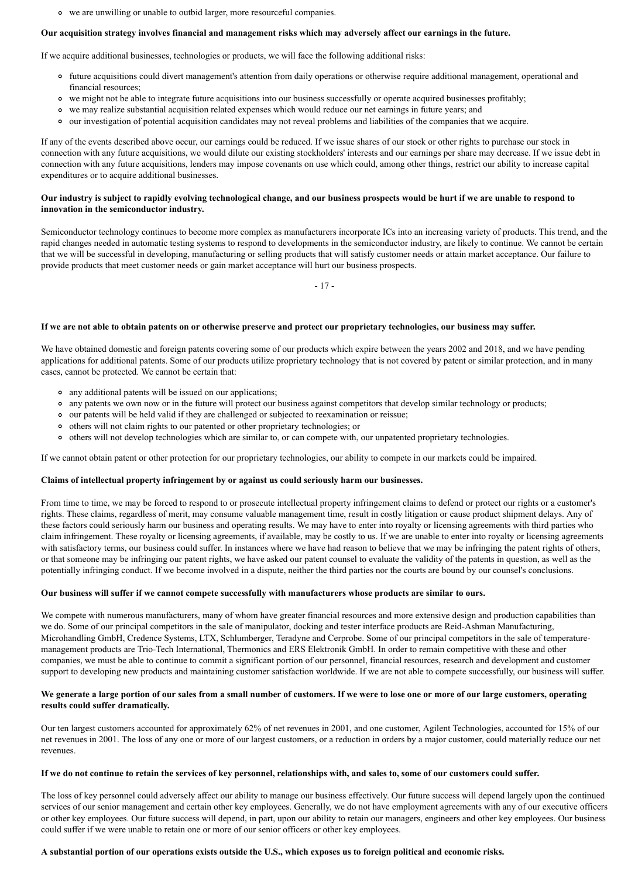we are unwilling or unable to outbid larger, more resourceful companies.

### **Our acquisition strategy involves financial and management risks which may adversely affect our earnings in the future.**

If we acquire additional businesses, technologies or products, we will face the following additional risks:

- future acquisitions could divert management's attention from daily operations or otherwise require additional management, operational and financial resources;
- we might not be able to integrate future acquisitions into our business successfully or operate acquired businesses profitably;
- we may realize substantial acquisition related expenses which would reduce our net earnings in future years; and
- our investigation of potential acquisition candidates may not reveal problems and liabilities of the companies that we acquire.

If any of the events described above occur, our earnings could be reduced. If we issue shares of our stock or other rights to purchase our stock in connection with any future acquisitions, we would dilute our existing stockholders' interests and our earnings per share may decrease. If we issue debt in connection with any future acquisitions, lenders may impose covenants on use which could, among other things, restrict our ability to increase capital expenditures or to acquire additional businesses.

## **Our industry is subject to rapidly evolving technological change, and our business prospects would be hurt if we are unable to respond to innovation in the semiconductor industry.**

Semiconductor technology continues to become more complex as manufacturers incorporate ICs into an increasing variety of products. This trend, and the rapid changes needed in automatic testing systems to respond to developments in the semiconductor industry, are likely to continue. We cannot be certain that we will be successful in developing, manufacturing or selling products that will satisfy customer needs or attain market acceptance. Our failure to provide products that meet customer needs or gain market acceptance will hurt our business prospects.

- 17 -

#### **If we are not able to obtain patents on or otherwise preserve and protect our proprietary technologies, our business may suffer.**

We have obtained domestic and foreign patents covering some of our products which expire between the years 2002 and 2018, and we have pending applications for additional patents. Some of our products utilize proprietary technology that is not covered by patent or similar protection, and in many cases, cannot be protected. We cannot be certain that:

- any additional patents will be issued on our applications;
- any patents we own now or in the future will protect our business against competitors that develop similar technology or products;
- our patents will be held valid if they are challenged or subjected to reexamination or reissue;
- others will not claim rights to our patented or other proprietary technologies; or
- others will not develop technologies which are similar to, or can compete with, our unpatented proprietary technologies.

If we cannot obtain patent or other protection for our proprietary technologies, our ability to compete in our markets could be impaired.

### **Claims of intellectual property infringement by or against us could seriously harm our businesses.**

From time to time, we may be forced to respond to or prosecute intellectual property infringement claims to defend or protect our rights or a customer's rights. These claims, regardless of merit, may consume valuable management time, result in costly litigation or cause product shipment delays. Any of these factors could seriously harm our business and operating results. We may have to enter into royalty or licensing agreements with third parties who claim infringement. These royalty or licensing agreements, if available, may be costly to us. If we are unable to enter into royalty or licensing agreements with satisfactory terms, our business could suffer. In instances where we have had reason to believe that we may be infringing the patent rights of others, or that someone may be infringing our patent rights, we have asked our patent counsel to evaluate the validity of the patents in question, as well as the potentially infringing conduct. If we become involved in a dispute, neither the third parties nor the courts are bound by our counsel's conclusions.

### **Our business will suffer if we cannot compete successfully with manufacturers whose products are similar to ours.**

We compete with numerous manufacturers, many of whom have greater financial resources and more extensive design and production capabilities than we do. Some of our principal competitors in the sale of manipulator, docking and tester interface products are Reid-Ashman Manufacturing, Microhandling GmbH, Credence Systems, LTX, Schlumberger, Teradyne and Cerprobe. Some of our principal competitors in the sale of temperaturemanagement products are Trio-Tech International, Thermonics and ERS Elektronik GmbH. In order to remain competitive with these and other companies, we must be able to continue to commit a significant portion of our personnel, financial resources, research and development and customer support to developing new products and maintaining customer satisfaction worldwide. If we are not able to compete successfully, our business will suffer.

## **We generate a large portion of our sales from a small number of customers. If we were to lose one or more of our large customers, operating results could suffer dramatically.**

Our ten largest customers accounted for approximately 62% of net revenues in 2001, and one customer, Agilent Technologies, accounted for 15% of our net revenues in 2001. The loss of any one or more of our largest customers, or a reduction in orders by a major customer, could materially reduce our net revenues.

## **If we do not continue to retain the services of key personnel, relationships with, and sales to, some of our customers could suffer.**

The loss of key personnel could adversely affect our ability to manage our business effectively. Our future success will depend largely upon the continued services of our senior management and certain other key employees. Generally, we do not have employment agreements with any of our executive officers or other key employees. Our future success will depend, in part, upon our ability to retain our managers, engineers and other key employees. Our business could suffer if we were unable to retain one or more of our senior officers or other key employees.

## **A substantial portion of our operations exists outside the U.S., which exposes us to foreign political and economic risks.**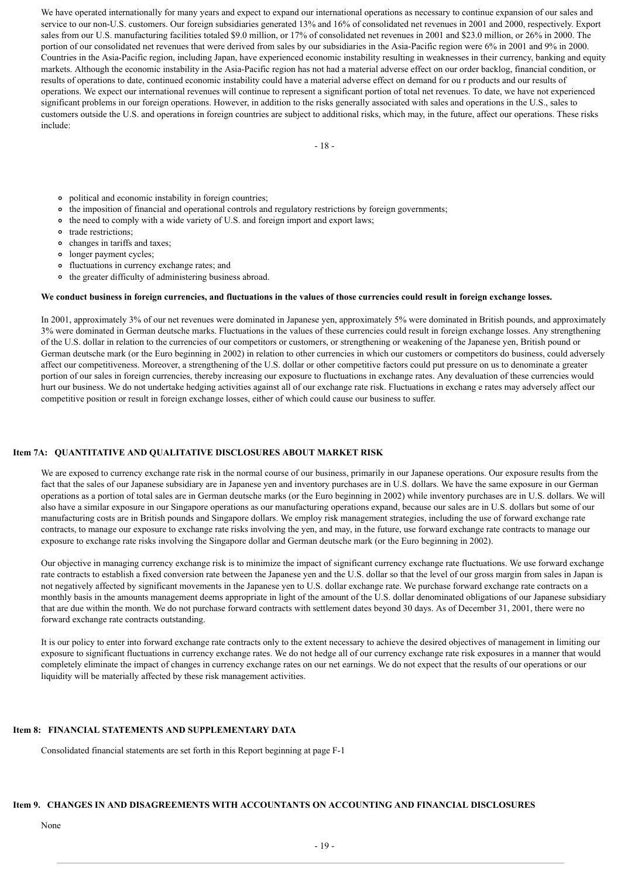We have operated internationally for many years and expect to expand our international operations as necessary to continue expansion of our sales and service to our non-U.S. customers. Our foreign subsidiaries generated 13% and 16% of consolidated net revenues in 2001 and 2000, respectively. Export sales from our U.S. manufacturing facilities totaled \$9.0 million, or 17% of consolidated net revenues in 2001 and \$23.0 million, or 26% in 2000. The portion of our consolidated net revenues that were derived from sales by our subsidiaries in the Asia-Pacific region were 6% in 2001 and 9% in 2000. Countries in the Asia-Pacific region, including Japan, have experienced economic instability resulting in weaknesses in their currency, banking and equity markets. Although the economic instability in the Asia-Pacific region has not had a material adverse effect on our order backlog, financial condition, or results of operations to date, continued economic instability could have a material adverse effect on demand for ou r products and our results of operations. We expect our international revenues will continue to represent a significant portion of total net revenues. To date, we have not experienced significant problems in our foreign operations. However, in addition to the risks generally associated with sales and operations in the U.S., sales to customers outside the U.S. and operations in foreign countries are subject to additional risks, which may, in the future, affect our operations. These risks include:

- 18 -

- political and economic instability in foreign countries;
- the imposition of financial and operational controls and regulatory restrictions by foreign governments;
- the need to comply with a wide variety of U.S. and foreign import and export laws;
- trade restrictions:
- changes in tariffs and taxes;
- longer payment cycles;
- fluctuations in currency exchange rates; and
- the greater difficulty of administering business abroad.

#### **We conduct business in foreign currencies, and fluctuations in the values of those currencies could result in foreign exchange losses.**

In 2001, approximately 3% of our net revenues were dominated in Japanese yen, approximately 5% were dominated in British pounds, and approximately 3% were dominated in German deutsche marks. Fluctuations in the values of these currencies could result in foreign exchange losses. Any strengthening of the U.S. dollar in relation to the currencies of our competitors or customers, or strengthening or weakening of the Japanese yen, British pound or German deutsche mark (or the Euro beginning in 2002) in relation to other currencies in which our customers or competitors do business, could adversely affect our competitiveness. Moreover, a strengthening of the U.S. dollar or other competitive factors could put pressure on us to denominate a greater portion of our sales in foreign currencies, thereby increasing our exposure to fluctuations in exchange rates. Any devaluation of these currencies would hurt our business. We do not undertake hedging activities against all of our exchange rate risk. Fluctuations in exchang e rates may adversely affect our competitive position or result in foreign exchange losses, either of which could cause our business to suffer.

### **Item 7A: QUANTITATIVE AND QUALITATIVE DISCLOSURES ABOUT MARKET RISK**

We are exposed to currency exchange rate risk in the normal course of our business, primarily in our Japanese operations. Our exposure results from the fact that the sales of our Japanese subsidiary are in Japanese yen and inventory purchases are in U.S. dollars. We have the same exposure in our German operations as a portion of total sales are in German deutsche marks (or the Euro beginning in 2002) while inventory purchases are in U.S. dollars. We will also have a similar exposure in our Singapore operations as our manufacturing operations expand, because our sales are in U.S. dollars but some of our manufacturing costs are in British pounds and Singapore dollars. We employ risk management strategies, including the use of forward exchange rate contracts, to manage our exposure to exchange rate risks involving the yen, and may, in the future, use forward exchange rate contracts to manage our exposure to exchange rate risks involving the Singapore dollar and German deutsche mark (or the Euro beginning in 2002).

Our objective in managing currency exchange risk is to minimize the impact of significant currency exchange rate fluctuations. We use forward exchange rate contracts to establish a fixed conversion rate between the Japanese yen and the U.S. dollar so that the level of our gross margin from sales in Japan is not negatively affected by significant movements in the Japanese yen to U.S. dollar exchange rate. We purchase forward exchange rate contracts on a monthly basis in the amounts management deems appropriate in light of the amount of the U.S. dollar denominated obligations of our Japanese subsidiary that are due within the month. We do not purchase forward contracts with settlement dates beyond 30 days. As of December 31, 2001, there were no forward exchange rate contracts outstanding.

It is our policy to enter into forward exchange rate contracts only to the extent necessary to achieve the desired objectives of management in limiting our exposure to significant fluctuations in currency exchange rates. We do not hedge all of our currency exchange rate risk exposures in a manner that would completely eliminate the impact of changes in currency exchange rates on our net earnings. We do not expect that the results of our operations or our liquidity will be materially affected by these risk management activities.

## **Item 8: FINANCIAL STATEMENTS AND SUPPLEMENTARY DATA**

Consolidated financial statements are set forth in this Report beginning at page F-1

## **Item 9. CHANGES IN AND DISAGREEMENTS WITH ACCOUNTANTS ON ACCOUNTING AND FINANCIAL DISCLOSURES**

## None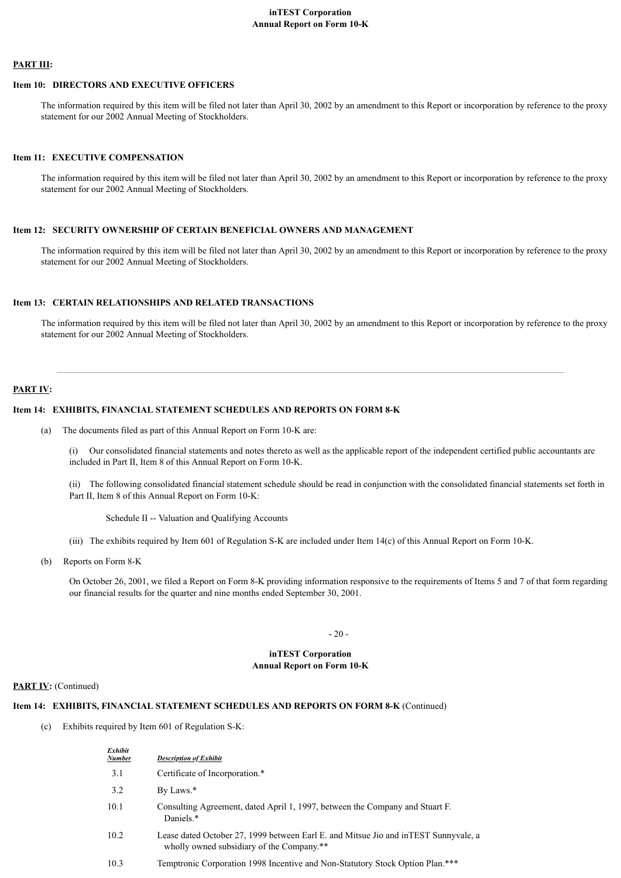## **inTEST Corporation Annual Report on Form 10-K**

## **PART III:**

## **Item 10: DIRECTORS AND EXECUTIVE OFFICERS**

The information required by this item will be filed not later than April 30, 2002 by an amendment to this Report or incorporation by reference to the proxy statement for our 2002 Annual Meeting of Stockholders.

### **Item 11: EXECUTIVE COMPENSATION**

The information required by this item will be filed not later than April 30, 2002 by an amendment to this Report or incorporation by reference to the proxy statement for our 2002 Annual Meeting of Stockholders.

### **Item 12: SECURITY OWNERSHIP OF CERTAIN BENEFICIAL OWNERS AND MANAGEMENT**

The information required by this item will be filed not later than April 30, 2002 by an amendment to this Report or incorporation by reference to the proxy statement for our 2002 Annual Meeting of Stockholders.

## **Item 13: CERTAIN RELATIONSHIPS AND RELATED TRANSACTIONS**

The information required by this item will be filed not later than April 30, 2002 by an amendment to this Report or incorporation by reference to the proxy statement for our 2002 Annual Meeting of Stockholders.

## **PART IV:**

### **Item 14: EXHIBITS, FINANCIAL STATEMENT SCHEDULES AND REPORTS ON FORM 8-K**

(a) The documents filed as part of this Annual Report on Form 10-K are:

(i) Our consolidated financial statements and notes thereto as well as the applicable report of the independent certified public accountants are included in Part II, Item 8 of this Annual Report on Form 10-K.

(ii) The following consolidated financial statement schedule should be read in conjunction with the consolidated financial statements set forth in Part II, Item 8 of this Annual Report on Form 10-K:

Schedule II -- Valuation and Qualifying Accounts

- (iii) The exhibits required by Item 601 of Regulation S-K are included under Item 14(c) of this Annual Report on Form 10-K.
- (b) Reports on Form 8-K

On October 26, 2001, we filed a Report on Form 8-K providing information responsive to the requirements of Items 5 and 7 of that form regarding our financial results for the quarter and nine months ended September 30, 2001.

 $-20 -$ 

#### **inTEST Corporation Annual Report on Form 10-K**

#### **PART IV:** (Continued)

### **Item 14: EXHIBITS, FINANCIAL STATEMENT SCHEDULES AND REPORTS ON FORM 8-K** (Continued)

(c) Exhibits required by Item 601 of Regulation S-K:

| Exhibit<br><b>Number</b> | <b>Description of Exhibit</b>                                                                                                     |
|--------------------------|-----------------------------------------------------------------------------------------------------------------------------------|
| 3.1                      | Certificate of Incorporation.*                                                                                                    |
| 3.2                      | By Laws.*                                                                                                                         |
| 10.1                     | Consulting Agreement, dated April 1, 1997, between the Company and Stuart F.<br>Daniels.*                                         |
| 10.2                     | Lease dated October 27, 1999 between Earl E. and Mitsue Jio and in TEST Sunnyvale, a<br>wholly owned subsidiary of the Company.** |
| 10.3                     | Temptronic Corporation 1998 Incentive and Non-Statutory Stock Option Plan.***                                                     |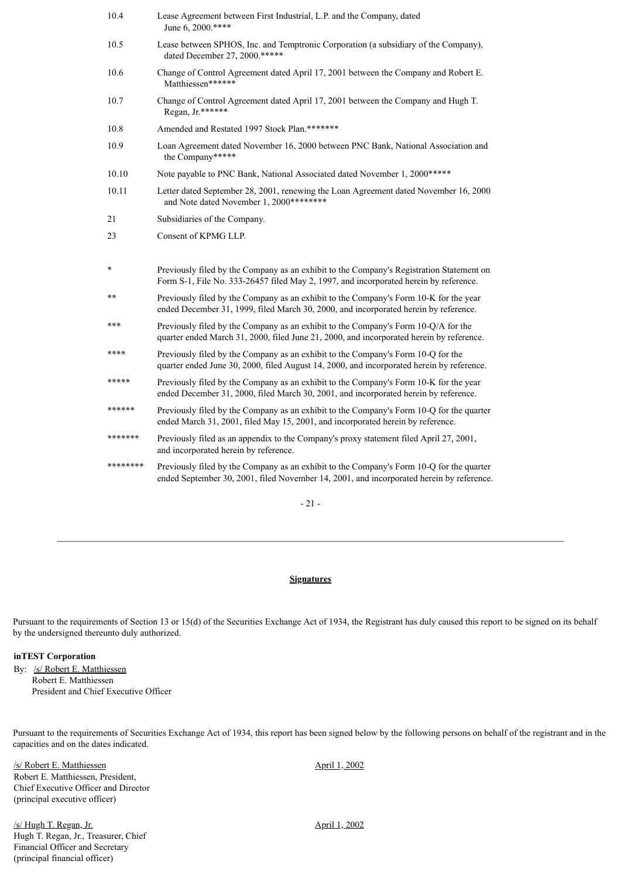| 10.4     | Lease Agreement between First Industrial, L.P. and the Company, dated<br>June 6, 2000.****                                                                                        |
|----------|-----------------------------------------------------------------------------------------------------------------------------------------------------------------------------------|
| 10.5     | Lease between SPHOS, Inc. and Temptronic Corporation (a subsidiary of the Company),<br>dated December 27, 2000.*****                                                              |
| 10.6     | Change of Control Agreement dated April 17, 2001 between the Company and Robert E.<br>Matthiessen******                                                                           |
| 10.7     | Change of Control Agreement dated April 17, 2001 between the Company and Hugh T.<br>Regan, Jr.******                                                                              |
| 10.8     | Amended and Restated 1997 Stock Plan.*******                                                                                                                                      |
| 10.9     | Loan Agreement dated November 16, 2000 between PNC Bank, National Association and<br>the Company*****                                                                             |
| 10.10    | Note payable to PNC Bank, National Associated dated November 1, 2000 *****                                                                                                        |
| 10.11    | Letter dated September 28, 2001, renewing the Loan Agreement dated November 16, 2000<br>and Note dated November 1, 2000********                                                   |
| 21       | Subsidiaries of the Company.                                                                                                                                                      |
| 23       | Consent of KPMG LLP.                                                                                                                                                              |
|          |                                                                                                                                                                                   |
| *        | Previously filed by the Company as an exhibit to the Company's Registration Statement on<br>Form S-1, File No. 333-26457 filed May 2, 1997, and incorporated herein by reference. |
| $***$    | Previously filed by the Company as an exhibit to the Company's Form 10-K for the year<br>ended December 31, 1999, filed March 30, 2000, and incorporated herein by reference.     |
| ***      | Previously filed by the Company as an exhibit to the Company's Form 10-Q/A for the<br>quarter ended March 31, 2000, filed June 21, 2000, and incorporated herein by reference.    |
| ****     | Previously filed by the Company as an exhibit to the Company's Form 10-Q for the<br>quarter ended June 30, 2000, filed August 14, 2000, and incorporated herein by reference.     |
| *****    | Previously filed by the Company as an exhibit to the Company's Form 10-K for the year<br>ended December 31, 2000, filed March 30, 2001, and incorporated herein by reference.     |
| ******   | Previously filed by the Company as an exhibit to the Company's Form 10-Q for the quarter<br>ended March 31, 2001, filed May 15, 2001, and incorporated herein by reference.       |
| *******  | Previously filed as an appendix to the Company's proxy statement filed April 27, 2001,<br>and incorporated herein by reference.                                                   |
| ******** | Previously filed by the Company as an exhibit to the Company's Form 10-Q for the quarter                                                                                          |

- 21 -

## **Signatures**

Pursuant to the requirements of Section 13 or 15(d) of the Securities Exchange Act of 1934, the Registrant has duly caused this report to be signed on its behalf by the undersigned thereunto duly authorized.

## **inTEST Corporation**

By: /s/ Robert E. Matthiessen Robert E. Matthiessen President and Chief Executive Officer

Pursuant to the requirements of Securities Exchange Act of 1934, this report has been signed below by the following persons on behalf of the registrant and in the capacities and on the dates indicated.

/s/ Robert E. Matthiessen Robert E. Matthiessen, President, Chief Executive Officer and Director (principal executive officer)

/s/ Hugh T. Regan, Jr. Hugh T. Regan, Jr., Treasurer, Chief Financial Officer and Secretary (principal financial officer)

April 1, 2002

April 1, 2002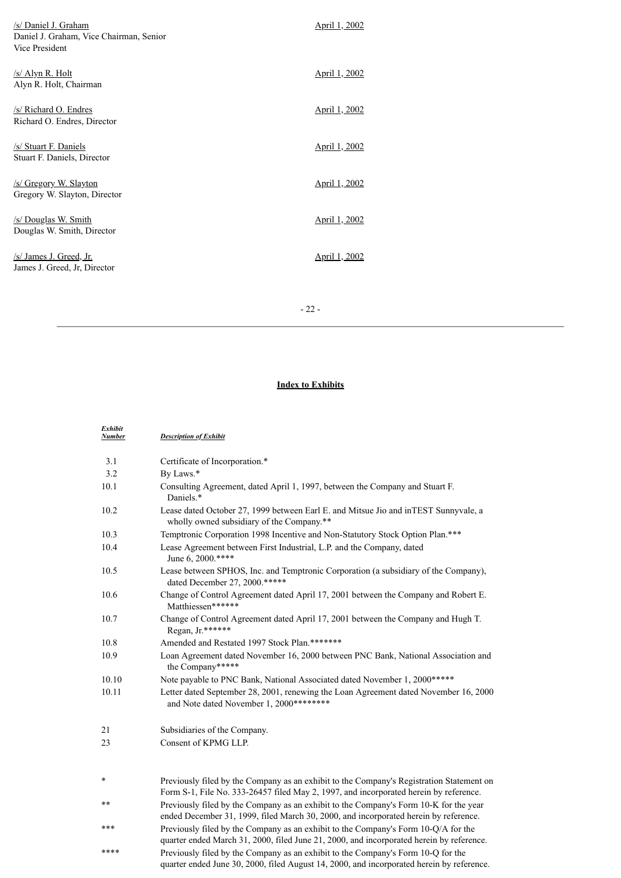| /s/ Daniel J. Graham<br>Daniel J. Graham, Vice Chairman, Senior<br>Vice President | <u>April 1, 2002</u> |
|-----------------------------------------------------------------------------------|----------------------|
| /s/ Alyn R. Holt<br>Alyn R. Holt, Chairman                                        | April 1, 2002        |
| /s/ Richard O. Endres<br>Richard O. Endres, Director                              | <u>April 1, 2002</u> |
| /s/ Stuart F. Daniels<br>Stuart F. Daniels, Director                              | April 1, 2002        |
| /s/ Gregory W. Slayton<br>Gregory W. Slayton, Director                            | <u>April 1, 2002</u> |
| /s/ Douglas W. Smith<br>Douglas W. Smith, Director                                | <u>April 1, 2002</u> |
| /s/ James J. Greed, Jr.<br>James J. Greed, Jr, Director                           | <u>April 1, 2002</u> |
|                                                                                   |                      |

- 22 -

## **Index to Exhibits**

| Exhibit<br>Number | <b>Description of Exhibit</b>                                                                                                                                                     |
|-------------------|-----------------------------------------------------------------------------------------------------------------------------------------------------------------------------------|
| 3.1               | Certificate of Incorporation.*                                                                                                                                                    |
| 3.2               | By Laws.*                                                                                                                                                                         |
| 10.1              | Consulting Agreement, dated April 1, 1997, between the Company and Stuart F.<br>Daniels.*                                                                                         |
| 10.2              | Lease dated October 27, 1999 between Earl E. and Mitsue Jio and in TEST Sunnyvale, a<br>wholly owned subsidiary of the Company.**                                                 |
| 10.3              | Temptronic Corporation 1998 Incentive and Non-Statutory Stock Option Plan.***                                                                                                     |
| 10.4              | Lease Agreement between First Industrial, L.P. and the Company, dated<br>June 6, 2000.****                                                                                        |
| 10.5              | Lease between SPHOS, Inc. and Temptronic Corporation (a subsidiary of the Company),<br>dated December 27, 2000.*****                                                              |
| 10.6              | Change of Control Agreement dated April 17, 2001 between the Company and Robert E.<br>Matthiessen******                                                                           |
| 10.7              | Change of Control Agreement dated April 17, 2001 between the Company and Hugh T.<br>Regan, Jr.******                                                                              |
| 10.8              | Amended and Restated 1997 Stock Plan.*******                                                                                                                                      |
| 10.9              | Loan Agreement dated November 16, 2000 between PNC Bank, National Association and<br>the Company*****                                                                             |
| 10.10             | Note payable to PNC Bank, National Associated dated November 1, 2000 *****                                                                                                        |
| 10.11             | Letter dated September 28, 2001, renewing the Loan Agreement dated November 16, 2000<br>and Note dated November 1, 2000********                                                   |
| 21                | Subsidiaries of the Company.                                                                                                                                                      |
| 23                | Consent of KPMG LLP.                                                                                                                                                              |
| *                 | Previously filed by the Company as an exhibit to the Company's Registration Statement on<br>Form S-1, File No. 333-26457 filed May 2, 1997, and incorporated herein by reference. |
| $***$             | Previously filed by the Company as an exhibit to the Company's Form 10-K for the year<br>ended December 31, 1999, filed March 30, 2000, and incorporated herein by reference.     |

\*\*\* Previously filed by the Company as an exhibit to the Company's Form 10-Q/A for the quarter ended March 31, 2000, filed June 21, 2000, and incorporated herein by reference. \*\*\*\* Previously filed by the Company as an exhibit to the Company's Form 10-Q for the quarter ended June 30, 2000, filed August 14, 2000, and incorporated herein by reference.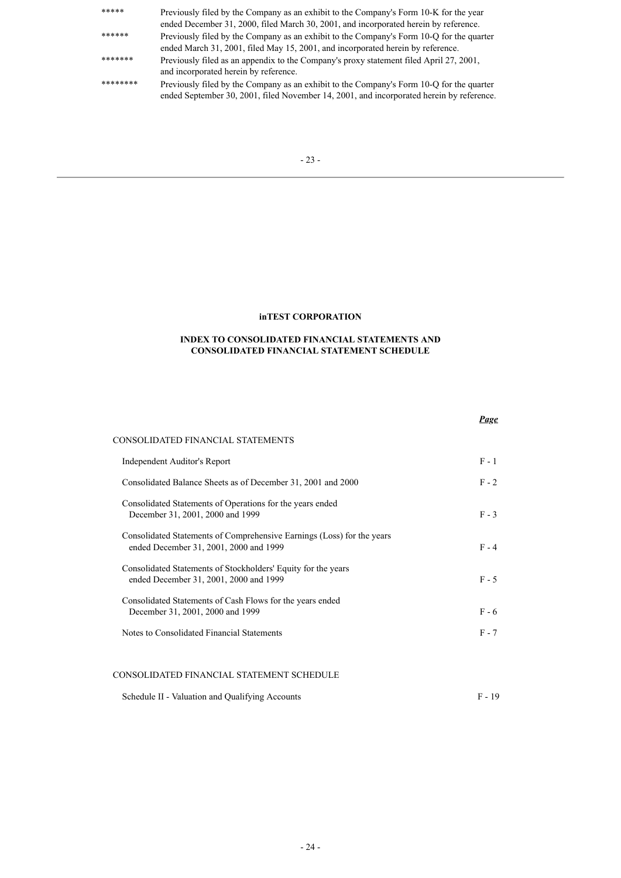| *****    | Previously filed by the Company as an exhibit to the Company's Form 10-K for the year<br>ended December 31, 2000, filed March 30, 2001, and incorporated herein by reference.        |
|----------|--------------------------------------------------------------------------------------------------------------------------------------------------------------------------------------|
| ******   | Previously filed by the Company as an exhibit to the Company's Form 10-O for the quarter<br>ended March 31, 2001, filed May 15, 2001, and incorporated herein by reference.          |
| *******  | Previously filed as an appendix to the Company's proxy statement filed April 27, 2001,<br>and incorporated herein by reference.                                                      |
| ******** | Previously filed by the Company as an exhibit to the Company's Form 10-Q for the quarter<br>ended September 30, 2001, filed November 14, 2001, and incorporated herein by reference. |

## **inTEST CORPORATION**

### **INDEX TO CONSOLIDATED FINANCIAL STATEMENTS AND CONSOLIDATED FINANCIAL STATEMENT SCHEDULE**

|                                                                                                                  | Page    |
|------------------------------------------------------------------------------------------------------------------|---------|
| CONSOLIDATED FINANCIAL STATEMENTS                                                                                |         |
| Independent Auditor's Report                                                                                     | $F - 1$ |
| Consolidated Balance Sheets as of December 31, 2001 and 2000                                                     | $F - 2$ |
| Consolidated Statements of Operations for the years ended<br>December 31, 2001, 2000 and 1999                    | $F - 3$ |
| Consolidated Statements of Comprehensive Earnings (Loss) for the years<br>ended December 31, 2001, 2000 and 1999 | $F - 4$ |
| Consolidated Statements of Stockholders' Equity for the years<br>ended December 31, 2001, 2000 and 1999          | $F - 5$ |
| Consolidated Statements of Cash Flows for the years ended<br>December 31, 2001, 2000 and 1999                    | $F - 6$ |
| Notes to Consolidated Financial Statements                                                                       | $F - 7$ |
|                                                                                                                  |         |
|                                                                                                                  |         |

# CONSOLIDATED FINANCIAL STATEMENT SCHEDULE

| Schedule II - Valuation and Qualifying Accounts<br>$F - 19$ |  |  |  |
|-------------------------------------------------------------|--|--|--|
|-------------------------------------------------------------|--|--|--|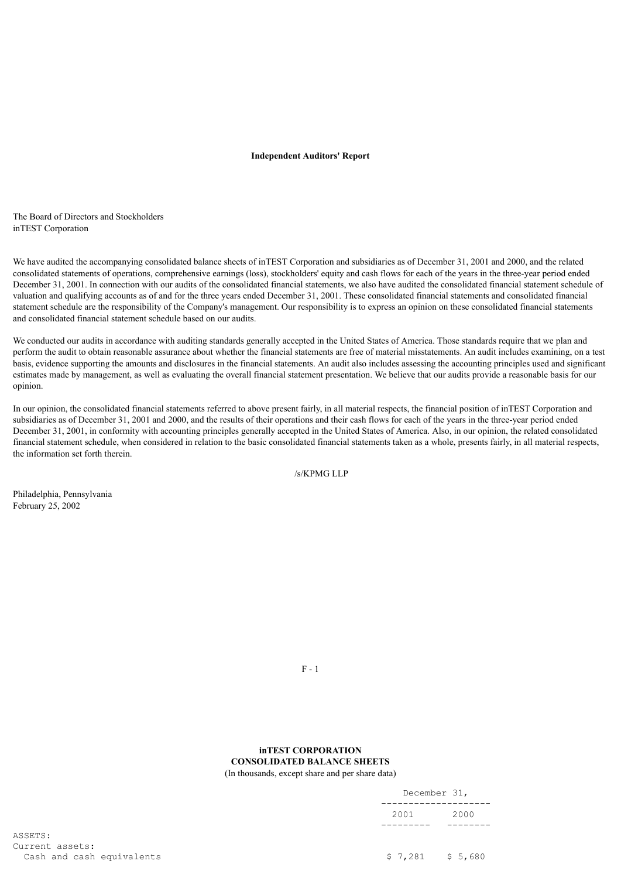### **Independent Auditors' Report**

The Board of Directors and Stockholders inTEST Corporation

We have audited the accompanying consolidated balance sheets of inTEST Corporation and subsidiaries as of December 31, 2001 and 2000, and the related consolidated statements of operations, comprehensive earnings (loss), stockholders' equity and cash flows for each of the years in the three-year period ended December 31, 2001. In connection with our audits of the consolidated financial statements, we also have audited the consolidated financial statement schedule of valuation and qualifying accounts as of and for the three years ended December 31, 2001. These consolidated financial statements and consolidated financial statement schedule are the responsibility of the Company's management. Our responsibility is to express an opinion on these consolidated financial statements and consolidated financial statement schedule based on our audits.

We conducted our audits in accordance with auditing standards generally accepted in the United States of America. Those standards require that we plan and perform the audit to obtain reasonable assurance about whether the financial statements are free of material misstatements. An audit includes examining, on a test basis, evidence supporting the amounts and disclosures in the financial statements. An audit also includes assessing the accounting principles used and significant estimates made by management, as well as evaluating the overall financial statement presentation. We believe that our audits provide a reasonable basis for our opinion.

In our opinion, the consolidated financial statements referred to above present fairly, in all material respects, the financial position of inTEST Corporation and subsidiaries as of December 31, 2001 and 2000, and the results of their operations and their cash flows for each of the years in the three-year period ended December 31, 2001, in conformity with accounting principles generally accepted in the United States of America. Also, in our opinion, the related consolidated financial statement schedule, when considered in relation to the basic consolidated financial statements taken as a whole, presents fairly, in all material respects, the information set forth therein.

/s/KPMG LLP

Philadelphia, Pennsylvania February 25, 2002

F - 1

## **inTEST CORPORATION CONSOLIDATED BALANCE SHEETS**

(In thousands, except share and per share data)

|                                              | December 31, |                   |
|----------------------------------------------|--------------|-------------------|
|                                              | 2001         | 2000              |
| ASSETS:                                      |              |                   |
| Current assets:<br>Cash and cash equivalents |              | $$7,281$ $$5,680$ |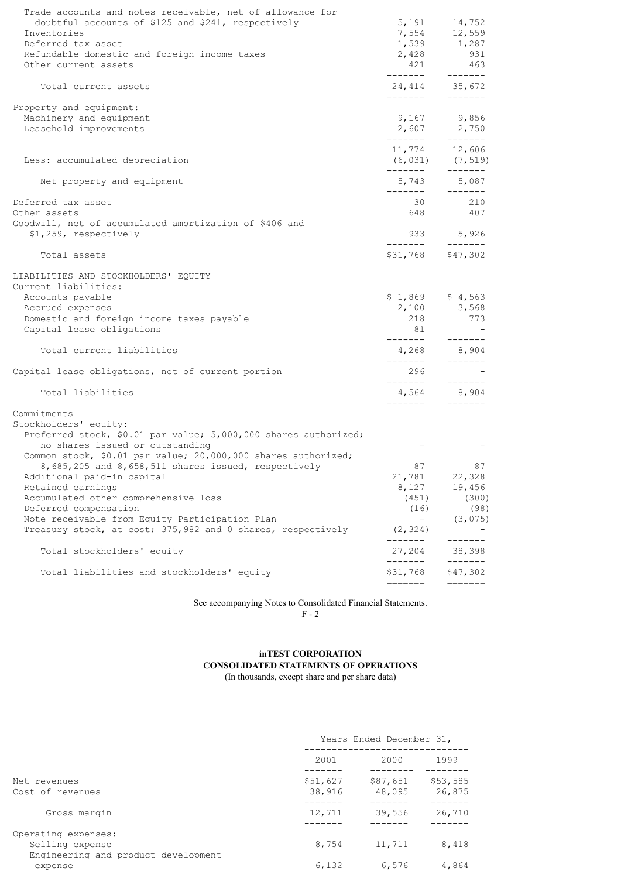| Trade accounts and notes receivable, net of allowance for       |                      |                                                                                                |
|-----------------------------------------------------------------|----------------------|------------------------------------------------------------------------------------------------|
| doubtful accounts of \$125 and \$241, respectively              | 5,191                | 14,752                                                                                         |
| Inventories                                                     |                      | 7,554 12,559                                                                                   |
| Deferred tax asset                                              |                      | $1,539$ $1,287$<br>2,428 931                                                                   |
| Refundable domestic and foreign income taxes                    |                      |                                                                                                |
| Other current assets                                            | 421<br>_______       | 463<br>$- - - - - - -$                                                                         |
| Total current assets                                            | --------             | 24,414 35,672<br>$- - - - - - -$                                                               |
| Property and equipment:                                         |                      |                                                                                                |
| Machinery and equipment                                         |                      | 9,167 9,856                                                                                    |
| Leasehold improvements                                          | -------              | 2,607 2,750<br>$- - - - - - -$                                                                 |
|                                                                 |                      | 11,774 12,606                                                                                  |
| Less: accumulated depreciation                                  |                      | $(6, 031)$ $(7, 519)$                                                                          |
| Net property and equipment                                      | -------<br>5,743     | --------<br>5,087                                                                              |
|                                                                 |                      | $- - - - - - -$                                                                                |
| Deferred tax asset                                              | 30                   | 210                                                                                            |
| Other assets                                                    | 648                  | 407                                                                                            |
| Goodwill, net of accumulated amortization of \$406 and          |                      |                                                                                                |
| \$1,259, respectively                                           | --------             | 933 5,926<br>$- - - - - - -$                                                                   |
| Total assets                                                    | \$31,768<br>=======  | \$47,302<br>$\qquad \qquad \doteq\qquad \qquad \doteq\qquad \qquad \doteq\qquad \qquad \qquad$ |
| LIABILITIES AND STOCKHOLDERS' EQUITY                            |                      |                                                                                                |
| Current liabilities:                                            |                      |                                                                                                |
| Accounts payable                                                | $$1,869$ $$4,563$    |                                                                                                |
| Accrued expenses                                                |                      | 2,100 3,568                                                                                    |
| Domestic and foreign income taxes payable                       | 218                  | 773                                                                                            |
| Capital lease obligations                                       | 81<br>-------        | --------                                                                                       |
| Total current liabilities                                       | 4,268<br>-------     | 8,904                                                                                          |
| Capital lease obligations, net of current portion               | 296                  | --------                                                                                       |
|                                                                 | --------             | -------                                                                                        |
| Total liabilities                                               |                      | 4,564 8,904<br>--------                                                                        |
| Commitments                                                     |                      |                                                                                                |
| Stockholders' equity:                                           |                      |                                                                                                |
| Preferred stock, \$0.01 par value; 5,000,000 shares authorized; |                      |                                                                                                |
| no shares issued or outstanding                                 |                      |                                                                                                |
| Common stock, \$0.01 par value; 20,000,000 shares authorized;   |                      |                                                                                                |
| 8,685,205 and 8,658,511 shares issued, respectively             | 87                   | 87                                                                                             |
| Additional paid-in capital                                      | 21,781               | 22,328                                                                                         |
| Retained earnings                                               | 8,127                | 19,456                                                                                         |
| Accumulated other comprehensive loss                            | (451)                | (300)                                                                                          |
| Deferred compensation                                           | (16)                 | (98)                                                                                           |
| Note receivable from Equity Participation Plan                  | $\qquad \qquad -$    | (3, 075)                                                                                       |
| Treasury stock, at cost; 375,982 and 0 shares, respectively     | (2, 324)<br>-------- | -------                                                                                        |
| Total stockholders' equity                                      | 27,204<br>-------    | 38,398<br>-------                                                                              |
| Total liabilities and stockholders' equity                      | \$31,768             | \$47,302                                                                                       |
|                                                                 | =======              | =======                                                                                        |

See accompanying Notes to Consolidated Financial Statements.

F - 2

# **inTEST CORPORATION CONSOLIDATED STATEMENTS OF OPERATIONS**

(In thousands, except share and per share data)

|                                                                               |                    | Years Ended December 31, |                    |  |  |
|-------------------------------------------------------------------------------|--------------------|--------------------------|--------------------|--|--|
|                                                                               | 2001               | 2000                     | 1999               |  |  |
| Net revenues<br>Cost of revenues                                              | \$51,627<br>38,916 | \$87,651<br>48,095       | \$53,585<br>26,875 |  |  |
| Gross margin                                                                  | 12,711             | 39,556                   | 26,710             |  |  |
| Operating expenses:<br>Selling expense<br>Engineering and product development | 8,754              | 11,711                   | 8,418              |  |  |
| expense                                                                       | 6,132              | 6,576                    | 4,864              |  |  |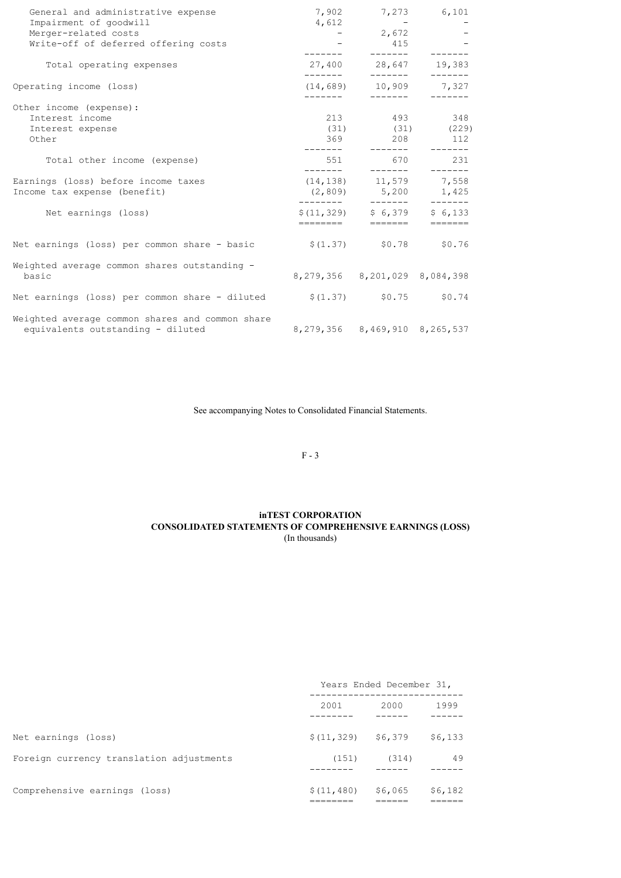| General and administrative expense                                     |              | 7,902 7,273 6,101                   |                   |
|------------------------------------------------------------------------|--------------|-------------------------------------|-------------------|
| Impairment of goodwill                                                 | 4,612        | $\sim 100$ km s $^{-1}$             |                   |
| Merger-related costs                                                   |              | $-2,672$                            |                   |
| Write-off of deferred offering costs                                   |              | 415                                 |                   |
| Total operating expenses                                               |              | 27,400 28,647 19,383<br>--------    |                   |
| Operating income (loss)                                                | ________     | $(14, 689)$ 10,909 7,327            | ________  _______ |
| Other income (expense):                                                |              |                                     |                   |
| Interest income                                                        |              | 213 493 348                         |                   |
| Interest expense                                                       |              | $(31)$ $(31)$ $(229)$               |                   |
| Other                                                                  |              | 369 208 112                         |                   |
|                                                                        | ———————————— |                                     |                   |
| Total other income (expense)                                           |              | 551 670                             | 231               |
| Earnings (loss) before income taxes                                    | ________     | $(14, 138)$ 11, 579 7, 558          |                   |
|                                                                        |              |                                     |                   |
| Income tax expense (benefit)                                           |              | $(2,809)$ 5,200 1,425               |                   |
| Net earnings (loss)                                                    |              | $$(11, 329)$ $$6, 379$              | \$6.133           |
|                                                                        | ========     | $=======$                           |                   |
| Net earnings (loss) per common share - basic $$(1.37)$ $$0.78$ $$0.76$ |              |                                     |                   |
| Weighted average common shares outstanding -                           |              |                                     |                   |
| basic                                                                  |              | 8, 279, 356 8, 201, 029 8, 084, 398 |                   |
| Net earnings (loss) per common share - diluted                         |              | $$(1.37)$ $$0.75$ $$0.74$           |                   |
| Weighted average common shares and common share                        |              |                                     |                   |
| equivalents outstanding - diluted                                      |              | 8,279,356 8,469,910 8,265,537       |                   |

See accompanying Notes to Consolidated Financial Statements.

F - 3

## **inTEST CORPORATION CONSOLIDATED STATEMENTS OF COMPREHENSIVE EARNINGS (LOSS)** (In thousands)

|                                          | Years Ended December 31, |         |         |  |
|------------------------------------------|--------------------------|---------|---------|--|
|                                          | 2001                     | 2000    | 1999    |  |
| Net earnings (loss)                      | $$(11, 329)$ $$6, 379$   |         | \$6,133 |  |
| Foreign currency translation adjustments | (151)                    | (314)   | 49      |  |
| Comprehensive earnings (loss)            | \$(11, 480)              | \$6,065 | \$6,182 |  |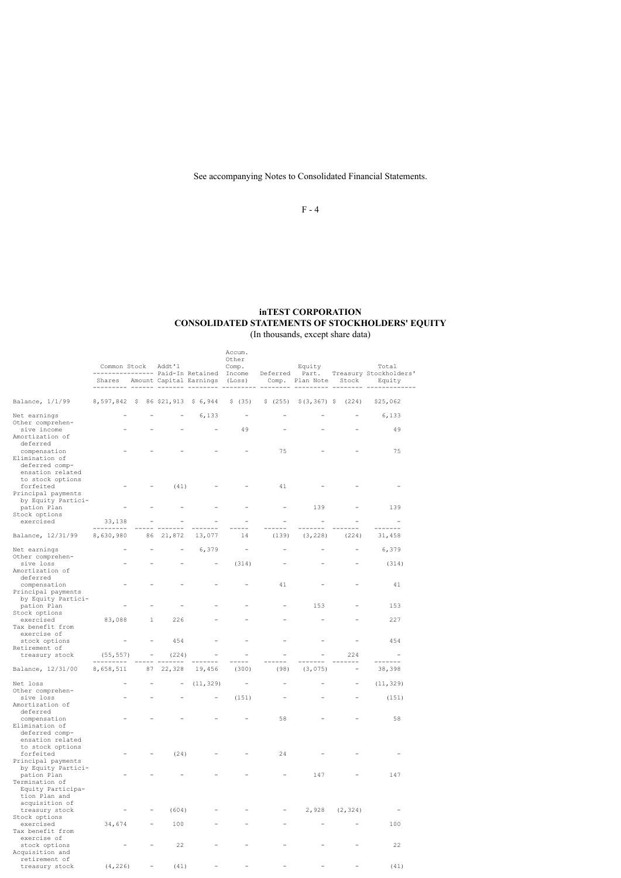See accompanying Notes to Consolidated Financial Statements.

F - 4

## **inTEST CORPORATION CONSOLIDATED STATEMENTS OF STOCKHOLDERS' EQUITY** (In thousands, except share data)

|                                                                                           |                                   |                                                       |                                |                                        | Accum.                                  |                                    |                                                |                         |                                       |
|-------------------------------------------------------------------------------------------|-----------------------------------|-------------------------------------------------------|--------------------------------|----------------------------------------|-----------------------------------------|------------------------------------|------------------------------------------------|-------------------------|---------------------------------------|
|                                                                                           | Common Stock                      |                                                       | Addt'l                         |                                        | Other<br>Comp.                          |                                    | Equity                                         |                         | Total                                 |
|                                                                                           |                                   |                                                       |                                | -------------- Paid-In Retained Income |                                         |                                    |                                                |                         | Deferred Part. Treasury Stockholders' |
|                                                                                           |                                   |                                                       |                                | Shares Amount Capital Earnings (Loss)  |                                         | --------                           | Comp. Plan Note Stock<br>--------------------- |                         | Equity                                |
|                                                                                           |                                   |                                                       |                                |                                        |                                         |                                    |                                                |                         |                                       |
| Balance, 1/1/99                                                                           | 8,597,842 \$ 86 \$21,913 \$ 6,944 |                                                       |                                |                                        | \$ (35)                                 | \$ (255)                           | $$(3, 367)$ \$ (224)                           |                         | \$25,062                              |
| Net earnings<br>Other comprehen-                                                          |                                   |                                                       |                                | 6,133                                  | $\qquad \qquad -$                       |                                    |                                                |                         | 6,133                                 |
| sive income<br>Amortization of<br>deferred                                                |                                   |                                                       |                                |                                        | 49                                      |                                    |                                                |                         | 49                                    |
| compensation<br>Elimination of<br>deferred comp-<br>ensation related<br>to stock options  |                                   |                                                       |                                |                                        |                                         | 75                                 |                                                |                         | 75                                    |
| forfeited<br>Principal payments<br>by Equity Partici-                                     |                                   |                                                       | (41)                           |                                        |                                         | 41                                 |                                                |                         |                                       |
| pation Plan<br>Stock options                                                              |                                   |                                                       |                                |                                        | $\overline{\phantom{a}}$                | $\equiv$                           | 139                                            | $\equiv$                | 139                                   |
| exercised                                                                                 | 33,138<br>---------               | $\overline{\phantom{a}}$                              | $\equiv$<br><u>--- -------</u> | -------                                | $\overline{\phantom{a}}$<br>-----       | $\overline{\phantom{a}}$<br>------ | $\overline{\phantom{a}}$<br>$---$              | $\equiv$<br>$- - - - -$ | $\sim$<br>-------                     |
| Balance, 12/31/99                                                                         | 8,630,980                         |                                                       | 86 21,872                      | 13,077                                 | 14                                      | (139)                              | (3, 228)                                       | (224)                   | 31,458                                |
| Net earnings                                                                              |                                   |                                                       | $\qquad \qquad -$              | 6,379                                  | $\overline{\phantom{a}}$                |                                    |                                                | $\overline{a}$          | 6,379                                 |
| Other comprehen-<br>sive loss                                                             |                                   |                                                       |                                | $\sim$                                 | (314)                                   |                                    |                                                |                         | (314)                                 |
| Amortization of<br>deferred<br>compensation                                               |                                   |                                                       |                                |                                        |                                         | 41                                 |                                                |                         | 41                                    |
| Principal payments<br>by Equity Partici-<br>pation Plan                                   |                                   |                                                       |                                |                                        |                                         |                                    | 153                                            |                         | 153                                   |
| Stock options                                                                             |                                   |                                                       |                                |                                        |                                         |                                    |                                                |                         |                                       |
| exercised<br>Tax benefit from                                                             | 83,088                            | $\mathbf{1}$                                          | 226                            |                                        |                                         |                                    |                                                |                         | 227                                   |
| exercise of<br>stock options                                                              |                                   |                                                       | 454                            |                                        |                                         |                                    |                                                |                         | 454                                   |
| Retirement of<br>treasury stock                                                           | (55, 557)<br>----------           | $\mathcal{L}_{\rm{max}}$ and $\mathcal{L}_{\rm{max}}$ | (224)<br>______ _______        | $\sim$<br>-------                      | $\overline{\phantom{a}}$<br>$- - - - -$ | $\overline{\phantom{a}}$<br>------ | $\equiv$<br>-------                            | 224<br>-------          | -------                               |
| Balance, 12/31/00                                                                         | 8,658,511                         |                                                       | 87 22,328                      | 19,456                                 | (300)                                   | (98)                               | (3,075)                                        |                         | 38,398                                |
| Net loss<br>Other comprehen-                                                              |                                   |                                                       | $\equiv$                       | (11, 329)                              | $\sim$                                  | $\overline{a}$                     |                                                | $\equiv$                | (11, 329)                             |
| sive loss<br>Amortization of<br>deferred                                                  |                                   |                                                       |                                |                                        | (151)                                   |                                    |                                                |                         | (151)                                 |
| compensation<br>Elimination of<br>deferred comp-<br>ensation related                      |                                   |                                                       |                                |                                        |                                         | 58                                 |                                                |                         | 58                                    |
| to stock options<br>forfeited<br>Principal payments                                       |                                   |                                                       | (24)                           |                                        |                                         | 24                                 |                                                |                         |                                       |
| by Equity Partici-<br>pation Plan<br>Termination of<br>Equity Participa-<br>tion Plan and |                                   |                                                       |                                |                                        |                                         |                                    | 147                                            |                         | 147                                   |
| acquisition of<br>treasury stock                                                          |                                   |                                                       | (604)                          |                                        |                                         |                                    | 2,928                                          | (2, 324)                |                                       |
| Stock options<br>exercised                                                                | 34,674                            |                                                       | 100                            |                                        |                                         |                                    |                                                |                         | 100                                   |
| Tax benefit from                                                                          |                                   |                                                       |                                |                                        |                                         |                                    |                                                |                         |                                       |
| exercise of<br>stock options<br>Acquisition and                                           |                                   |                                                       | 22                             |                                        |                                         |                                    |                                                |                         | 22                                    |
| retirement of<br>treasury stock                                                           | (4, 226)                          | $\overline{a}$                                        | (41)                           |                                        |                                         |                                    |                                                |                         | (41)                                  |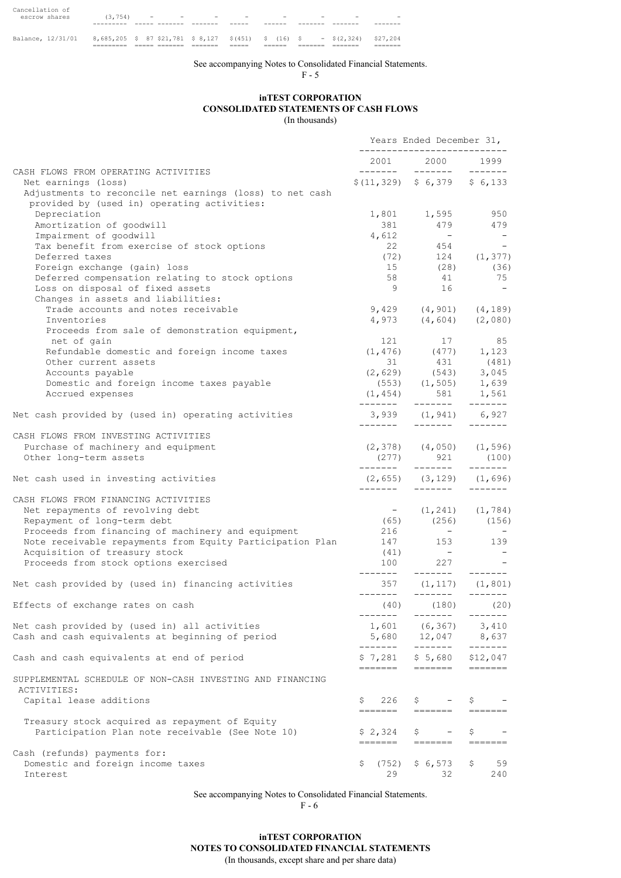|                 |     |                                              |                          | --- |                          |                          |                          |                          |
|-----------------|-----|----------------------------------------------|--------------------------|-----|--------------------------|--------------------------|--------------------------|--------------------------|
|                 |     |                                              |                          |     |                          |                          |                          |                          |
|                 |     |                                              |                          |     |                          |                          |                          |                          |
| escrow shares   | (54 | the company of the company of the company of | $\overline{\phantom{a}}$ |     | $\overline{\phantom{0}}$ | $\overline{\phantom{0}}$ | $\overline{\phantom{0}}$ | $\overline{\phantom{0}}$ |
| Cancellation of |     |                                              |                          |     |                          |                          |                          |                          |

Balance, 12/31/01 8,685,205 \$ 87 \$21,781 \$ 8,127 \$(451) \$ (16) \$ - \$(2,324) \$27,204 ========= ===== ======= ======= ===== ====== ======= ======= =======

See accompanying Notes to Consolidated Financial Statements.

F - 5

## **inTEST CORPORATION CONSOLIDATED STATEMENTS OF CASH FLOWS** (In thousands)

|                                                                                                                                | Years Ended December 31,<br>_____________________ |                                                             |                                                                         |  |
|--------------------------------------------------------------------------------------------------------------------------------|---------------------------------------------------|-------------------------------------------------------------|-------------------------------------------------------------------------|--|
|                                                                                                                                |                                                   | 2001 2000                                                   | 1999                                                                    |  |
| CASH FLOWS FROM OPERATING ACTIVITIES                                                                                           |                                                   |                                                             |                                                                         |  |
| Net earnings (loss)<br>Adjustments to reconcile net earnings (loss) to net cash<br>provided by (used in) operating activities: |                                                   | $$(11, 329)$ $$6, 379$ $$6, 133$                            |                                                                         |  |
| Depreciation                                                                                                                   |                                                   | 1,801 1,595<br>381 479                                      | 950<br>479                                                              |  |
| Amortization of goodwill                                                                                                       |                                                   |                                                             |                                                                         |  |
| Impairment of goodwill                                                                                                         | 4,612                                             | $\mathcal{L}_{\text{max}}$ and $\mathcal{L}_{\text{max}}$   | $\sim$ $-$                                                              |  |
| Tax benefit from exercise of stock options                                                                                     |                                                   | 22 $454$ -<br>(72) $124$ (1,377)                            |                                                                         |  |
| Deferred taxes<br>Foreign exchange (gain) loss                                                                                 | (72)                                              | $15$ (28) (36)                                              |                                                                         |  |
| Deferred compensation relating to stock options                                                                                |                                                   | 58 41                                                       | 75                                                                      |  |
| Loss on disposal of fixed assets                                                                                               | 9 <sup>1</sup>                                    | 16                                                          | $\sim$                                                                  |  |
| Changes in assets and liabilities:                                                                                             |                                                   |                                                             |                                                                         |  |
| Trade accounts and notes receivable                                                                                            |                                                   | $9,429$ $(4,901)$ $(4,189)$                                 |                                                                         |  |
| Inventories                                                                                                                    |                                                   | $4,973$ $(4,604)$ $(2,080)$                                 |                                                                         |  |
| Proceeds from sale of demonstration equipment,                                                                                 |                                                   |                                                             |                                                                         |  |
| net of gain                                                                                                                    |                                                   | 121 17 85                                                   |                                                                         |  |
| Refundable domestic and foreign income taxes                                                                                   |                                                   | $(1, 476)$ $(477)$ $1, 123$<br>31 $431$ $(481)$             |                                                                         |  |
| Other current assets                                                                                                           |                                                   |                                                             |                                                                         |  |
| Accounts payable                                                                                                               |                                                   | $(2, 629)$ $(543)$ $3, 045$                                 |                                                                         |  |
| Domestic and foreign income taxes payable                                                                                      |                                                   | $(1, 553)$ $(1, 505)$ $1, 639$<br>$(1, 454)$ $581$ $1, 561$ |                                                                         |  |
| Accrued expenses                                                                                                               |                                                   |                                                             | $- - - - - - -$                                                         |  |
| Net cash provided by (used in) operating activities                                                                            | ———————                                           | 3,939 (1,941) 6,927<br>________ _______                     |                                                                         |  |
| CASH FLOWS FROM INVESTING ACTIVITIES                                                                                           |                                                   |                                                             |                                                                         |  |
| Purchase of machinery and equipment                                                                                            |                                                   | $(2, 378)$ $(4, 050)$ $(1, 596)$                            |                                                                         |  |
| Other long-term assets                                                                                                         |                                                   | $(277)$ 921 (100)                                           |                                                                         |  |
| Net cash used in investing activities                                                                                          |                                                   | $(2, 655)$ $(3, 129)$ $(1, 696)$                            |                                                                         |  |
|                                                                                                                                | ________                                          | ________ ________                                           |                                                                         |  |
| CASH FLOWS FROM FINANCING ACTIVITIES<br>Net repayments of revolving debt                                                       |                                                   | $-$ (1,241) (1,784)                                         |                                                                         |  |
| Repayment of long-term debt                                                                                                    |                                                   |                                                             |                                                                         |  |
| Proceeds from financing of machinery and equipment                                                                             | 216                                               | $(65)$ $(256)$ $(156)$<br>$\sim$ $-$                        | $\sim$ $-$                                                              |  |
| Note receivable repayments from Equity Participation Plan                                                                      | 147 153 139                                       |                                                             |                                                                         |  |
| Acquisition of treasury stock                                                                                                  | (41)                                              | $\sim$ 100 $-$ 100 $\pm$                                    |                                                                         |  |
| Proceeds from stock options exercised                                                                                          | 100                                               | 227                                                         |                                                                         |  |
|                                                                                                                                | ________                                          | ———————                                                     |                                                                         |  |
| Net cash provided by (used in) financing activities                                                                            | --------                                          | 357 (1,117) (1,801)<br>--------                             |                                                                         |  |
| Effects of exchange rates on cash                                                                                              | (40)<br>-------                                   | (180)<br>-------                                            | (20)                                                                    |  |
| Net cash provided by (used in) all activities                                                                                  | 1,601                                             | (6, 367)                                                    | 3,410                                                                   |  |
| Cash and cash equivalents at beginning of period                                                                               | 5,680<br>-------                                  | 12,047<br>-------                                           | 8,637<br>$- - - - - - -$                                                |  |
| Cash and cash equivalents at end of period                                                                                     | \$7,281<br>=======                                | \$5,680<br>=======                                          | \$12,047<br>=======                                                     |  |
| SUPPLEMENTAL SCHEDULE OF NON-CASH INVESTING AND FINANCING<br>ACTIVITIES:                                                       |                                                   |                                                             |                                                                         |  |
| Capital lease additions                                                                                                        | \$<br>226<br>=======                              | \$                                                          | \$                                                                      |  |
| Treasury stock acquired as repayment of Equity                                                                                 |                                                   |                                                             | =======                                                                 |  |
| Participation Plan note receivable (See Note 10)                                                                               | \$2,324                                           | \$                                                          | \$                                                                      |  |
|                                                                                                                                | =======                                           | =======                                                     | $\qquad \qquad \equiv \equiv \equiv \equiv \equiv \equiv \equiv \equiv$ |  |
| Cash (refunds) payments for:                                                                                                   |                                                   |                                                             |                                                                         |  |
| Domestic and foreign income taxes                                                                                              | Ş.<br>(752)                                       | \$6,573                                                     | \$<br>59                                                                |  |
| Interest                                                                                                                       | 29                                                | 32                                                          | 240                                                                     |  |

See accompanying Notes to Consolidated Financial Statements.

F - 6

## **inTEST CORPORATION NOTES TO CONSOLIDATED FINANCIAL STATEMENTS** (In thousands, except share and per share data)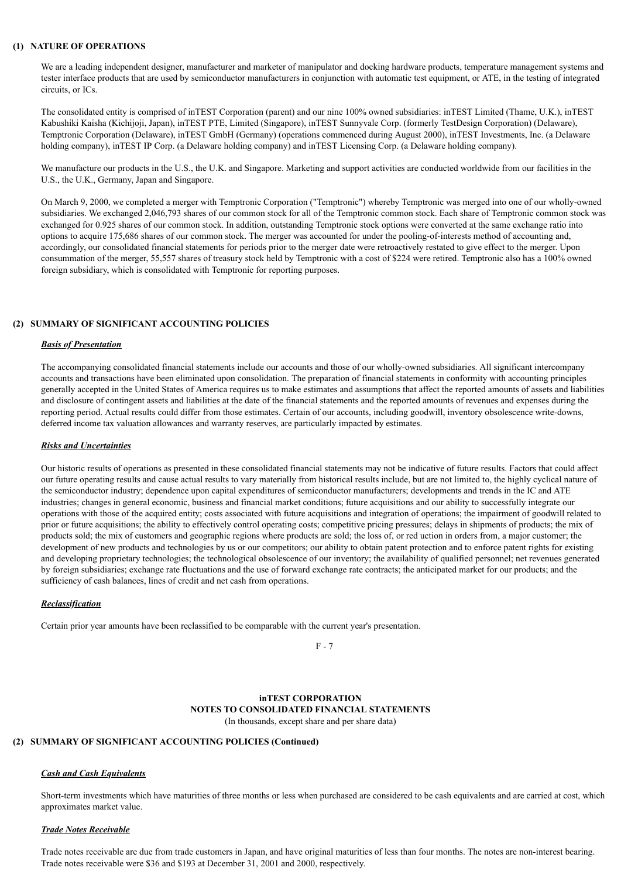### **(1) NATURE OF OPERATIONS**

We are a leading independent designer, manufacturer and marketer of manipulator and docking hardware products, temperature management systems and tester interface products that are used by semiconductor manufacturers in conjunction with automatic test equipment, or ATE, in the testing of integrated circuits, or ICs.

The consolidated entity is comprised of inTEST Corporation (parent) and our nine 100% owned subsidiaries: inTEST Limited (Thame, U.K.), inTEST Kabushiki Kaisha (Kichijoji, Japan), inTEST PTE, Limited (Singapore), inTEST Sunnyvale Corp. (formerly TestDesign Corporation) (Delaware), Temptronic Corporation (Delaware), inTEST GmbH (Germany) (operations commenced during August 2000), inTEST Investments, Inc. (a Delaware holding company), inTEST IP Corp. (a Delaware holding company) and inTEST Licensing Corp. (a Delaware holding company).

We manufacture our products in the U.S., the U.K. and Singapore. Marketing and support activities are conducted worldwide from our facilities in the U.S., the U.K., Germany, Japan and Singapore.

On March 9, 2000, we completed a merger with Temptronic Corporation ("Temptronic") whereby Temptronic was merged into one of our wholly-owned subsidiaries. We exchanged 2,046,793 shares of our common stock for all of the Temptronic common stock. Each share of Temptronic common stock was exchanged for 0.925 shares of our common stock. In addition, outstanding Temptronic stock options were converted at the same exchange ratio into options to acquire 175,686 shares of our common stock. The merger was accounted for under the pooling-of-interests method of accounting and, accordingly, our consolidated financial statements for periods prior to the merger date were retroactively restated to give effect to the merger. Upon consummation of the merger, 55,557 shares of treasury stock held by Temptronic with a cost of \$224 were retired. Temptronic also has a 100% owned foreign subsidiary, which is consolidated with Temptronic for reporting purposes.

## **(2) SUMMARY OF SIGNIFICANT ACCOUNTING POLICIES**

## *Basis of Presentation*

The accompanying consolidated financial statements include our accounts and those of our wholly-owned subsidiaries. All significant intercompany accounts and transactions have been eliminated upon consolidation. The preparation of financial statements in conformity with accounting principles generally accepted in the United States of America requires us to make estimates and assumptions that affect the reported amounts of assets and liabilities and disclosure of contingent assets and liabilities at the date of the financial statements and the reported amounts of revenues and expenses during the reporting period. Actual results could differ from those estimates. Certain of our accounts, including goodwill, inventory obsolescence write-downs, deferred income tax valuation allowances and warranty reserves, are particularly impacted by estimates.

## *Risks and Uncertainties*

Our historic results of operations as presented in these consolidated financial statements may not be indicative of future results. Factors that could affect our future operating results and cause actual results to vary materially from historical results include, but are not limited to, the highly cyclical nature of the semiconductor industry; dependence upon capital expenditures of semiconductor manufacturers; developments and trends in the IC and ATE industries; changes in general economic, business and financial market conditions; future acquisitions and our ability to successfully integrate our operations with those of the acquired entity; costs associated with future acquisitions and integration of operations; the impairment of goodwill related to prior or future acquisitions; the ability to effectively control operating costs; competitive pricing pressures; delays in shipments of products; the mix of products sold; the mix of customers and geographic regions where products are sold; the loss of, or red uction in orders from, a major customer; the development of new products and technologies by us or our competitors; our ability to obtain patent protection and to enforce patent rights for existing and developing proprietary technologies; the technological obsolescence of our inventory; the availability of qualified personnel; net revenues generated by foreign subsidiaries; exchange rate fluctuations and the use of forward exchange rate contracts; the anticipated market for our products; and the sufficiency of cash balances, lines of credit and net cash from operations.

## *Reclassification*

Certain prior year amounts have been reclassified to be comparable with the current year's presentation.

F - 7

### **inTEST CORPORATION NOTES TO CONSOLIDATED FINANCIAL STATEMENTS** (In thousands, except share and per share data)

## **(2) SUMMARY OF SIGNIFICANT ACCOUNTING POLICIES (Continued)**

### *Cash and Cash Equivalents*

Short-term investments which have maturities of three months or less when purchased are considered to be cash equivalents and are carried at cost, which approximates market value.

### *Trade Notes Receivable*

Trade notes receivable are due from trade customers in Japan, and have original maturities of less than four months. The notes are non-interest bearing. Trade notes receivable were \$36 and \$193 at December 31, 2001 and 2000, respectively.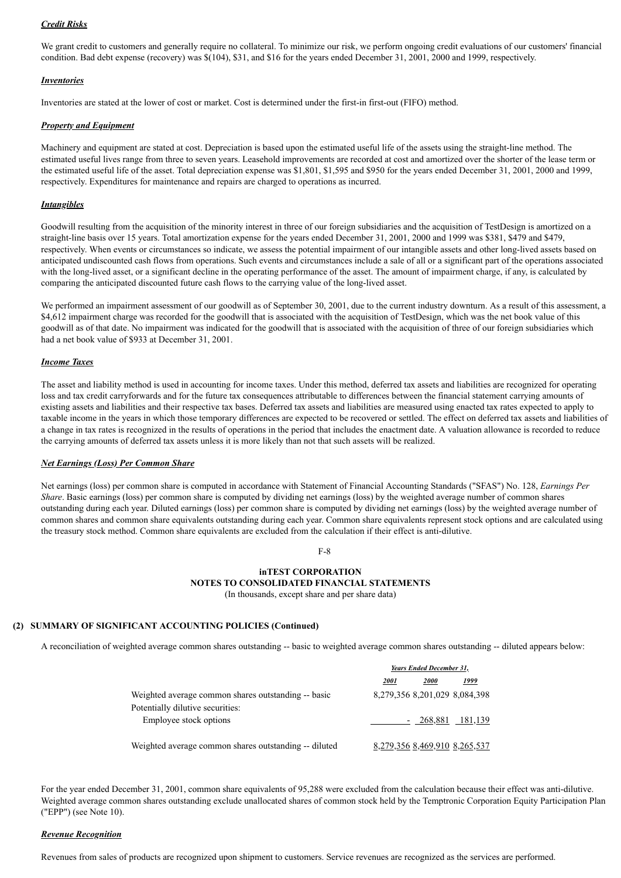## *Credit Risks*

We grant credit to customers and generally require no collateral. To minimize our risk, we perform ongoing credit evaluations of our customers' financial condition. Bad debt expense (recovery) was \$(104), \$31, and \$16 for the years ended December 31, 2001, 2000 and 1999, respectively.

## *Inventories*

Inventories are stated at the lower of cost or market. Cost is determined under the first-in first-out (FIFO) method.

## *Property and Equipment*

Machinery and equipment are stated at cost. Depreciation is based upon the estimated useful life of the assets using the straight-line method. The estimated useful lives range from three to seven years. Leasehold improvements are recorded at cost and amortized over the shorter of the lease term or the estimated useful life of the asset. Total depreciation expense was \$1,801, \$1,595 and \$950 for the years ended December 31, 2001, 2000 and 1999, respectively. Expenditures for maintenance and repairs are charged to operations as incurred.

## *Intangibles*

Goodwill resulting from the acquisition of the minority interest in three of our foreign subsidiaries and the acquisition of TestDesign is amortized on a straight-line basis over 15 years. Total amortization expense for the years ended December 31, 2001, 2000 and 1999 was \$381, \$479 and \$479, respectively. When events or circumstances so indicate, we assess the potential impairment of our intangible assets and other long-lived assets based on anticipated undiscounted cash flows from operations. Such events and circumstances include a sale of all or a significant part of the operations associated with the long-lived asset, or a significant decline in the operating performance of the asset. The amount of impairment charge, if any, is calculated by comparing the anticipated discounted future cash flows to the carrying value of the long-lived asset.

We performed an impairment assessment of our goodwill as of September 30, 2001, due to the current industry downturn. As a result of this assessment, a \$4,612 impairment charge was recorded for the goodwill that is associated with the acquisition of TestDesign, which was the net book value of this goodwill as of that date. No impairment was indicated for the goodwill that is associated with the acquisition of three of our foreign subsidiaries which had a net book value of \$933 at December 31, 2001.

## *Income Taxes*

The asset and liability method is used in accounting for income taxes. Under this method, deferred tax assets and liabilities are recognized for operating loss and tax credit carryforwards and for the future tax consequences attributable to differences between the financial statement carrying amounts of existing assets and liabilities and their respective tax bases. Deferred tax assets and liabilities are measured using enacted tax rates expected to apply to taxable income in the years in which those temporary differences are expected to be recovered or settled. The effect on deferred tax assets and liabilities of a change in tax rates is recognized in the results of operations in the period that includes the enactment date. A valuation allowance is recorded to reduce the carrying amounts of deferred tax assets unless it is more likely than not that such assets will be realized.

### *Net Earnings (Loss) Per Common Share*

Net earnings (loss) per common share is computed in accordance with Statement of Financial Accounting Standards ("SFAS") No. 128, *Earnings Per Share*. Basic earnings (loss) per common share is computed by dividing net earnings (loss) by the weighted average number of common shares outstanding during each year. Diluted earnings (loss) per common share is computed by dividing net earnings (loss) by the weighted average number of common shares and common share equivalents outstanding during each year. Common share equivalents represent stock options and are calculated using the treasury stock method. Common share equivalents are excluded from the calculation if their effect is anti-dilutive.

F-8

## **inTEST CORPORATION NOTES TO CONSOLIDATED FINANCIAL STATEMENTS** (In thousands, except share and per share data)

## **(2) SUMMARY OF SIGNIFICANT ACCOUNTING POLICIES (Continued)**

A reconciliation of weighted average common shares outstanding -- basic to weighted average common shares outstanding -- diluted appears below:

|                                                                                         | Years Ended December 31, |                               |      |  |
|-----------------------------------------------------------------------------------------|--------------------------|-------------------------------|------|--|
|                                                                                         | <i>2001</i>              | <i>2000</i>                   | 1999 |  |
| Weighted average common shares outstanding -- basic<br>Potentially dilutive securities: |                          | 8,279,356 8,201,029 8,084,398 |      |  |
| Employee stock options                                                                  |                          | - 268,881 181,139             |      |  |
| Weighted average common shares outstanding -- diluted                                   |                          | 8,279,356 8,469,910 8,265,537 |      |  |

For the year ended December 31, 2001, common share equivalents of 95,288 were excluded from the calculation because their effect was anti-dilutive. Weighted average common shares outstanding exclude unallocated shares of common stock held by the Temptronic Corporation Equity Participation Plan ("EPP") (see Note 10).

## *Revenue Recognition*

Revenues from sales of products are recognized upon shipment to customers. Service revenues are recognized as the services are performed.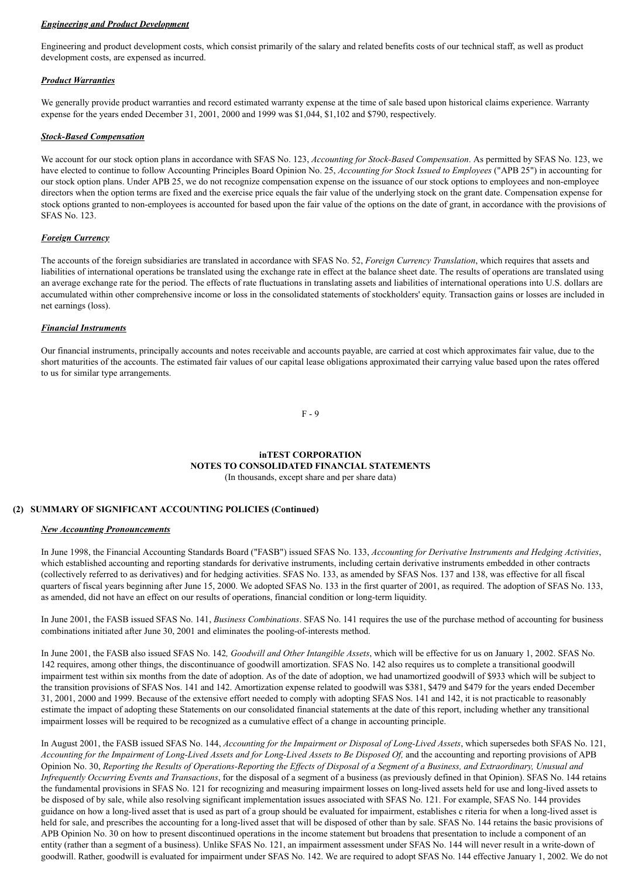## *Engineering and Product Development*

Engineering and product development costs, which consist primarily of the salary and related benefits costs of our technical staff, as well as product development costs, are expensed as incurred.

## *Product Warranties*

We generally provide product warranties and record estimated warranty expense at the time of sale based upon historical claims experience. Warranty expense for the years ended December 31, 2001, 2000 and 1999 was \$1,044, \$1,102 and \$790, respectively.

## *Stock-Based Compensation*

We account for our stock option plans in accordance with SFAS No. 123, *Accounting for Stock-Based Compensation*. As permitted by SFAS No. 123, we have elected to continue to follow Accounting Principles Board Opinion No. 25, *Accounting for Stock Issued to Employees* ("APB 25") in accounting for our stock option plans. Under APB 25, we do not recognize compensation expense on the issuance of our stock options to employees and non-employee directors when the option terms are fixed and the exercise price equals the fair value of the underlying stock on the grant date. Compensation expense for stock options granted to non-employees is accounted for based upon the fair value of the options on the date of grant, in accordance with the provisions of SFAS No. 123.

## *Foreign Currency*

The accounts of the foreign subsidiaries are translated in accordance with SFAS No. 52, *Foreign Currency Translation*, which requires that assets and liabilities of international operations be translated using the exchange rate in effect at the balance sheet date. The results of operations are translated using an average exchange rate for the period. The effects of rate fluctuations in translating assets and liabilities of international operations into U.S. dollars are accumulated within other comprehensive income or loss in the consolidated statements of stockholders' equity. Transaction gains or losses are included in net earnings (loss).

## *Financial Instruments*

Our financial instruments, principally accounts and notes receivable and accounts payable, are carried at cost which approximates fair value, due to the short maturities of the accounts. The estimated fair values of our capital lease obligations approximated their carrying value based upon the rates offered to us for similar type arrangements.

F - 9

## **inTEST CORPORATION NOTES TO CONSOLIDATED FINANCIAL STATEMENTS** (In thousands, except share and per share data)

## **(2) SUMMARY OF SIGNIFICANT ACCOUNTING POLICIES (Continued)**

### *New Accounting Pronouncements*

In June 1998, the Financial Accounting Standards Board ("FASB") issued SFAS No. 133, *Accounting for Derivative Instruments and Hedging Activities*, which established accounting and reporting standards for derivative instruments, including certain derivative instruments embedded in other contracts (collectively referred to as derivatives) and for hedging activities. SFAS No. 133, as amended by SFAS Nos. 137 and 138, was effective for all fiscal quarters of fiscal years beginning after June 15, 2000. We adopted SFAS No. 133 in the first quarter of 2001, as required. The adoption of SFAS No. 133, as amended, did not have an effect on our results of operations, financial condition or long-term liquidity.

In June 2001, the FASB issued SFAS No. 141, *Business Combinations*. SFAS No. 141 requires the use of the purchase method of accounting for business combinations initiated after June 30, 2001 and eliminates the pooling-of-interests method.

In June 2001, the FASB also issued SFAS No. 142*, Goodwill and Other Intangible Assets*, which will be effective for us on January 1, 2002. SFAS No. 142 requires, among other things, the discontinuance of goodwill amortization. SFAS No. 142 also requires us to complete a transitional goodwill impairment test within six months from the date of adoption. As of the date of adoption, we had unamortized goodwill of \$933 which will be subject to the transition provisions of SFAS Nos. 141 and 142. Amortization expense related to goodwill was \$381, \$479 and \$479 for the years ended December 31, 2001, 2000 and 1999. Because of the extensive effort needed to comply with adopting SFAS Nos. 141 and 142, it is not practicable to reasonably estimate the impact of adopting these Statements on our consolidated financial statements at the date of this report, including whether any transitional impairment losses will be required to be recognized as a cumulative effect of a change in accounting principle.

In August 2001, the FASB issued SFAS No. 144, *Accounting for the Impairment or Disposal of Long-Lived Assets*, which supersedes both SFAS No. 121, *Accounting for the Impairment of Long-Lived Assets and for Long-Lived Assets to Be Disposed Of,* and the accounting and reporting provisions of APB Opinion No. 30, *Reporting the Results of Operations-Reporting the Effects of Disposal of a Segment of a Business, and Extraordinary, Unusual and Infrequently Occurring Events and Transactions*, for the disposal of a segment of a business (as previously defined in that Opinion). SFAS No. 144 retains the fundamental provisions in SFAS No. 121 for recognizing and measuring impairment losses on long-lived assets held for use and long-lived assets to be disposed of by sale, while also resolving significant implementation issues associated with SFAS No. 121. For example, SFAS No. 144 provides guidance on how a long-lived asset that is used as part of a group should be evaluated for impairment, establishes c riteria for when a long-lived asset is held for sale, and prescribes the accounting for a long-lived asset that will be disposed of other than by sale. SFAS No. 144 retains the basic provisions of APB Opinion No. 30 on how to present discontinued operations in the income statement but broadens that presentation to include a component of an entity (rather than a segment of a business). Unlike SFAS No. 121, an impairment assessment under SFAS No. 144 will never result in a write-down of goodwill. Rather, goodwill is evaluated for impairment under SFAS No. 142. We are required to adopt SFAS No. 144 effective January 1, 2002. We do not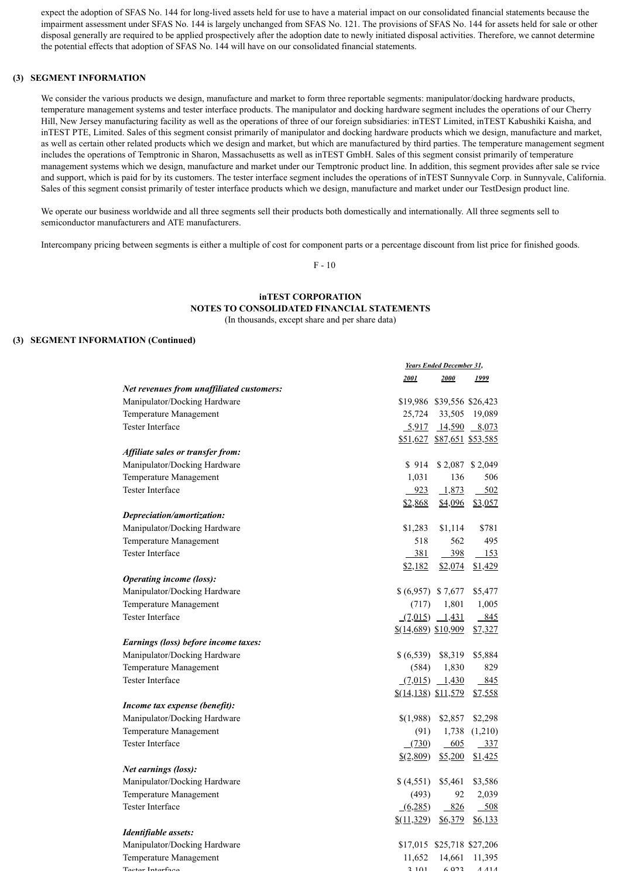expect the adoption of SFAS No. 144 for long-lived assets held for use to have a material impact on our consolidated financial statements because the impairment assessment under SFAS No. 144 is largely unchanged from SFAS No. 121. The provisions of SFAS No. 144 for assets held for sale or other disposal generally are required to be applied prospectively after the adoption date to newly initiated disposal activities. Therefore, we cannot determine the potential effects that adoption of SFAS No. 144 will have on our consolidated financial statements.

## **(3) SEGMENT INFORMATION**

We consider the various products we design, manufacture and market to form three reportable segments: manipulator/docking hardware products, temperature management systems and tester interface products. The manipulator and docking hardware segment includes the operations of our Cherry Hill, New Jersey manufacturing facility as well as the operations of three of our foreign subsidiaries: inTEST Limited, inTEST Kabushiki Kaisha, and inTEST PTE, Limited. Sales of this segment consist primarily of manipulator and docking hardware products which we design, manufacture and market, as well as certain other related products which we design and market, but which are manufactured by third parties. The temperature management segment includes the operations of Temptronic in Sharon, Massachusetts as well as inTEST GmbH. Sales of this segment consist primarily of temperature management systems which we design, manufacture and market under our Temptronic product line. In addition, this segment provides after sale se rvice and support, which is paid for by its customers. The tester interface segment includes the operations of inTEST Sunnyvale Corp. in Sunnyvale, California. Sales of this segment consist primarily of tester interface products which we design, manufacture and market under our TestDesign product line.

We operate our business worldwide and all three segments sell their products both domestically and internationally. All three segments sell to semiconductor manufacturers and ATE manufacturers.

Intercompany pricing between segments is either a multiple of cost for component parts or a percentage discount from list price for finished goods.

F - 10

# **inTEST CORPORATION NOTES TO CONSOLIDATED FINANCIAL STATEMENTS**

(In thousands, except share and per share data)

## **(3) SEGMENT INFORMATION (Continued)**

|                                           | <b>Years Ended December 31,</b>      |                                            |                  |  |
|-------------------------------------------|--------------------------------------|--------------------------------------------|------------------|--|
|                                           | 2001                                 | 2000                                       | 1999             |  |
| Net revenues from unaffiliated customers: |                                      |                                            |                  |  |
| Manipulator/Docking Hardware              |                                      | \$19,986 \$39,556 \$26,423                 |                  |  |
| Temperature Management                    | 25,724                               |                                            | 33,505 19,089    |  |
| <b>Tester Interface</b>                   |                                      | $\frac{5,917}{14,590}$ $\frac{8,073}{150}$ |                  |  |
|                                           |                                      | \$51,627 \$87,651 \$53,585                 |                  |  |
| Affiliate sales or transfer from:         |                                      |                                            |                  |  |
| Manipulator/Docking Hardware              | \$914                                |                                            | $$2,087$ \$2,049 |  |
| Temperature Management                    | 1,031                                | 136                                        | 506              |  |
| <b>Tester Interface</b>                   | 923                                  | 1,873                                      | $-502$           |  |
|                                           | \$2,868                              | \$4,096                                    | \$3,057          |  |
| Depreciation/amortization:                |                                      |                                            |                  |  |
| Manipulator/Docking Hardware              | \$1,283                              | \$1,114                                    | \$781            |  |
| Temperature Management                    | 518                                  | 562                                        | 495              |  |
| Tester Interface                          | 381                                  | 398                                        | 153              |  |
|                                           | \$2,182                              | \$2,074                                    | \$1,429          |  |
| <i><b>Operating income (loss):</b></i>    |                                      |                                            |                  |  |
| Manipulator/Docking Hardware              | $$(6,957)$ \$7,677                   |                                            | \$5,477          |  |
| Temperature Management                    | (717)                                | 1,801                                      | 1,005            |  |
| Tester Interface                          |                                      | $(7,015)$ $1,431$                          | 845              |  |
|                                           | \$(14,689) \$10,909                  |                                            | \$7,327          |  |
| Earnings (loss) before income taxes:      |                                      |                                            |                  |  |
| Manipulator/Docking Hardware              | \$(6,539)                            | \$8,319                                    | \$5,884          |  |
| Temperature Management                    | (584)                                | 1,830                                      | 829              |  |
| <b>Tester Interface</b>                   |                                      | $(7,015)$ 1,430                            | 845              |  |
|                                           | $(14, 138)$ \$11,579                 |                                            | \$7,558          |  |
| Income tax expense (benefit):             |                                      |                                            |                  |  |
| Manipulator/Docking Hardware              | \$(1,988)                            | \$2,857                                    | \$2,298          |  |
| Temperature Management                    | (91)                                 |                                            | 1,738 (1,210)    |  |
| Tester Interface                          | (730)                                | 605                                        | $-337$           |  |
|                                           | $\frac{$(2,809)}{2}$                 | \$5,200                                    | \$1,425          |  |
| Net earnings (loss):                      |                                      |                                            |                  |  |
| Manipulator/Docking Hardware              | \$(4,551)                            | \$5,461                                    | \$3,586          |  |
| Temperature Management                    | (493)                                | 92                                         | 2,039            |  |
| Tester Interface                          | (6,285)                              | 826                                        | 508              |  |
|                                           | $$(\underline{11}, \underline{329})$ | \$6,379                                    | \$6,133          |  |
| Identifiable assets:                      |                                      |                                            |                  |  |
| Manipulator/Docking Hardware              |                                      | \$17,015 \$25,718 \$27,206                 |                  |  |
| Temperature Management                    | 11,652                               | 14,661                                     | 11,395           |  |
| Toetar Intarfaca                          | 2101                                 | 602                                        | $A$ $A$ $1$ $A$  |  |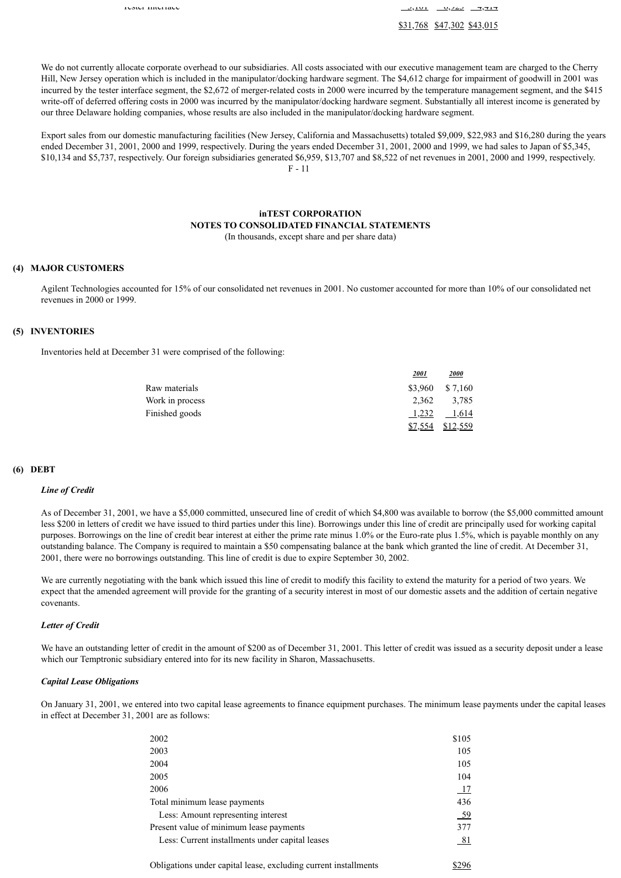Tester Interface 3,101  $\frac{3}{4}$ ,  $\frac{1}{4}$ ,  $\frac{1}{4}$ ,  $\frac{1}{4}$ ,  $\frac{1}{4}$ ,  $\frac{1}{4}$ ,  $\frac{1}{4}$ ,  $\frac{1}{4}$ ,  $\frac{1}{4}$ ,  $\frac{1}{4}$ ,  $\frac{1}{4}$ ,  $\frac{1}{4}$ ,  $\frac{1}{4}$ ,  $\frac{1}{4}$ ,  $\frac{1}{4}$ ,  $\frac{1}{4}$ ,  $\frac{1}{4}$ ,  $\frac{1}{4}$ , \$31,768 \$47,302 \$43,015

We do not currently allocate corporate overhead to our subsidiaries. All costs associated with our executive management team are charged to the Cherry Hill, New Jersey operation which is included in the manipulator/docking hardware segment. The \$4,612 charge for impairment of goodwill in 2001 was incurred by the tester interface segment, the \$2,672 of merger-related costs in 2000 were incurred by the temperature management segment, and the \$415 write-off of deferred offering costs in 2000 was incurred by the manipulator/docking hardware segment. Substantially all interest income is generated by our three Delaware holding companies, whose results are also included in the manipulator/docking hardware segment.

Export sales from our domestic manufacturing facilities (New Jersey, California and Massachusetts) totaled \$9,009, \$22,983 and \$16,280 during the years ended December 31, 2001, 2000 and 1999, respectively. During the years ended December 31, 2001, 2000 and 1999, we had sales to Japan of \$5,345, \$10,134 and \$5,737, respectively. Our foreign subsidiaries generated \$6,959, \$13,707 and \$8,522 of net revenues in 2001, 2000 and 1999, respectively. F - 11

# **inTEST CORPORATION NOTES TO CONSOLIDATED FINANCIAL STATEMENTS**

(In thousands, except share and per share data)

### **(4) MAJOR CUSTOMERS**

Agilent Technologies accounted for 15% of our consolidated net revenues in 2001. No customer accounted for more than 10% of our consolidated net revenues in 2000 or 1999.

## **(5) INVENTORIES**

Inventories held at December 31 were comprised of the following:

|                 | <u> 2001 </u> | <u> 2000</u>      |
|-----------------|---------------|-------------------|
| Raw materials   |               | $$3,960$ $$7,160$ |
| Work in process |               | 2.362 3.785       |
| Finished goods  | 1,232         | 1,614             |
|                 | \$7,554       | \$12,559          |

### **(6) DEBT**

#### *Line of Credit*

As of December 31, 2001, we have a \$5,000 committed, unsecured line of credit of which \$4,800 was available to borrow (the \$5,000 committed amount less \$200 in letters of credit we have issued to third parties under this line). Borrowings under this line of credit are principally used for working capital purposes. Borrowings on the line of credit bear interest at either the prime rate minus 1.0% or the Euro-rate plus 1.5%, which is payable monthly on any outstanding balance. The Company is required to maintain a \$50 compensating balance at the bank which granted the line of credit. At December 31, 2001, there were no borrowings outstanding. This line of credit is due to expire September 30, 2002.

We are currently negotiating with the bank which issued this line of credit to modify this facility to extend the maturity for a period of two years. We expect that the amended agreement will provide for the granting of a security interest in most of our domestic assets and the addition of certain negative covenants.

### *Letter of Credit*

We have an outstanding letter of credit in the amount of \$200 as of December 31, 2001. This letter of credit was issued as a security deposit under a lease which our Temptronic subsidiary entered into for its new facility in Sharon, Massachusetts.

### *Capital Lease Obligations*

On January 31, 2001, we entered into two capital lease agreements to finance equipment purchases. The minimum lease payments under the capital leases in effect at December 31, 2001 are as follows:

| 2002                                                            | \$105 |
|-----------------------------------------------------------------|-------|
| 2003                                                            | 105   |
| 2004                                                            | 105   |
| 2005                                                            | 104   |
| 2006                                                            | 17    |
| Total minimum lease payments                                    | 436   |
| Less: Amount representing interest                              | $-59$ |
| Present value of minimum lease payments                         | 377   |
| Less: Current installments under capital leases                 | 81    |
| Obligations under capital lease, excluding current installments |       |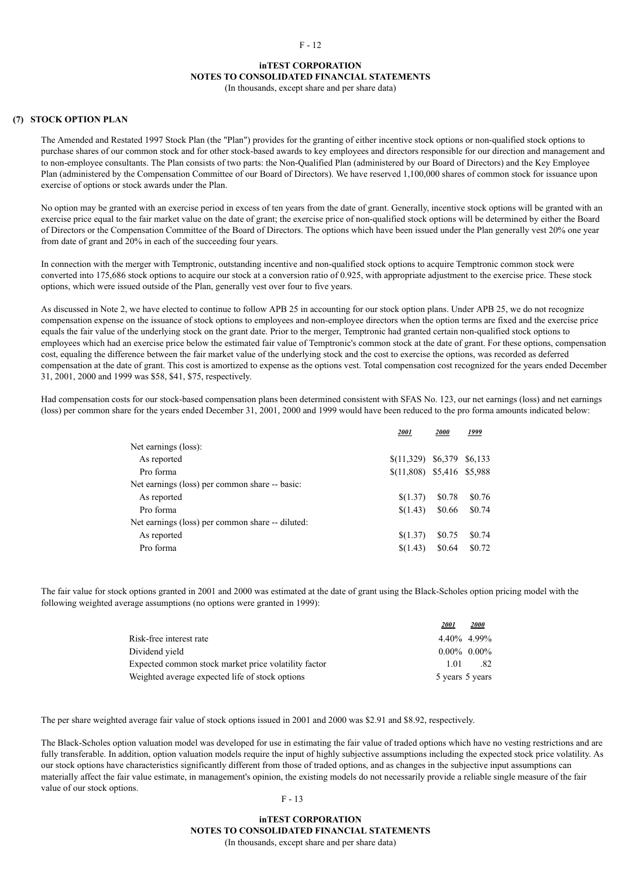### **inTEST CORPORATION NOTES TO CONSOLIDATED FINANCIAL STATEMENTS**

(In thousands, except share and per share data)

#### **(7) STOCK OPTION PLAN**

The Amended and Restated 1997 Stock Plan (the "Plan") provides for the granting of either incentive stock options or non-qualified stock options to purchase shares of our common stock and for other stock-based awards to key employees and directors responsible for our direction and management and to non-employee consultants. The Plan consists of two parts: the Non-Qualified Plan (administered by our Board of Directors) and the Key Employee Plan (administered by the Compensation Committee of our Board of Directors). We have reserved 1,100,000 shares of common stock for issuance upon exercise of options or stock awards under the Plan.

No option may be granted with an exercise period in excess of ten years from the date of grant. Generally, incentive stock options will be granted with an exercise price equal to the fair market value on the date of grant; the exercise price of non-qualified stock options will be determined by either the Board of Directors or the Compensation Committee of the Board of Directors. The options which have been issued under the Plan generally vest 20% one year from date of grant and 20% in each of the succeeding four years.

In connection with the merger with Temptronic, outstanding incentive and non-qualified stock options to acquire Temptronic common stock were converted into 175,686 stock options to acquire our stock at a conversion ratio of 0.925, with appropriate adjustment to the exercise price. These stock options, which were issued outside of the Plan, generally vest over four to five years.

As discussed in Note 2, we have elected to continue to follow APB 25 in accounting for our stock option plans. Under APB 25, we do not recognize compensation expense on the issuance of stock options to employees and non-employee directors when the option terms are fixed and the exercise price equals the fair value of the underlying stock on the grant date. Prior to the merger, Temptronic had granted certain non-qualified stock options to employees which had an exercise price below the estimated fair value of Temptronic's common stock at the date of grant. For these options, compensation cost, equaling the difference between the fair market value of the underlying stock and the cost to exercise the options, was recorded as deferred compensation at the date of grant. This cost is amortized to expense as the options vest. Total compensation cost recognized for the years ended December 31, 2001, 2000 and 1999 was \$58, \$41, \$75, respectively.

Had compensation costs for our stock-based compensation plans been determined consistent with SFAS No. 123, our net earnings (loss) and net earnings (loss) per common share for the years ended December 31, 2001, 2000 and 1999 would have been reduced to the pro forma amounts indicated below:

|                                                  | 2001                        | 2000    | 1999    |
|--------------------------------------------------|-----------------------------|---------|---------|
| Net earnings (loss):                             |                             |         |         |
| As reported                                      | \$(11,329)                  | \$6,379 | \$6,133 |
| Pro forma                                        | $$(11,808)$ \$5,416 \$5,988 |         |         |
| Net earnings (loss) per common share -- basic:   |                             |         |         |
| As reported                                      | \$(1.37)                    | \$0.78  | \$0.76  |
| Pro forma                                        | \$(1.43)                    | \$0.66  | \$0.74  |
| Net earnings (loss) per common share -- diluted: |                             |         |         |
| As reported                                      | \$(1.37)                    | \$0.75  | \$0.74  |
| Pro forma                                        | \$(1.43)                    | \$0.64  | \$0.72  |

The fair value for stock options granted in 2001 and 2000 was estimated at the date of grant using the Black-Scholes option pricing model with the following weighted average assumptions (no options were granted in 1999):

|                                                      | 2001            | <i>2000</i> |
|------------------------------------------------------|-----------------|-------------|
| Risk-free interest rate                              | $4.40\%$ 4.99%  |             |
| Dividend vield                                       | $0.00\%$ 0.00%  |             |
| Expected common stock market price volatility factor | 101             | .82         |
| Weighted average expected life of stock options      | 5 years 5 years |             |

The per share weighted average fair value of stock options issued in 2001 and 2000 was \$2.91 and \$8.92, respectively.

The Black-Scholes option valuation model was developed for use in estimating the fair value of traded options which have no vesting restrictions and are fully transferable. In addition, option valuation models require the input of highly subjective assumptions including the expected stock price volatility. As our stock options have characteristics significantly different from those of traded options, and as changes in the subjective input assumptions can materially affect the fair value estimate, in management's opinion, the existing models do not necessarily provide a reliable single measure of the fair value of our stock options.

#### $F - 13$

## **inTEST CORPORATION NOTES TO CONSOLIDATED FINANCIAL STATEMENTS** (In thousands, except share and per share data)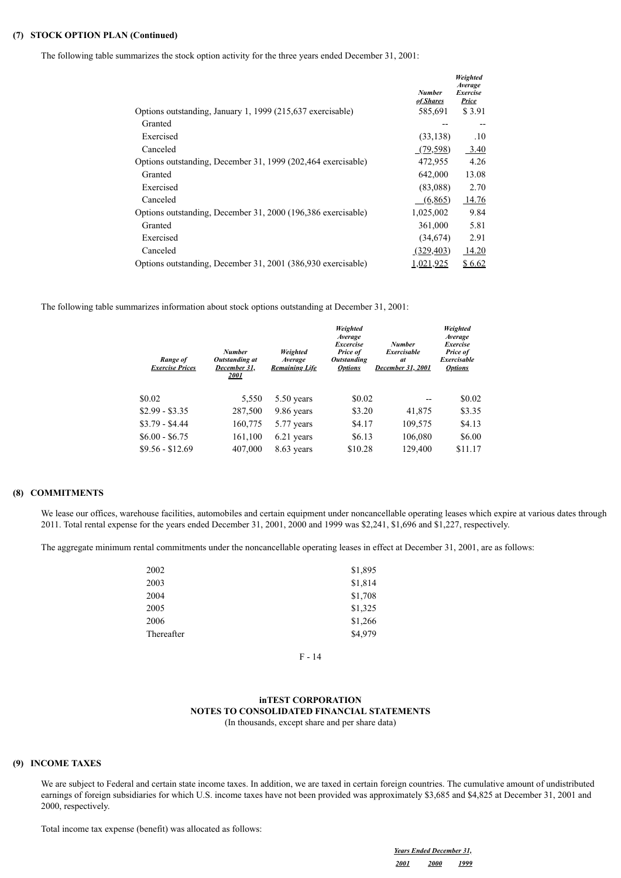## **(7) STOCK OPTION PLAN (Continued)**

The following table summarizes the stock option activity for the three years ended December 31, 2001:

| Options outstanding, January 1, 1999 (215,637 exercisable)   | <b>Number</b><br>of Shares<br>585,691 | Weighted<br>Average<br><i>Exercise</i><br><b>Price</b><br>\$3.91 |
|--------------------------------------------------------------|---------------------------------------|------------------------------------------------------------------|
| Granted                                                      |                                       |                                                                  |
| Exercised                                                    | (33, 138)                             | .10                                                              |
| Canceled                                                     | (79, 598)                             | 3.40                                                             |
| Options outstanding, December 31, 1999 (202,464 exercisable) | 472,955                               | 4.26                                                             |
| Granted                                                      | 642,000                               | 13.08                                                            |
| Exercised                                                    | (83,088)                              | 2.70                                                             |
| Canceled                                                     | (6,865)                               | 14.76                                                            |
| Options outstanding, December 31, 2000 (196,386 exercisable) | 1,025,002                             | 9.84                                                             |
| Granted                                                      | 361,000                               | 5.81                                                             |
| Exercised                                                    | (34,674)                              | 2.91                                                             |
| Canceled                                                     | (329, 403)                            | 14.20                                                            |
| Options outstanding, December 31, 2001 (386,930 exercisable) | 1,021,925                             | \$6.62                                                           |

The following table summarizes information about stock options outstanding at December 31, 2001:

| Range of<br><b>Exercise Prices</b> | <b>Number</b><br>Outstanding at<br>December 31,<br>2001 | Weighted<br>Average<br><b>Remaining Life</b> | Weighted<br>Average<br><b>Excercise</b><br>Price of<br><b>Outstanding</b><br><b>Options</b> | <b>Number</b><br>Exercisable<br>at<br>December 31, 2001 | Weighted<br>Average<br><b>Exercise</b><br>Price of<br><b>Exercisable</b><br><b>Options</b> |
|------------------------------------|---------------------------------------------------------|----------------------------------------------|---------------------------------------------------------------------------------------------|---------------------------------------------------------|--------------------------------------------------------------------------------------------|
| \$0.02                             | 5,550                                                   | $5.50$ years                                 | \$0.02                                                                                      |                                                         | \$0.02                                                                                     |
| $$2.99 - $3.35$                    | 287,500                                                 | 9.86 years                                   | \$3.20                                                                                      | 41,875                                                  | \$3.35                                                                                     |
| $$3.79 - $4.44$                    | 160,775                                                 | 5.77 years                                   | \$4.17                                                                                      | 109,575                                                 | \$4.13                                                                                     |
| $$6.00 - $6.75$                    | 161,100                                                 | 6.21 years                                   | \$6.13                                                                                      | 106,080                                                 | \$6.00                                                                                     |
| $$9.56 - $12.69$                   | 407,000                                                 | 8.63 years                                   | \$10.28                                                                                     | 129,400                                                 | \$11.17                                                                                    |

## **(8) COMMITMENTS**

We lease our offices, warehouse facilities, automobiles and certain equipment under noncancellable operating leases which expire at various dates through 2011. Total rental expense for the years ended December 31, 2001, 2000 and 1999 was \$2,241, \$1,696 and \$1,227, respectively.

The aggregate minimum rental commitments under the noncancellable operating leases in effect at December 31, 2001, are as follows:

| 2002       | \$1,895 |
|------------|---------|
| 2003       | \$1,814 |
| 2004       | \$1,708 |
| 2005       | \$1,325 |
| 2006       | \$1,266 |
| Thereafter | \$4,979 |

F - 14

# **inTEST CORPORATION NOTES TO CONSOLIDATED FINANCIAL STATEMENTS**

(In thousands, except share and per share data)

### **(9) INCOME TAXES**

We are subject to Federal and certain state income taxes. In addition, we are taxed in certain foreign countries. The cumulative amount of undistributed earnings of foreign subsidiaries for which U.S. income taxes have not been provided was approximately \$3,685 and \$4,825 at December 31, 2001 and 2000, respectively.

Total income tax expense (benefit) was allocated as follows:

*Years Ended December 31, 2001 2000 1999*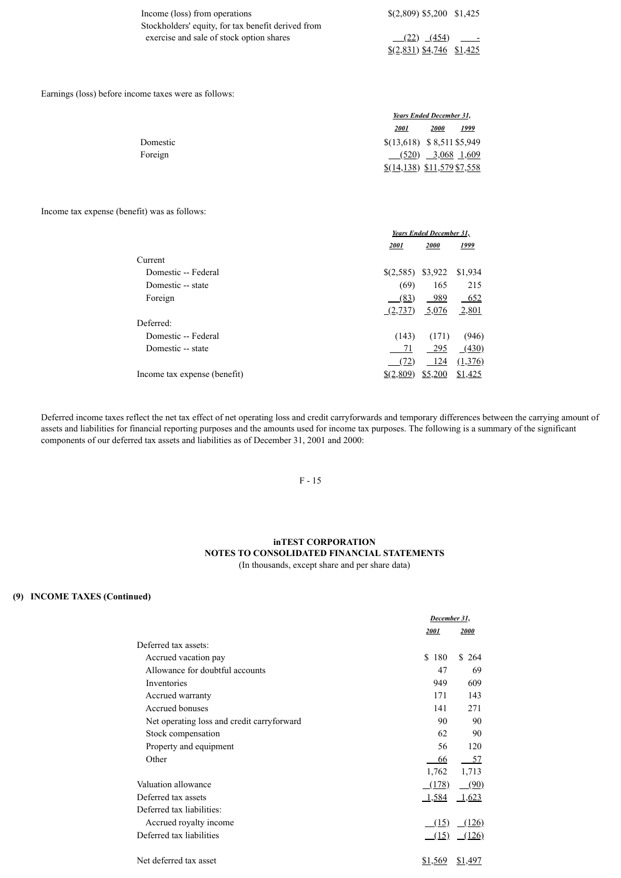| Income (loss) from operations                      | $$(2,809)$ \$5,200 \$1,425 |
|----------------------------------------------------|----------------------------|
| Stockholders' equity, for tax benefit derived from |                            |
| exercise and sale of stock option shares           | <u>(22)</u> (454) -        |
|                                                    | $(2,831)$ \$4,746 \$1,425  |

Earnings (loss) before income taxes were as follows:

|          |                              | Years Ended December 31, |              |
|----------|------------------------------|--------------------------|--------------|
|          | <b>2001</b>                  | 2000                     | <u> 1999</u> |
| Domestic | $$(13,618)$ \$ 8,511 \$5,949 |                          |              |
| Foreign  |                              | $(520)$ 3,068 1,609      |              |
|          | $$(14,138)$ \$11,579 \$7,558 |                          |              |

## Income tax expense (benefit) was as follows:

|                              | Years Ended December 31, |         |         |
|------------------------------|--------------------------|---------|---------|
|                              | 2001                     | 2000    | 1999    |
| Current                      |                          |         |         |
| Domestic -- Federal          | $(2,585)$ \$3,922        |         | \$1,934 |
| Domestic -- state            | (69)                     | 165     | 215     |
| Foreign                      | (83)                     | - 989   | 652     |
|                              | (2,737)                  | 5,076   | 2,801   |
| Deferred:                    |                          |         |         |
| Domestic -- Federal          | (143)                    | (171)   | (946)   |
| Domestic -- state            | 71                       | - 295   | (430)   |
|                              | (72)                     | - 124   | (1,376) |
| Income tax expense (benefit) | $\frac{$(2,809)}{4}$     | \$5,200 | \$1,425 |

Deferred income taxes reflect the net tax effect of net operating loss and credit carryforwards and temporary differences between the carrying amount of assets and liabilities for financial reporting purposes and the amounts used for income tax purposes. The following is a summary of the significant components of our deferred tax assets and liabilities as of December 31, 2001 and 2000:

## F - 15

## **inTEST CORPORATION NOTES TO CONSOLIDATED FINANCIAL STATEMENTS** (In thousands, except share and per share data)

## **(9) INCOME TAXES (Continued)**

|                                             | December 31, |          |  |
|---------------------------------------------|--------------|----------|--|
|                                             | 2001         | 2000     |  |
| Deferred tax assets:                        |              |          |  |
| Accrued vacation pay                        | \$.<br>180   | \$264    |  |
| Allowance for doubtful accounts             | 47           | 69       |  |
| Inventories                                 | 949          | 609      |  |
| Accrued warranty                            | 171          | 143      |  |
| Accrued bonuses                             | 141          | 271      |  |
| Net operating loss and credit carry forward | 90           | 90       |  |
| Stock compensation                          | 62           | 90       |  |
| Property and equipment                      | 56           | 120      |  |
| Other                                       | 66           | 57       |  |
|                                             | 1,762        | 1,713    |  |
| Valuation allowance                         | (178)        | $-$ (90) |  |
| Deferred tax assets                         | 1,584        | 1,623    |  |
| Deferred tax liabilities:                   |              |          |  |
| Accrued royalty income                      | (15)         | (126)    |  |
| Deferred tax liabilities                    | (15)         | (126)    |  |
| Net deferred tax asset                      | \$1,569      | \$1,497  |  |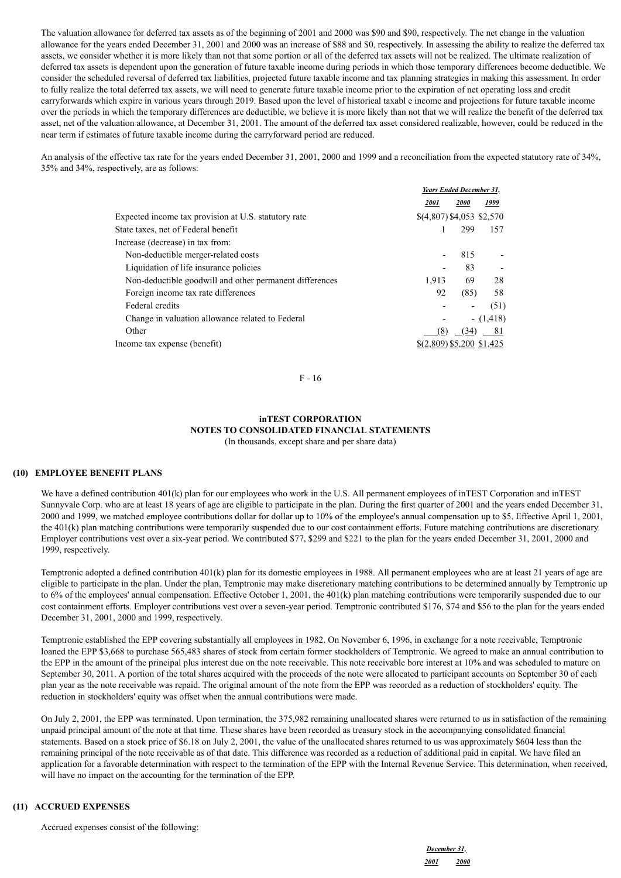The valuation allowance for deferred tax assets as of the beginning of 2001 and 2000 was \$90 and \$90, respectively. The net change in the valuation allowance for the years ended December 31, 2001 and 2000 was an increase of \$88 and \$0, respectively. In assessing the ability to realize the deferred tax assets, we consider whether it is more likely than not that some portion or all of the deferred tax assets will not be realized. The ultimate realization of deferred tax assets is dependent upon the generation of future taxable income during periods in which those temporary differences become deductible. We consider the scheduled reversal of deferred tax liabilities, projected future taxable income and tax planning strategies in making this assessment. In order to fully realize the total deferred tax assets, we will need to generate future taxable income prior to the expiration of net operating loss and credit carryforwards which expire in various years through 2019. Based upon the level of historical taxabl e income and projections for future taxable income over the periods in which the temporary differences are deductible, we believe it is more likely than not that we will realize the benefit of the deferred tax asset, net of the valuation allowance, at December 31, 2001. The amount of the deferred tax asset considered realizable, however, could be reduced in the near term if estimates of future taxable income during the carryforward period are reduced.

An analysis of the effective tax rate for the years ended December 31, 2001, 2000 and 1999 and a reconciliation from the expected statutory rate of 34%, 35% and 34%, respectively, are as follows:

|                                                         | Years Ended December 31,   |             |              |
|---------------------------------------------------------|----------------------------|-------------|--------------|
|                                                         | 2001                       | <i>2000</i> | 1999         |
| Expected income tax provision at U.S. statutory rate    | $$(4,807)$ \$4,053 \$2,570 |             |              |
| State taxes, net of Federal benefit                     |                            | 299         | 157          |
| Increase (decrease) in tax from:                        |                            |             |              |
| Non-deductible merger-related costs                     |                            | 815         |              |
| Liquidation of life insurance policies                  |                            | 83          |              |
| Non-deductible goodwill and other permanent differences | 1.913                      | 69          | 28           |
| Foreign income tax rate differences                     | 92                         | (85)        | 58           |
| Federal credits                                         |                            |             | (51)         |
| Change in valuation allowance related to Federal        |                            |             | $- (1, 418)$ |
| Other                                                   | (8)                        | (34)        | 81           |
| Income tax expense (benefit)                            | $$(2,809)$ \$5,200 \$1,425 |             |              |

F - 16

# **inTEST CORPORATION NOTES TO CONSOLIDATED FINANCIAL STATEMENTS**

(In thousands, except share and per share data)

## **(10) EMPLOYEE BENEFIT PLANS**

We have a defined contribution 401(k) plan for our employees who work in the U.S. All permanent employees of inTEST Corporation and inTEST Sunnyvale Corp. who are at least 18 years of age are eligible to participate in the plan. During the first quarter of 2001 and the years ended December 31, 2000 and 1999, we matched employee contributions dollar for dollar up to 10% of the employee's annual compensation up to \$5. Effective April 1, 2001, the 401(k) plan matching contributions were temporarily suspended due to our cost containment efforts. Future matching contributions are discretionary. Employer contributions vest over a six-year period. We contributed \$77, \$299 and \$221 to the plan for the years ended December 31, 2001, 2000 and 1999, respectively.

Temptronic adopted a defined contribution 401(k) plan for its domestic employees in 1988. All permanent employees who are at least 21 years of age are eligible to participate in the plan. Under the plan, Temptronic may make discretionary matching contributions to be determined annually by Temptronic up to 6% of the employees' annual compensation. Effective October 1, 2001, the 401(k) plan matching contributions were temporarily suspended due to our cost containment efforts. Employer contributions vest over a seven-year period. Temptronic contributed \$176, \$74 and \$56 to the plan for the years ended December 31, 2001, 2000 and 1999, respectively.

Temptronic established the EPP covering substantially all employees in 1982. On November 6, 1996, in exchange for a note receivable, Temptronic loaned the EPP \$3,668 to purchase 565,483 shares of stock from certain former stockholders of Temptronic. We agreed to make an annual contribution to the EPP in the amount of the principal plus interest due on the note receivable. This note receivable bore interest at 10% and was scheduled to mature on September 30, 2011. A portion of the total shares acquired with the proceeds of the note were allocated to participant accounts on September 30 of each plan year as the note receivable was repaid. The original amount of the note from the EPP was recorded as a reduction of stockholders' equity. The reduction in stockholders' equity was offset when the annual contributions were made.

On July 2, 2001, the EPP was terminated. Upon termination, the 375,982 remaining unallocated shares were returned to us in satisfaction of the remaining unpaid principal amount of the note at that time. These shares have been recorded as treasury stock in the accompanying consolidated financial statements. Based on a stock price of \$6.18 on July 2, 2001, the value of the unallocated shares returned to us was approximately \$604 less than the remaining principal of the note receivable as of that date. This difference was recorded as a reduction of additional paid in capital. We have filed an application for a favorable determination with respect to the termination of the EPP with the Internal Revenue Service. This determination, when received, will have no impact on the accounting for the termination of the EPP.

## **(11) ACCRUED EXPENSES**

Accrued expenses consist of the following: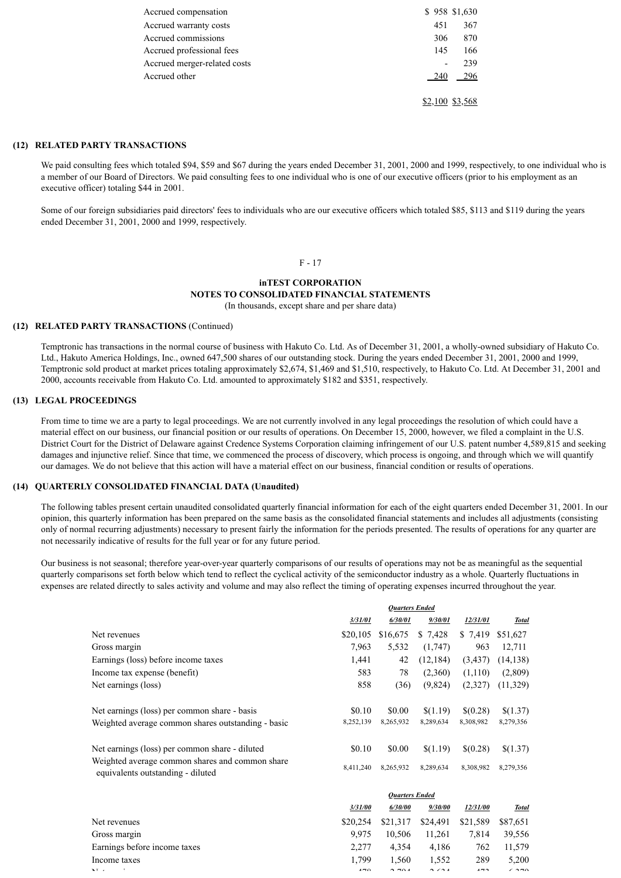| Accrued compensation         | \$958 \$1,630   |
|------------------------------|-----------------|
| Accrued warranty costs       | 367<br>451      |
| Accrued commissions          | 870<br>306      |
| Accrued professional fees    | 145<br>166      |
| Accrued merger-related costs | 239<br>-        |
| Accrued other                | 296<br>240      |
|                              | \$2,100 \$3,568 |

## **(12) RELATED PARTY TRANSACTIONS**

We paid consulting fees which totaled \$94, \$59 and \$67 during the years ended December 31, 2001, 2000 and 1999, respectively, to one individual who is a member of our Board of Directors. We paid consulting fees to one individual who is one of our executive officers (prior to his employment as an executive officer) totaling \$44 in 2001.

Some of our foreign subsidiaries paid directors' fees to individuals who are our executive officers which totaled \$85, \$113 and \$119 during the years ended December 31, 2001, 2000 and 1999, respectively.

#### F - 17

# **inTEST CORPORATION NOTES TO CONSOLIDATED FINANCIAL STATEMENTS**

(In thousands, except share and per share data)

## **(12) RELATED PARTY TRANSACTIONS** (Continued)

Temptronic has transactions in the normal course of business with Hakuto Co. Ltd. As of December 31, 2001, a wholly-owned subsidiary of Hakuto Co. Ltd., Hakuto America Holdings, Inc., owned 647,500 shares of our outstanding stock. During the years ended December 31, 2001, 2000 and 1999, Temptronic sold product at market prices totaling approximately \$2,674, \$1,469 and \$1,510, respectively, to Hakuto Co. Ltd. At December 31, 2001 and 2000, accounts receivable from Hakuto Co. Ltd. amounted to approximately \$182 and \$351, respectively.

#### **(13) LEGAL PROCEEDINGS**

From time to time we are a party to legal proceedings. We are not currently involved in any legal proceedings the resolution of which could have a material effect on our business, our financial position or our results of operations. On December 15, 2000, however, we filed a complaint in the U.S. District Court for the District of Delaware against Credence Systems Corporation claiming infringement of our U.S. patent number 4,589,815 and seeking damages and injunctive relief. Since that time, we commenced the process of discovery, which process is ongoing, and through which we will quantify our damages. We do not believe that this action will have a material effect on our business, financial condition or results of operations.

### **(14) QUARTERLY CONSOLIDATED FINANCIAL DATA (Unaudited)**

The following tables present certain unaudited consolidated quarterly financial information for each of the eight quarters ended December 31, 2001. In our opinion, this quarterly information has been prepared on the same basis as the consolidated financial statements and includes all adjustments (consisting only of normal recurring adjustments) necessary to present fairly the information for the periods presented. The results of operations for any quarter are not necessarily indicative of results for the full year or for any future period.

Our business is not seasonal; therefore year-over-year quarterly comparisons of our results of operations may not be as meaningful as the sequential quarterly comparisons set forth below which tend to reflect the cyclical activity of the semiconductor industry as a whole. Quarterly fluctuations in expenses are related directly to sales activity and volume and may also reflect the timing of operating expenses incurred throughout the year.

|                                                                                      | <b>Ouarters Ended</b> |                |           |           |              |
|--------------------------------------------------------------------------------------|-----------------------|----------------|-----------|-----------|--------------|
|                                                                                      | 3/31/01               | 6/30/01        | 9/30/01   | 12/31/01  | <b>Total</b> |
| Net revenues                                                                         | \$20,105              | \$16,675       | \$ 7,428  | \$ 7,419  | \$51,627     |
| Gross margin                                                                         | 7,963                 | 5,532          | (1,747)   | 963       | 12,711       |
| Earnings (loss) before income taxes                                                  | 1,441                 | 42             | (12, 184) | (3,437)   | (14, 138)    |
| Income tax expense (benefit)                                                         | 583                   | 78             | (2,360)   | (1,110)   | (2,809)      |
| Net earnings (loss)                                                                  | 858                   | (36)           | (9,824)   | (2,327)   | (11,329)     |
| Net earnings (loss) per common share - basis                                         | \$0.10                | \$0.00         | \$(1.19)  | \$(0.28)  | \$(1.37)     |
| Weighted average common shares outstanding - basic                                   | 8,252,139             | 8,265,932      | 8,289,634 | 8,308,982 | 8,279,356    |
| Net earnings (loss) per common share - diluted                                       | \$0.10                | \$0.00         | \$(1.19)  | \$(0.28)  | \$(1.37)     |
| Weighted average common shares and common share<br>equivalents outstanding - diluted | 8,411,240             | 8,265,932      | 8,289,634 | 8,308,982 | 8,279,356    |
|                                                                                      |                       | Quartors Endod |           |           |              |

|                              | <i><b>URAILLETS ENGER</b></i> |          |                      |          |                |
|------------------------------|-------------------------------|----------|----------------------|----------|----------------|
|                              | 3/31/00                       | 6/30/00  | 9/30/00              | 12/31/00 | <b>Total</b>   |
| Net revenues                 | \$20,254                      | \$21,317 | \$24,491             | \$21,589 | \$87,651       |
| Gross margin                 | 9.975                         | 10.506   | 11.261               | 7.814    | 39.556         |
| Earnings before income taxes | 2.277                         | 4.354    | 4.186                | 762      | 11.579         |
| Income taxes                 | 1.799                         | 1.560    | 1.552                | 289      | 5,200          |
| $\mathbf{X}$                 | 470                           | 2.701    | $\sim$ $\sim$ $\sim$ | 472      | $\epsilon$ 270 |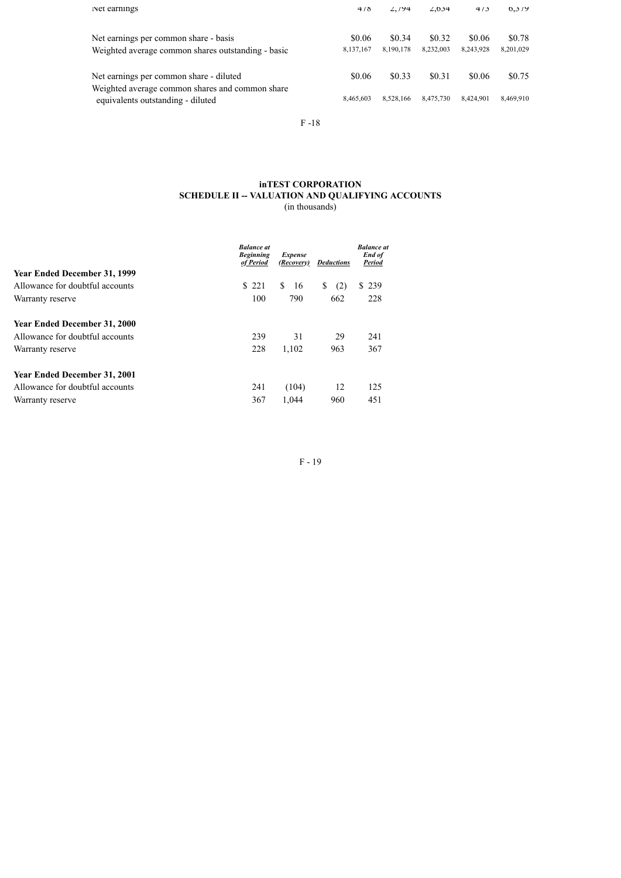| Net earnings                                                                                | 4/8                 | 2.194               | $\angle 0.034$      | 4/3                 | 0.3/9               |
|---------------------------------------------------------------------------------------------|---------------------|---------------------|---------------------|---------------------|---------------------|
| Net earnings per common share - basis<br>Weighted average common shares outstanding - basic | \$0.06<br>8,137,167 | \$0.34<br>8,190,178 | \$0.32<br>8,232,003 | \$0.06<br>8,243,928 | \$0.78<br>8,201,029 |
| Net earnings per common share - diluted                                                     | \$0.06              | \$0.33              | \$0.31              | \$0.06              | \$0.75              |
| Weighted average common shares and common share<br>equivalents outstanding - diluted        | 8,465,603           | 8,528,166           | 8.475.730           | 8.424.901           | 8,469,910           |

F -18

## **inTEST CORPORATION SCHEDULE II -- VALUATION AND QUALIFYING ACCOUNTS** (in thousands)

|                                     | <b>Balance</b> at<br><b>Beginning</b><br>of Period | <b>Expense</b><br>(Recovery) | <b>Deductions</b> | <b>Balance</b> at<br>End of<br>Period |
|-------------------------------------|----------------------------------------------------|------------------------------|-------------------|---------------------------------------|
| <b>Year Ended December 31, 1999</b> |                                                    |                              |                   |                                       |
| Allowance for doubtful accounts     | \$221                                              | S.<br>16                     | (2)<br>\$         | \$239                                 |
| Warranty reserve                    | 100                                                | 790                          | 662               | 228                                   |
| <b>Year Ended December 31, 2000</b> |                                                    |                              |                   |                                       |
| Allowance for doubtful accounts     | 239                                                | 31                           | 29                | 241                                   |
| Warranty reserve                    | 228                                                | 1,102                        | 963               | 367                                   |
| <b>Year Ended December 31, 2001</b> |                                                    |                              |                   |                                       |
| Allowance for doubtful accounts     | 241                                                | (104)                        | 12                | 125                                   |
| Warranty reserve                    | 367                                                | 1.044                        | 960               | 451                                   |

F - 19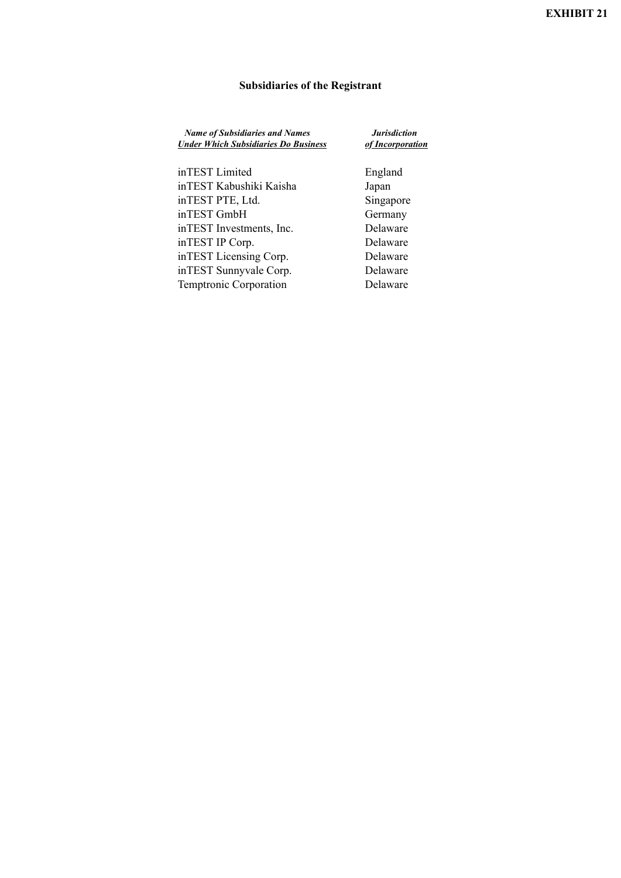# **Subsidiaries of the Registrant**

| <b>Name of Subsidiaries and Names</b><br><b>Under Which Subsidiaries Do Business</b> | <b>Jurisdiction</b><br>of Incorporation |  |  |
|--------------------------------------------------------------------------------------|-----------------------------------------|--|--|
| inTEST Limited                                                                       | England                                 |  |  |
| inTEST Kabushiki Kaisha                                                              | Japan                                   |  |  |
| inTEST PTE, Ltd.                                                                     | Singapore                               |  |  |
| inTEST GmbH                                                                          | Germany                                 |  |  |
|                                                                                      | $\mathbf{r}$ 1                          |  |  |

inTEST Investments, Inc. Delaware inTEST IP Corp. Delaware inTEST Licensing Corp. Delaware inTEST Sunnyvale Corp. Delaware Temptronic Corporation Delaware